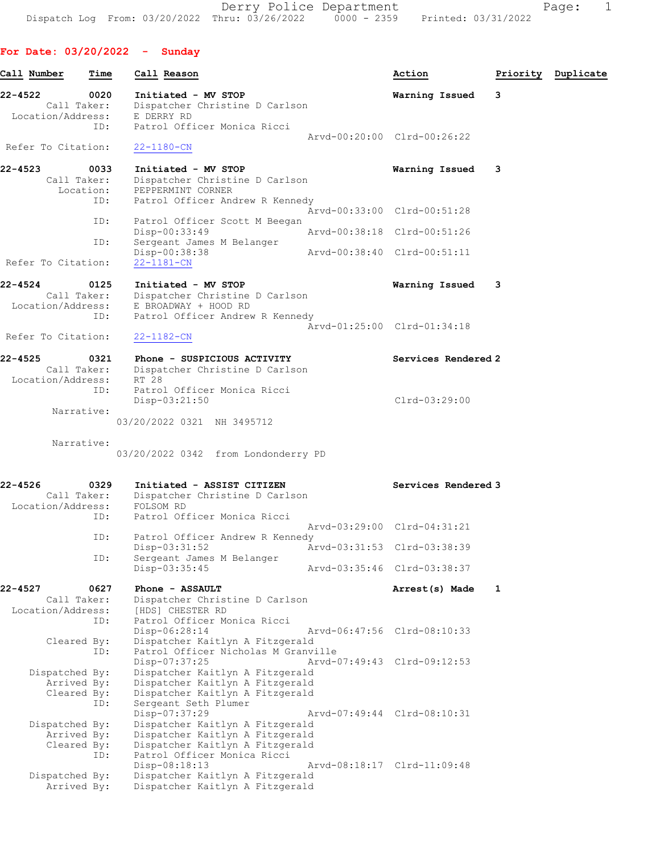Derry Police Department Fage: 1 Dispatch Log From: 03/20/2022 Thru: 03/26/2022 0000 - 2359 Printed: 03/31/2022

For Date: 03/20/2022 - Sunday

Call Number Time Call Reason Action Priority Duplicate 22-4522 0020 Initiated - MV STOP Warning Issued 3 Call Taker: Dispatcher Christine D Carlson Location/Address: E DERRY RD ID: Patrol Officer Monica Ricci Arvd-00:20:00 Clrd-00:26:22<br>22-1180-CN Refer To Citation: 22-4523 0033 Initiated - MV STOP Warning Issued 3 Call Taker: Dispatcher Christine D Carlson Location: PEPPERMINT CORNER ID: Patrol Officer Andrew R Kennedy Arvd-00:33:00 Clrd-00:51:28 ID: Patrol Officer Scott M Beegan<br>Disp-00:33:49 Disp-00:33:49 <br>
D: Sergeant James M Belanger<br>
D: Sergeant James M Belanger Sergeant James M Belanger Disp-00:38:38 Arvd-00:38:40 Clrd-00:51:11<br>22-1181-CN Refer To Citation: 22-4524 0125 Initiated - MV STOP Warning Issued 3 Call Taker: Dispatcher Christine D Carlson Location/Address: E BROADWAY + HOOD RD ID: Patrol Officer Andrew R Kennedy Arvd-01:25:00 Clrd-01:34:18 Refer To Citation: 22-1182-CN 22-4525 0321 Phone - SUSPICIOUS ACTIVITY Services Rendered 2 Call Taker: Dispatcher Christine D Carlson Location/Address: RT 28 ID: Patrol Officer Monica Ricci Disp-03:21:50 Clrd-03:29:00 Narrative: 03/20/2022 0321 NH 3495712 Narrative: 03/20/2022 0342 from Londonderry PD 22-4526 0329 Initiated - ASSIST CITIZEN Services Rendered 3 Call Taker: Dispatcher Christine D Carlson Location/Address: FOLSOM RD ID: Patrol Officer Monica Ricci Arvd-03:29:00 Clrd-04:31:21 ID: Patrol Officer Andrew R Kennedy<br>Disp-03:31:52 Ar Disp-03:31:52 <br>
D: Sergeant James M Belanger<br>
D: Sergeant James M Belanger

Sergeant James M Belanger<br>Disp-03:35:45 Disp-03:35:45 Arvd-03:35:46 Clrd-03:38:37 22-4527 0627 Phone - ASSAULT **Arrest(s)** Made 1 Call Taker: Dispatcher Christine D Carlson Location/Address: [HDS] CHESTER RD ID: Patrol Officer Monica Ricci Disp-06:28:14 Arvd-06:47:56 Clrd-08:10:33 Cleared By: Dispatcher Kaitlyn A Fitzgerald ID: Patrol Officer Nicholas M Granville Disp-07:37:25 Arvd-07:49:43 Clrd-09:12:53 Dispatched By: Dispatcher Kaitlyn A Fitzgerald Arrived By: Dispatcher Kaitlyn A Fitzgerald Cleared By: Dispatcher Kaitlyn A Fitzgerald ID: Sergeant Seth Plumer Disp-07:37:29 Arvd-07:49:44 Clrd-08:10:31<br>Dispatched By: Dispatcher Kaitlyn A Fitzgerald Dispatcher Kaitlyn A Fitzgerald Arrived By: Dispatcher Kaitlyn A Fitzgerald Cleared By: Dispatcher Kaitlyn A Fitzgerald ID: Patrol Officer Monica Ricci Disp-08:18:13 Arvd-08:18:17 Clrd-11:09:48 Dispatched By: Dispatcher Kaitlyn A Fitzgerald Arrived By: Dispatcher Kaitlyn A Fitzgerald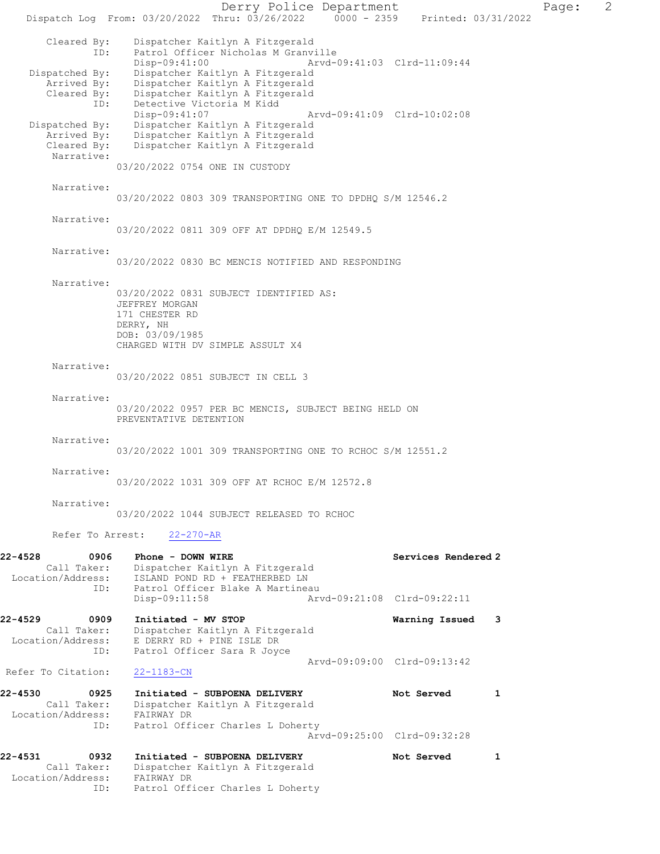Derry Police Department Page: 2 Dispatch Log From: 03/20/2022 Thru: 03/26/2022 0000 - 2359 Printed: 03/31/2022 Cleared By: Dispatcher Kaitlyn A Fitzgerald ID: Patrol Officer Nicholas M Granville<br>Disp-09:41:00 Arvd- Disp-09:41:00 Arvd-09:41:03 Clrd-11:09:44 Dispatched By: Dispatcher Kaitlyn A Fitzgerald Arrived By: Dispatcher Kaitlyn A Fitzgerald Cleared By: Dispatcher Kaitlyn A Fitzgerald ID: Detective Victoria M Kidd<br>Disp-09:41:07 Disp-09:41:07 Arvd-09:41:09 Clrd-10:02:08 Dispatched By: Dispatcher Kaitlyn A Fitzgerald Arrived By: Dispatcher Kaitlyn A Fitzgerald Cleared By: Dispatcher Kaitlyn A Fitzgerald Narrative: 03/20/2022 0754 ONE IN CUSTODY Narrative: 03/20/2022 0803 309 TRANSPORTING ONE TO DPDHQ S/M 12546.2 Narrative: 03/20/2022 0811 309 OFF AT DPDHQ E/M 12549.5 Narrative: 03/20/2022 0830 BC MENCIS NOTIFIED AND RESPONDING Narrative: 03/20/2022 0831 SUBJECT IDENTIFIED AS: JEFFREY MORGAN 171 CHESTER RD DERRY, NH DOB: 03/09/1985 CHARGED WITH DV SIMPLE ASSULT X4 Narrative: 03/20/2022 0851 SUBJECT IN CELL 3 Narrative: 03/20/2022 0957 PER BC MENCIS, SUBJECT BEING HELD ON PREVENTATIVE DETENTION Narrative: 03/20/2022 1001 309 TRANSPORTING ONE TO RCHOC S/M 12551.2 Narrative: 03/20/2022 1031 309 OFF AT RCHOC E/M 12572.8 Narrative: 03/20/2022 1044 SUBJECT RELEASED TO RCHOC Refer To Arrest: 22-270-AR 22-4528 0906 Phone - DOWN WIRE Services Rendered 2 Call Taker: Dispatcher Kaitlyn A Fitzgerald Location/Address: ISLAND POND RD + FEATHERBED LN ID: Patrol Officer Blake A Martineau<br>Disp-09:11:58 Art Disp-09:11:58 Arvd-09:21:08 Clrd-09:22:11 22-4529 0909 Initiated - MV STOP Warning Issued 3 Call Taker: Dispatcher Kaitlyn A Fitzgerald Location/Address: E DERRY RD + PINE ISLE DR ID: Patrol Officer Sara R Joyce Arvd-09:09:00 Clrd-09:13:42<br>22-1183-CN Refer To Citation: 22-4530 0925 Initiated - SUBPOENA DELIVERY Not Served 1 Call Taker: Dispatcher Kaitlyn A Fitzgerald Location/Address: FAIRWAY DR ID: Patrol Officer Charles L Doherty Arvd-09:25:00 Clrd-09:32:28 22-4531 0932 Initiated - SUBPOENA DELIVERY Not Served 1 Call Taker: Dispatcher Kaitlyn A Fitzgerald Location/Address: FAIRWAY DR ID: Patrol Officer Charles L Doherty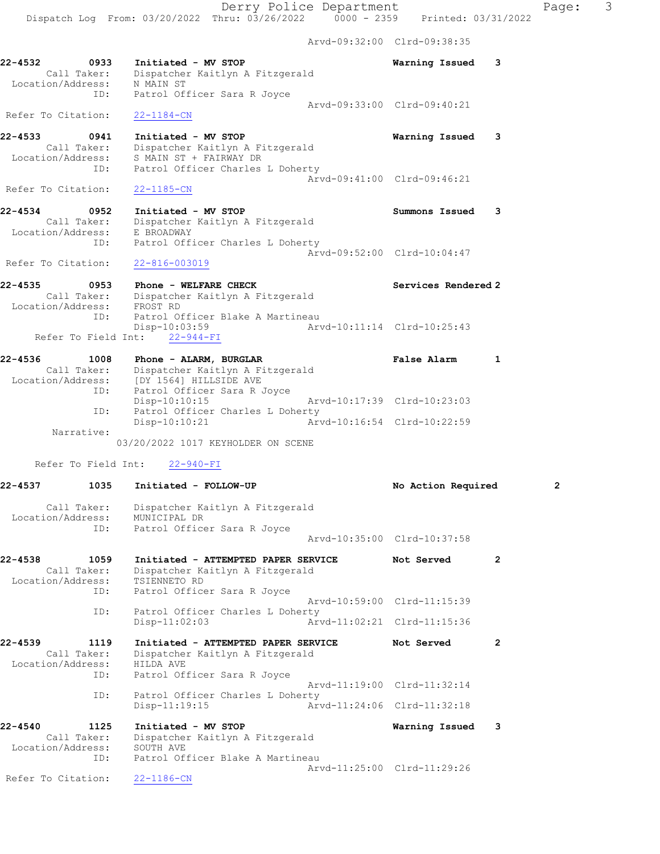Arvd-09:32:00 Clrd-09:38:35

 Call Taker: Dispatcher Kaitlyn A Fitzgerald Location/Address: N MAIN ST ID: Patrol Officer Sara R Joyce Arvd-09:33:00 Clrd-09:40:21 Refer To Citation: 22-1184-CN 22-4533 0941 Initiated - MV STOP Warning Issued 3 Call Taker: Dispatcher Kaitlyn A Fitzgerald Location/Address: S MAIN ST + FAIRWAY DR ID: Patrol Officer Charles L Doherty Arvd-09:41:00 Clrd-09:46:21 Refer To Citation: 22-1185-CN

22-4532 0933 Initiated - MV STOP Warning Issued 3

22-4534 0952 Initiated - MV STOP Summons Issued 3 Call Taker: Dispatcher Kaitlyn A Fitzgerald Location/Address: E BROADWAY ID: Patrol Officer Charles L Doherty Arvd-09:52:00 Clrd-10:04:47 Refer To Citation: 22-816-003019

22-4535 0953 Phone - WELFARE CHECK Services Rendered 2 Call Taker: Dispatcher Kaitlyn A Fitzgerald Location/Address: FROST RD ID: Patrol Officer Blake A Martineau Disp-10:03:59 Arvd-10:11:14 Clrd-10:25:43 Refer To Field Int:  $22-944-FI$ 

| $22 - 4536$       | 1008        | Phone - ALARM, BURGLAR           | False Alarm                 |  |
|-------------------|-------------|----------------------------------|-----------------------------|--|
|                   | Call Taker: | Dispatcher Kaitlyn A Fitzgerald  |                             |  |
| Location/Address: |             | [DY 1564] HILLSIDE AVE           |                             |  |
|                   | ID:         | Patrol Officer Sara R Joyce      |                             |  |
|                   |             | Disp-10:10:15                    | Arvd-10:17:39 Clrd-10:23:03 |  |
|                   | ID:         | Patrol Officer Charles L Doherty |                             |  |
|                   |             | Disp-10:10:21                    | Arvd-10:16:54 Clrd-10:22:59 |  |
|                   | Narrative:  |                                  |                             |  |

03/20/2022 1017 KEYHOLDER ON SCENE

Refer To Field Int: 22-940-FI

| 22-4537<br>1035                                            | Initiated - FOLLOW-UP                                                                                                 | No Action Required                            |                | $\overline{2}$ |
|------------------------------------------------------------|-----------------------------------------------------------------------------------------------------------------------|-----------------------------------------------|----------------|----------------|
| Call Taker:<br>Location/Address: MUNICIPAL DR              | Dispatcher Kaitlyn A Fitzgerald                                                                                       |                                               |                |                |
| ID:                                                        | Patrol Officer Sara R Joyce                                                                                           | Arvd-10:35:00 Clrd-10:37:58                   |                |                |
| 22-4538<br>1059<br>Call Taker:<br>Location/Address:<br>ID: | Initiated - ATTEMPTED PAPER SERVICE<br>Dispatcher Kaitlyn A Fitzgerald<br>TSIENNETO RD<br>Patrol Officer Sara R Joyce | Not Served                                    | $\overline{2}$ |                |
| ID:                                                        | Patrol Officer Charles L Doherty<br>Arvd-11:02:21 Clrd-11:15:36<br>$Disp-11:02:03$                                    | Aryd-10:59:00 Clrd-11:15:39                   |                |                |
| $22 - 4539$<br>1119<br>Call Taker:                         | Initiated - ATTEMPTED PAPER SERVICE                                                                                   | Not Served                                    | $\overline{2}$ |                |
| Location/Address:<br>ID:                                   | Dispatcher Kaitlyn A Fitzgerald<br>HILDA AVE<br>Patrol Officer Sara R Joyce                                           |                                               |                |                |
| ID:                                                        | Patrol Officer Charles L Doherty                                                                                      | Aryd-11:19:00 Clrd-11:32:14                   |                |                |
| $22 - 4540$<br>1125                                        | Disp-11:19:15<br>Initiated - MV STOP                                                                                  | Arvd-11:24:06 Clrd-11:32:18<br>Warning Issued | 3              |                |
| Call Taker:<br>Location/Address:<br>ID:                    | Dispatcher Kaitlyn A Fitzgerald<br>SOUTH AVE<br>Patrol Officer Blake A Martineau                                      |                                               |                |                |
| Refer To Citation:                                         | $22 - 1186 - CN$                                                                                                      | Arvd-11:25:00 Clrd-11:29:26                   |                |                |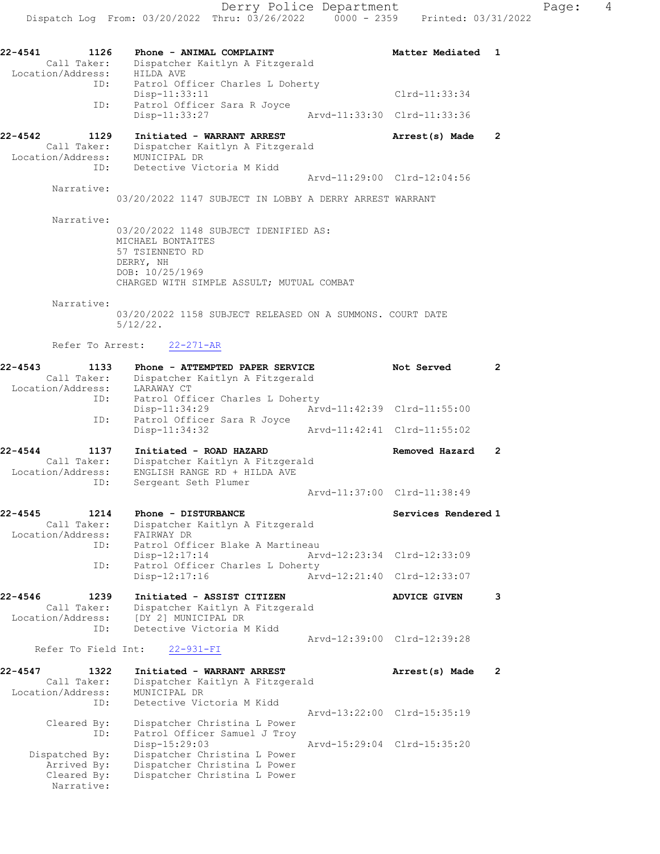22-4541 1126 Phone - ANIMAL COMPLAINT Netter Matter Mediated 1 Call Taker: Dispatcher Kaitlyn A Fitzgerald Location/Address: HILDA AVE ID: Patrol Officer Charles L Doherty Disp-11:33:11 Clrd-11:33:34 ID: Patrol Officer Sara R Joyce Disp-11:33:27 Arvd-11:33:30 Clrd-11:33:36 22-4542 1129 Initiated - WARRANT ARREST Arrest(s) Made 2 Call Taker: Dispatcher Kaitlyn A Fitzgerald Location/Address: MUNICIPAL DR ID: Detective Victoria M Kidd Arvd-11:29:00 Clrd-12:04:56 Narrative: 03/20/2022 1147 SUBJECT IN LOBBY A DERRY ARREST WARRANT Narrative: 03/20/2022 1148 SUBJECT IDENIFIED AS: MICHAEL BONTAITES 57 TSIENNETO RD DERRY, NH DOB: 10/25/1969 CHARGED WITH SIMPLE ASSULT; MUTUAL COMBAT Narrative: 03/20/2022 1158 SUBJECT RELEASED ON A SUMMONS. COURT DATE 5/12/22. Refer To Arrest: 22-271-AR 22-4543 1133 Phone - ATTEMPTED PAPER SERVICE Not Served 2 Call Taker: Dispatcher Kaitlyn A Fitzgerald Location/Address: LARAWAY CT ID: Patrol Officer Charles L Doherty Disp-11:34:29 Arvd-11:42:39 Clrd-11:55:00 ID: Patrol Officer Sara R Joyce Disp-11:34:32 Arvd-11:42:41 Clrd-11:55:02 22-4544 1137 Initiated - ROAD HAZARD Removed Hazard 2 Call Taker: Dispatcher Kaitlyn A Fitzgerald Location/Address: ENGLISH RANGE RD + HILDA AVE ID: Sergeant Seth Plumer Arvd-11:37:00 Clrd-11:38:49 22-4545 1214 Phone - DISTURBANCE Services Rendered 1 Call Taker: Dispatcher Kaitlyn A Fitzgerald Location/Address: FAIRWAY DR ID: Patrol Officer Blake A Martineau Disp-12:17:14 Arvd-12:23:34 Clrd-12:33:09 ID: Patrol Officer Charles L Doherty Disp-12:17:16 Arvd-12:21:40 Clrd-12:33:07 22-4546 1239 Initiated - ASSIST CITIZEN ADVICE GIVEN 3 Call Taker: Dispatcher Kaitlyn A Fitzgerald Location/Address: [DY 2] MUNICIPAL DR ID: Detective Victoria M Kidd Arvd-12:39:00 Clrd-12:39:28 Refer To Field Int: 22-931-FI 22-4547 1322 Initiated - WARRANT ARREST Arrest(s) Made 2 Call Taker: Dispatcher Kaitlyn A Fitzgerald Location/Address: MUNICIPAL DR ID: Detective Victoria M Kidd Arvd-13:22:00 Clrd-15:35:19 Cleared By: Dispatcher Christina L Power ID: Patrol Officer Samuel J Troy Disp-15:29:03 Arvd-15:29:04 Clrd-15:35:20 Dispatched By: Dispatcher Christina L Power Arrived By: Dispatcher Christina L Power Cleared By: Dispatcher Christina L Power Narrative: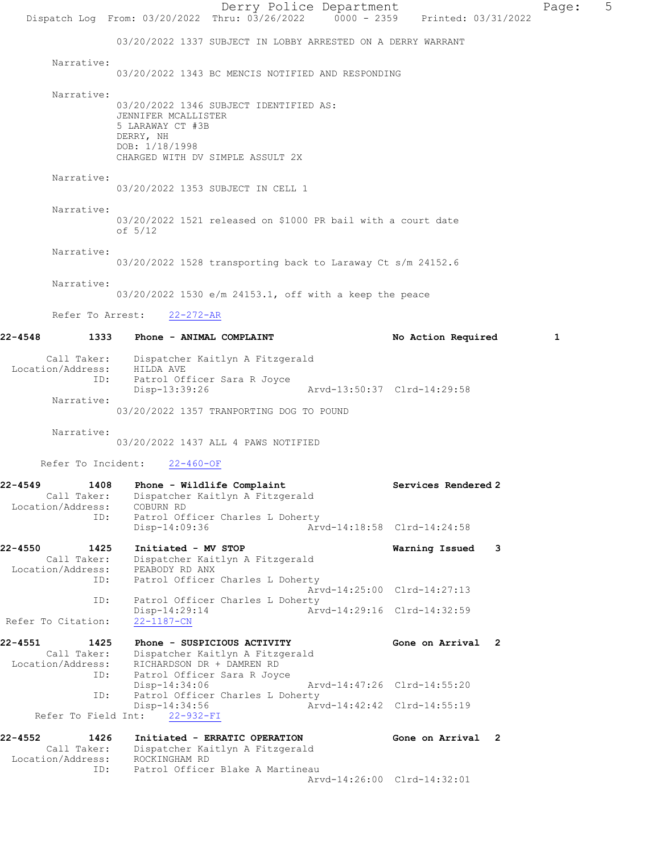Derry Police Department Page: 5 Dispatch Log From: 03/20/2022 Thru: 03/26/2022 0000 - 2359 Printed: 03/31/2022 03/20/2022 1337 SUBJECT IN LOBBY ARRESTED ON A DERRY WARRANT Narrative: 03/20/2022 1343 BC MENCIS NOTIFIED AND RESPONDING Narrative: 03/20/2022 1346 SUBJECT IDENTIFIED AS: JENNIFER MCALLISTER 5 LARAWAY CT #3B DERRY, NH DOB: 1/18/1998 CHARGED WITH DV SIMPLE ASSULT 2X Narrative: 03/20/2022 1353 SUBJECT IN CELL 1 Narrative: 03/20/2022 1521 released on \$1000 PR bail with a court date of 5/12 Narrative: 03/20/2022 1528 transporting back to Laraway Ct s/m 24152.6 Narrative: 03/20/2022 1530 e/m 24153.1, off with a keep the peace Refer To Arrest: 22-272-AR 22-4548 1333 Phone - ANIMAL COMPLAINT No Action Required 1 Call Taker: Dispatcher Kaitlyn A Fitzgerald Location/Address: HILDA AVE ID: Patrol Officer Sara R Joyce Disp-13:39:26 Arvd-13:50:37 Clrd-14:29:58 Narrative: 03/20/2022 1357 TRANPORTING DOG TO POUND Narrative: 03/20/2022 1437 ALL 4 PAWS NOTIFIED Refer To Incident: 22-460-OF 22-4549 1408 Phone - Wildlife Complaint Number 2 Services Rendered 2 Call Taker: Dispatcher Kaitlyn A Fitzgerald Location/Address: COBURN RD ID: Patrol Officer Charles L Doherty Disp-14:09:36 Arvd-14:18:58 Clrd-14:24:58 22-4550 1425 Initiated - MV STOP Warning Issued 3 Call Taker: Dispatcher Kaitlyn A Fitzgerald Location/Address: PEABODY RD ANX ID: Patrol Officer Charles L Doherty Arvd-14:25:00 Clrd-14:27:13 ID: Patrol Officer Charles L Doherty<br>Disp-14:29:14 Arv Disp-14:29:14 Arvd-14:29:16 Clrd-14:32:59 Refer To Citation: 22-1187-CN 22-4551 1425 Phone - SUSPICIOUS ACTIVITY Gone on Arrival 2 Call Taker: Dispatcher Kaitlyn A Fitzgerald Location/Address: RICHARDSON DR + DAMREN RD ID: Patrol Officer Sara R Joyce Disp-14:34:06 Arvd-14:47:26 Clrd-14:55:20<br>ID: Patrol Officer Charles L Doherty Patrol Officer Charles L Doherty<br>Disp-14:34:56 Art -14:34:56 Arvd-14:42:42 Clrd-14:55:19<br>22-932-FI Refer To Field Int: 22-4552 1426 Initiated - ERRATIC OPERATION Gone on Arrival 2 Call Taker: Dispatcher Kaitlyn A Fitzgerald Location/Address: ROCKINGHAM RD ID: Patrol Officer Blake A Martineau Arvd-14:26:00 Clrd-14:32:01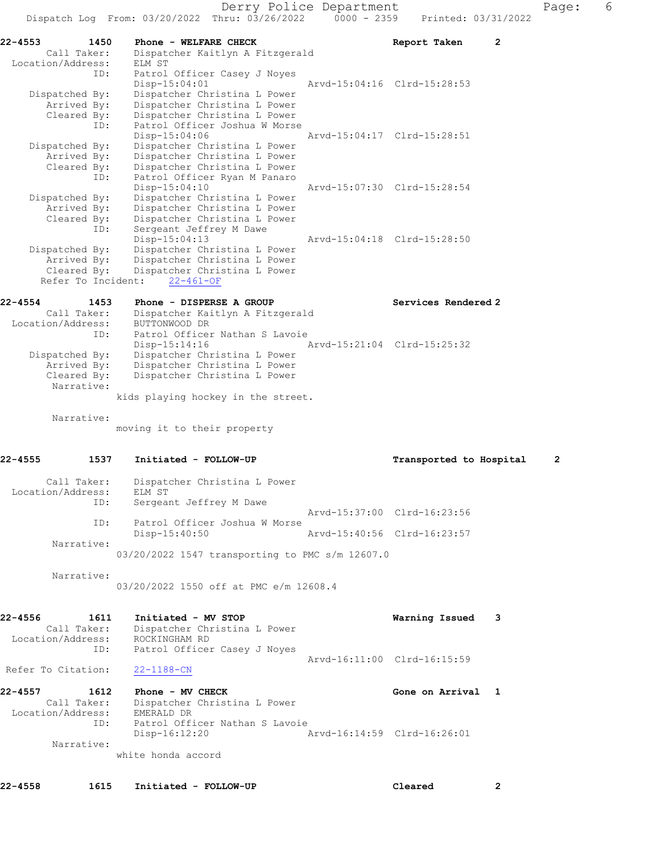|                   |                                   | Dispatch Log From: 03/20/2022 Thru: 03/26/2022           | $0000 - 2359$ | Printed: 03/31/2022         |   |
|-------------------|-----------------------------------|----------------------------------------------------------|---------------|-----------------------------|---|
| 22-4553           | 1450<br>Call Taker:               | Phone - WELFARE CHECK<br>Dispatcher Kaitlyn A Fitzgerald |               | Report Taken<br>2           |   |
| Location/Address: |                                   | ELM ST                                                   |               |                             |   |
|                   | ID:                               | Patrol Officer Casey J Noyes                             |               |                             |   |
|                   |                                   | Disp-15:04:01                                            |               | Aryd-15:04:16 Clrd-15:28:53 |   |
|                   | Dispatched By:                    | Dispatcher Christina L Power                             |               |                             |   |
|                   | Arrived By:                       | Dispatcher Christina L Power                             |               |                             |   |
|                   | Cleared By:                       | Dispatcher Christina L Power                             |               |                             |   |
|                   | ID:                               | Patrol Officer Joshua W Morse                            |               |                             |   |
|                   |                                   | Disp-15:04:06                                            |               | Arvd-15:04:17 Clrd-15:28:51 |   |
|                   | Dispatched By:                    | Dispatcher Christina L Power                             |               |                             |   |
|                   | Arrived By:                       | Dispatcher Christina L Power                             |               |                             |   |
|                   | Cleared By:                       | Dispatcher Christina L Power                             |               |                             |   |
|                   | ID:                               | Patrol Officer Ryan M Panaro                             |               |                             |   |
|                   |                                   | Disp-15:04:10                                            |               | Arvd-15:07:30 Clrd-15:28:54 |   |
|                   | Dispatched By:                    | Dispatcher Christina L Power                             |               |                             |   |
|                   | Arrived By:                       | Dispatcher Christina L Power                             |               |                             |   |
|                   | Cleared By:                       | Dispatcher Christina L Power                             |               |                             |   |
|                   | ID:                               | Sergeant Jeffrey M Dawe                                  |               |                             |   |
|                   |                                   | $Disp-15:04:13$                                          |               | Arvd-15:04:18 Clrd-15:28:50 |   |
|                   | Dispatched By:                    | Dispatcher Christina L Power                             |               |                             |   |
|                   | Arrived By:                       | Dispatcher Christina L Power                             |               |                             |   |
|                   | Cleared By:<br>Refer To Incident: | Dispatcher Christina L Power                             |               |                             |   |
|                   |                                   | $22 - 461 - OF$                                          |               |                             |   |
| 22-4554           | 1453                              | Phone - DISPERSE A GROUP                                 |               | Services Rendered 2         |   |
|                   | Call Taker:                       | Dispatcher Kaitlyn A Fitzgerald                          |               |                             |   |
| Location/Address: |                                   | BUTTONWOOD DR                                            |               |                             |   |
|                   | ID:                               | Patrol Officer Nathan S Lavoie                           |               |                             |   |
|                   |                                   | $Disp-15:14:16$                                          |               | Arvd-15:21:04 Clrd-15:25:32 |   |
|                   | Dispatched By:                    | Dispatcher Christina L Power                             |               |                             |   |
|                   | Arrived By:                       | Dispatcher Christina L Power                             |               |                             |   |
|                   | Cleared By:                       | Dispatcher Christina L Power                             |               |                             |   |
|                   | Narrative:                        |                                                          |               |                             |   |
|                   |                                   | kids playing hockey in the street.                       |               |                             |   |
|                   |                                   |                                                          |               |                             |   |
|                   | Narrative:                        |                                                          |               |                             |   |
|                   |                                   | moving it to their property                              |               |                             |   |
|                   |                                   |                                                          |               |                             |   |
| 22-4555           | 1537                              | Initiated - FOLLOW-UP                                    |               | Transported to Hospital     | 2 |
|                   | Call Taker:                       | Dispatcher Christina L Power                             |               |                             |   |
| Location/Address: |                                   | ELM ST                                                   |               |                             |   |
|                   | ID:                               | Sergeant Jeffrey M Dawe                                  |               |                             |   |
|                   |                                   |                                                          |               | Arvd-15:37:00 Clrd-16:23:56 |   |
|                   | ID:                               | Patrol Officer Joshua W Morse                            |               |                             |   |
|                   |                                   | Disp-15:40:50                                            |               | Arvd-15:40:56 Clrd-16:23:57 |   |
|                   | Narrative:                        |                                                          |               |                             |   |
|                   |                                   | 03/20/2022 1547 transporting to PMC s/m 12607.0          |               |                             |   |
|                   |                                   |                                                          |               |                             |   |
|                   | Narrative:                        |                                                          |               |                             |   |

03/20/2022 1550 off at PMC e/m 12608.4

| 22-4556           | 1611        | Initiated - MV STOP          | Warning Issued 3            |  |
|-------------------|-------------|------------------------------|-----------------------------|--|
|                   | Call Taker: | Dispatcher Christina L Power |                             |  |
| Location/Address: |             | ROCKINGHAM RD                |                             |  |
|                   | ID:         | Patrol Officer Casey J Noyes |                             |  |
|                   |             |                              | Aryd-16:11:00 Clrd-16:15:59 |  |

Refer To Citation: 22-1188-CN

| 22-4557           | 1612        | Phone - MV CHECK               | Gone on Arrival 1           |  |
|-------------------|-------------|--------------------------------|-----------------------------|--|
|                   | Call Taker: | Dispatcher Christina L Power   |                             |  |
| Location/Address: |             | EMERALD DR                     |                             |  |
|                   | ID:         | Patrol Officer Nathan S Lavoie |                             |  |
|                   |             | Disp-16:12:20                  | Arvd-16:14:59 Clrd-16:26:01 |  |
|                   | Narrative:  |                                |                             |  |
|                   |             | white honds sccord             |                             |  |

white honda accord

22-4558 1615 Initiated - FOLLOW-UP Cleared 2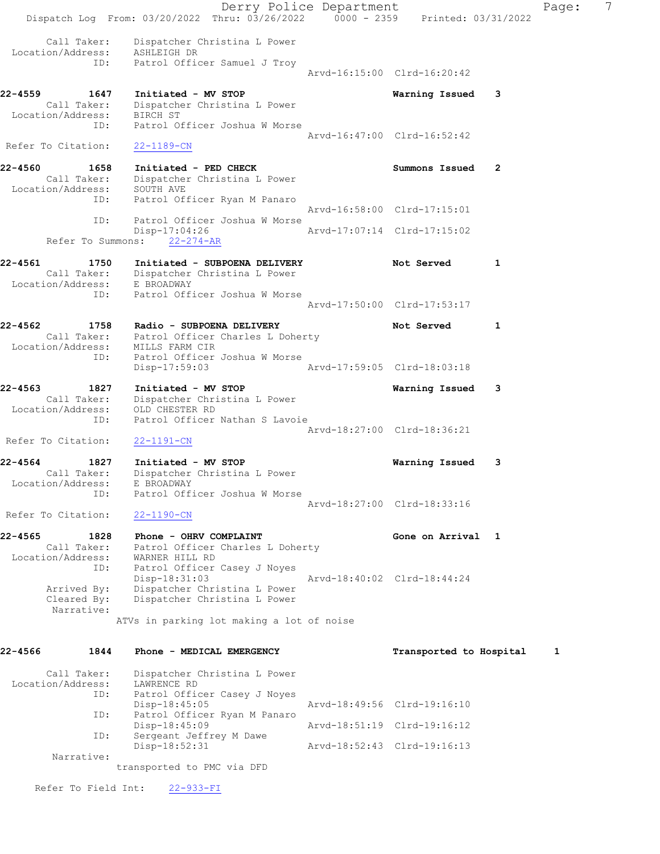|                              |                                                 | Dispatch Log From: 03/20/2022 Thru: 03/26/2022 0000 - 2359 Printed: 03/31/2022                                | Derry Police Department |                             |   | Page: | 7 |
|------------------------------|-------------------------------------------------|---------------------------------------------------------------------------------------------------------------|-------------------------|-----------------------------|---|-------|---|
|                              | Call Taker:                                     | Dispatcher Christina L Power<br>Location/Address: ASHLEIGH DR<br>ID: Patrol Officer Samuel J Troy             |                         | Arvd-16:15:00 Clrd-16:20:42 |   |       |   |
| 22-4559                      | 1647                                            | Initiated - MV STOP<br>Call Taker: Dispatcher Christina L Power<br>Location/Address: BIRCH ST                 |                         | Warning Issued              | 3 |       |   |
| Refer To Citation:           | ID:                                             | Patrol Officer Joshua W Morse<br>22-1189-CN                                                                   |                         | Arvd-16:47:00 Clrd-16:52:42 |   |       |   |
| 22-4560                      | 1658<br>Call Taker:                             | Initiated - PED CHECK<br>Dispatcher Christina L Power                                                         |                         | Summons Issued              | 2 |       |   |
|                              | Location/Address:<br>ID:                        | SOUTH AVE<br>Patrol Officer Ryan M Panaro                                                                     |                         | Arvd-16:58:00 Clrd-17:15:01 |   |       |   |
|                              | ID:                                             | Patrol Officer Joshua W Morse<br>Disp-17:04:26<br>Refer To Summons: 22-274-AR                                 |                         | Arvd-17:07:14 Clrd-17:15:02 |   |       |   |
| 22-4561                      | 1750                                            | Initiated - SUBPOENA DELIVERY<br>Call Taker: Dispatcher Christina L Power                                     |                         | Not Served                  | 1 |       |   |
|                              | ID:                                             | Location/Address: E BROADWAY<br>Patrol Officer Joshua W Morse                                                 |                         | Arvd-17:50:00 Clrd-17:53:17 |   |       |   |
| 22-4562                      | 1758<br>Location/Address:                       | Radio - SUBPOENA DELIVERY<br>Call Taker: Patrol Officer Charles L Doherty<br>MILLS FARM CIR                   |                         | Not Served                  | 1 |       |   |
|                              | ID:                                             | Patrol Officer Joshua W Morse<br>$Disp-17:59:03$                                                              |                         | Arvd-17:59:05 Clrd-18:03:18 |   |       |   |
| 22-4563<br>Location/Address: | 1827<br>Call Taker:<br>ID:                      | Initiated - MV STOP<br>Dispatcher Christina L Power<br>OLD CHESTER RD<br>Patrol Officer Nathan S Lavoie       |                         | Warning Issued              | 3 |       |   |
| Refer To Citation:           |                                                 | $22 - 1191 - CN$                                                                                              |                         | Arvd-18:27:00 Clrd-18:36:21 |   |       |   |
| 22-4564<br>Location/Address: | 1827<br>Call Taker:<br>ID:                      | Initiated - MV STOP<br>Dispatcher Christina L Power<br>E BROADWAY<br>Patrol Officer Joshua W Morse            |                         | Warning Issued              | 3 |       |   |
| Refer To Citation:           |                                                 | $22 - 1190 - CN$                                                                                              |                         | Arvd-18:27:00 Clrd-18:33:16 |   |       |   |
| 22-4565<br>Location/Address: | 1828<br>Call Taker:                             | Phone - OHRV COMPLAINT<br>Patrol Officer Charles L Doherty<br>WARNER HILL RD                                  |                         | Gone on Arrival 1           |   |       |   |
|                              | ID:<br>Arrived By:<br>Cleared By:<br>Narrative: | Patrol Officer Casey J Noyes<br>Disp-18:31:03<br>Dispatcher Christina L Power<br>Dispatcher Christina L Power |                         | Arvd-18:40:02 Clrd-18:44:24 |   |       |   |
|                              |                                                 | ATVs in parking lot making a lot of noise                                                                     |                         |                             |   |       |   |
| 22-4566                      | 1844                                            | Phone - MEDICAL EMERGENCY                                                                                     |                         | Transported to Hospital     |   | 1     |   |
| Location/Address:            | Call Taker:<br>ID:                              | Dispatcher Christina L Power<br>LAWRENCE RD<br>Patrol Officer Casey J Noyes<br>$Disp-18:45:05$                |                         | Arvd-18:49:56 Clrd-19:16:10 |   |       |   |
|                              | ID:<br>ID:                                      | Patrol Officer Ryan M Panaro<br>Disp-18:45:09<br>Sergeant Jeffrey M Dawe                                      |                         | Arvd-18:51:19 Clrd-19:16:12 |   |       |   |
|                              | Narrative:                                      | $Disp-18:52:31$<br>transported to PMC via DFD                                                                 |                         | Arvd-18:52:43 Clrd-19:16:13 |   |       |   |
|                              | Refer To Field Int:                             | $22 - 933 - FI$                                                                                               |                         |                             |   |       |   |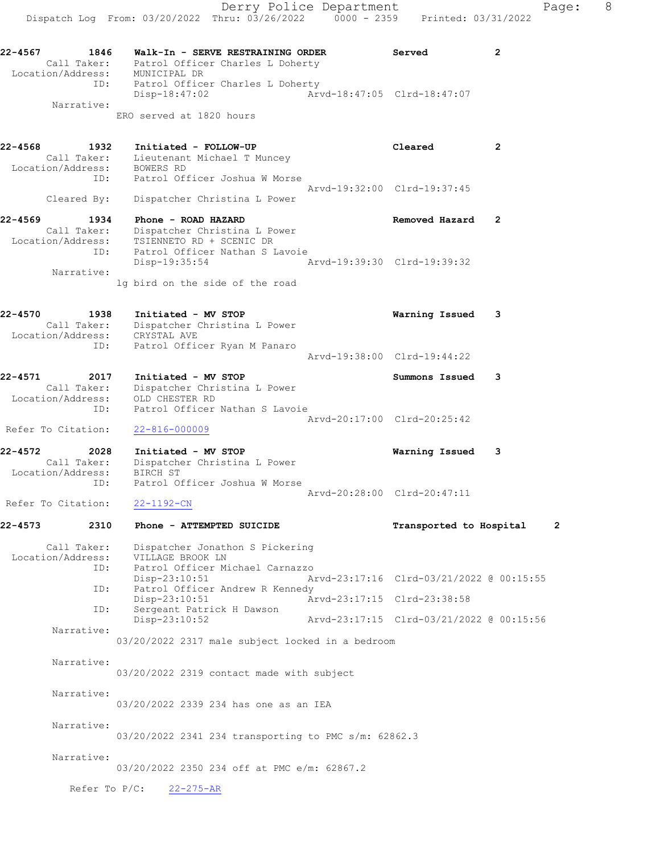ID: Patrol Officer Charles L Doherty Disp-18:47:02 Arvd-18:47:05 Clrd-18:47:07 Narrative:

ERO served at 1820 hours

| 22-4568 | 1932                                            | Initiated - FOLLOW-UP                                                                                                                   | Cleared                     | $\overline{2}$ |
|---------|-------------------------------------------------|-----------------------------------------------------------------------------------------------------------------------------------------|-----------------------------|----------------|
|         | Call Taker:                                     | Lieutenant Michael T Muncey<br>Location/Address: BOWERS RD<br>ID: Patrol Officer Joshua W Morse                                         | Arvd-19:32:00 Clrd-19:37:45 |                |
|         | Cleared By:                                     | Dispatcher Christina L Power                                                                                                            |                             |                |
| 22-4569 | 1934<br>Call Taker:                             | Phone - ROAD HAZARD<br>Dispatcher Christina L Power<br>Location/Address: TSIENNETO RD + SCENIC DR<br>ID: Patrol Officer Nathan S Lavoie | Removed Hazard              | 2              |
|         | Narrative:                                      | Disp-19:35:54<br>lg bird on the side of the road                                                                                        | Arvd-19:39:30 Clrd-19:39:32 |                |
| 22-4570 | 1938<br>Call Taker:<br>Location/Address:<br>ID: | Initiated - MV STOP<br>Dispatcher Christina L Power<br>CRYSTAL AVE<br>Patrol Officer Ryan M Panaro                                      | Warning Issued              | 3              |
|         |                                                 |                                                                                                                                         | Arvd-19:38:00 Clrd-19:44:22 |                |
| 22-4571 | 2017                                            | Initiated - MV STOP                                                                                                                     | Summons Issued              | 3              |

 Call Taker: Dispatcher Christina L Power Location/Address: OLD CHESTER RD ID: Patrol Officer Nathan S Lavoie Arvd-20:17:00 Clrd-20:25:42 Refer To Citation: 22-816-000009

22-4572 2028 Initiated - MV STOP Warning Issued 3 Call Taker: Dispatcher Christina L Power Location/Address: BIRCH ST ID: Patrol Officer Joshua W Morse Arvd-20:28:00 Clrd-20:47:11

Refer To Citation: 22-1192-CN

### 22-4573 2310 Phone - ATTEMPTED SUICIDE Transported to Hospital 2

 Call Taker: Dispatcher Jonathon S Pickering Location/Address: VILLAGE BROOK LN ID: Patrol Officer Michael Carnazzo Disp-23:10:51 Arvd-23:17:16 Clrd-03/21/2022 @ 00:15:55 ID: Patrol Officer Andrew R Kennedy<br>Disp-23:10:51 Ar Disp-23:10:51 <br>
D: Sergeant Patrick H Dawson <br>
D: Sergeant Patrick H Dawson .<br>Sergeant Patrick H Dawson<br>Disp-23:10:52 Disp-23:10:52 Arvd-23:17:15 Clrd-03/21/2022 @ 00:15:56 Narrative:

03/20/2022 2317 male subject locked in a bedroom

Narrative:

03/20/2022 2319 contact made with subject

Narrative:

03/20/2022 2339 234 has one as an IEA

Narrative:

03/20/2022 2341 234 transporting to PMC s/m: 62862.3

Narrative:

03/20/2022 2350 234 off at PMC e/m: 62867.2

Refer To P/C: 22-275-AR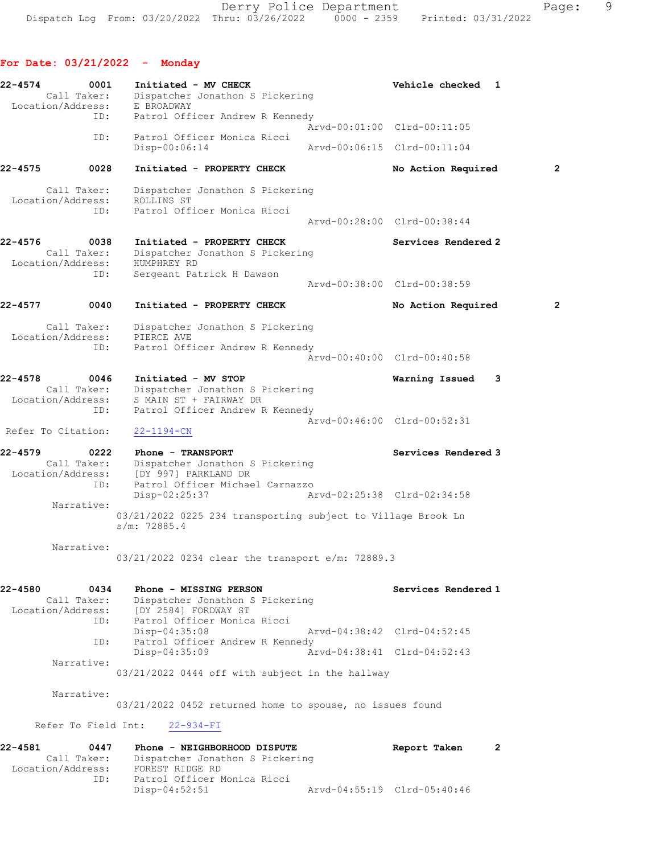For Date: 03/21/2022 - Monday

22-4574 0001 Initiated - MV CHECK Vehicle checked 1 Call Taker: Dispatcher Jonathon S Pickering Location/Address: E BROADWAY ID: Patrol Officer Andrew R Kennedy Arvd-00:01:00 Clrd-00:11:05 ID: Patrol Officer Monica Ricci Disp-00:06:14 Arvd-00:06:15 Clrd-00:11:04 22-4575 0028 Initiated - PROPERTY CHECK No Action Required 2 Call Taker: Dispatcher Jonathon S Pickering Location/Address: ROLLINS ST ID: Patrol Officer Monica Ricci Arvd-00:28:00 Clrd-00:38:44 22-4576 0038 Initiated - PROPERTY CHECK Services Rendered 2 Call Taker: Dispatcher Jonathon S Pickering Location/Address: HUMPHREY RD ID: Sergeant Patrick H Dawson Arvd-00:38:00 Clrd-00:38:59 22-4577 0040 Initiated - PROPERTY CHECK No Action Required 2 Call Taker: Dispatcher Jonathon S Pickering Location/Address: PIERCE AVE ID: Patrol Officer Andrew R Kennedy Arvd-00:40:00 Clrd-00:40:58 22-4578 0046 Initiated - MV STOP Warning Issued 3 Call Taker: Dispatcher Jonathon S Pickering Location/Address: S MAIN ST + FAIRWAY DR ID: Patrol Officer Andrew R Kennedy Arvd-00:46:00 Clrd-00:52:31 Refer To Citation: 22-1194-CN 22-4579 0222 Phone - TRANSPORT Services Rendered 3 Call Taker: Dispatcher Jonathon S Pickering Location/Address: [DY 997] PARKLAND DR ID: Patrol Officer Michael Carnazzo Disp-02:25:37 Arvd-02:25:38 Clrd-02:34:58 Narrative: 03/21/2022 0225 234 transporting subject to Village Brook Ln s/m: 72885.4 Narrative: 03/21/2022 0234 clear the transport e/m: 72889.3 22-4580 0434 Phone - MISSING PERSON Services Rendered 1 Call Taker: Dispatcher Jonathon S Pickering Location/Address: [DY 2584] FORDWAY ST<br>ID: Patrol Officer Monica<br>Disp-04:35:08 Patrol Officer Monica Ricci Disp-04:35:08 Arvd-04:38:42 Clrd-04:52:45 ID: Patrol Officer Andrew R Kennedy<br>Disp-04:35:09 Arv Disp-04:35:09 Arvd-04:38:41 Clrd-04:52:43 Narrative: 03/21/2022 0444 off with subject in the hallway Narrative: 03/21/2022 0452 returned home to spouse, no issues found Refer To Field Int: 22-934-FI 22-4581 0447 Phone - NEIGHBORHOOD DISPUTE Report Taken 2 Call Taker: Dispatcher Jonathon S Pickering Location/Address: FOREST RIDGE RD ID: Patrol Officer Monica Ricci Disp-04:52:51 Arvd-04:55:19 Clrd-05:40:46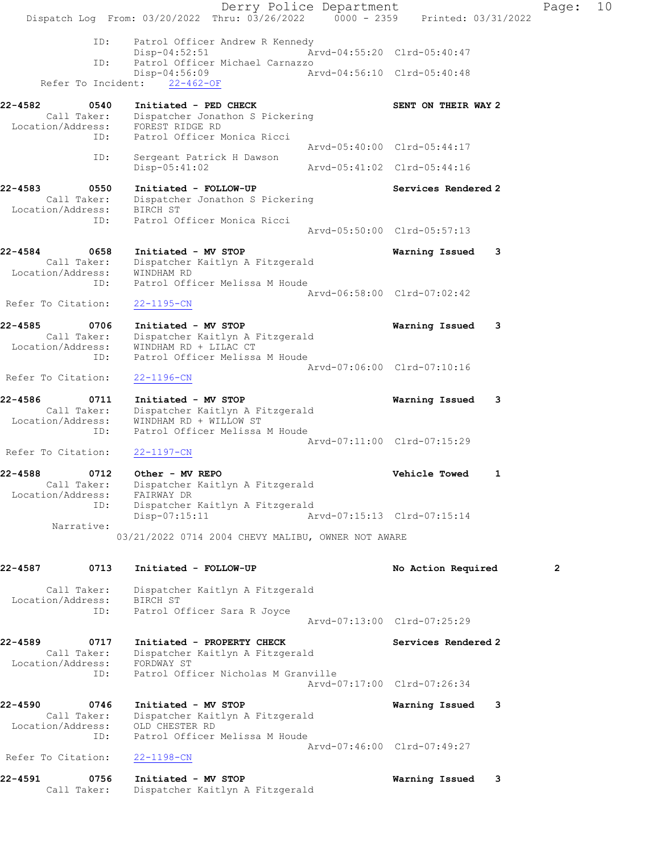Derry Police Department Fage: 10 Dispatch Log From: 03/20/2022 Thru: 03/26/2022 0000 - 2359 Printed: 03/31/2022 ID: Patrol Officer Andrew R Kennedy Disp-04:52:51 Arvd-04:55:20 Clrd-05:40:47<br>ID: Patrol Officer Michael Carnazzo Patrol Officer Michael Carnazzo<br>Disp-04:56:09 Ar Disp-04:56:09 Arvd-04:56:10 Clrd-05:40:48 Refer To Incident: 22-462-OF 22-4582 0540 Initiated - PED CHECK SENT ON THEIR WAY 2 Call Taker: Dispatcher Jonathon S Pickering Location/Address: FOREST RIDGE RD ID: Patrol Officer Monica Ricci Arvd-05:40:00 Clrd-05:44:17 ID: Sergeant Patrick H Dawson Disp-05:41:02 Arvd-05:41:02 Clrd-05:44:16 22-4583 0550 Initiated - FOLLOW-UP Services Rendered 2 Call Taker: Dispatcher Jonathon S Pickering Location/Address: BIRCH ST ID: Patrol Officer Monica Ricci Arvd-05:50:00 Clrd-05:57:13 22-4584 0658 Initiated - MV STOP Warning Issued 3 Call Taker: Dispatcher Kaitlyn A Fitzgerald Location/Address: WINDHAM RD ID: Patrol Officer Melissa M Houde Arvd-06:58:00 Clrd-07:02:42 Refer To Citation: 22-1195-CN 22-4585 0706 Initiated - MV STOP Warning Issued 3 Call Taker: Dispatcher Kaitlyn A Fitzgerald Location/Address: WINDHAM RD + LILAC CT ID: Patrol Officer Melissa M Houde Arvd-07:06:00 Clrd-07:10:16 Refer To Citation: 22-1196-CN 22-4586 0711 Initiated - MV STOP Warning Issued 3 Call Taker: Dispatcher Kaitlyn A Fitzgerald Location/Address: WINDHAM RD + WILLOW ST ID: Patrol Officer Melissa M Houde Arvd-07:11:00 Clrd-07:15:29 Refer To Citation: 22-1197-CN 22-4588 0712 Other - MV REPO Vehicle Towed 1 Call Taker: Dispatcher Kaitlyn A Fitzgerald Location/Address: FAIRWAY DR ID: Dispatcher Kaitlyn A Fitzgerald Disp-07:15:11 Arvd-07:15:13 Clrd-07:15:14 Narrative: 03/21/2022 0714 2004 CHEVY MALIBU, OWNER NOT AWARE 22-4587 0713 Initiated - FOLLOW-UP No Action Required 2 Call Taker: Dispatcher Kaitlyn A Fitzgerald Location/Address: BIRCH ST ID: Patrol Officer Sara R Joyce Arvd-07:13:00 Clrd-07:25:29 22-4589 0717 Initiated - PROPERTY CHECK Services Rendered 2 Call Taker: Dispatcher Kaitlyn A Fitzgerald Location/Address: FORDWAY ST ID: Patrol Officer Nicholas M Granville Arvd-07:17:00 Clrd-07:26:34 22-4590 0746 Initiated - MV STOP Warning Issued 3 Call Taker: Dispatcher Kaitlyn A Fitzgerald Location/Address: OLD CHESTER RD ID: Patrol Officer Melissa M Houde Arvd-07:46:00 Clrd-07:49:27 Refer To Citation: 22-1198-CN 22-4591 0756 Initiated - MV STOP Warning Issued 3 Call Taker: Dispatcher Kaitlyn A Fitzgerald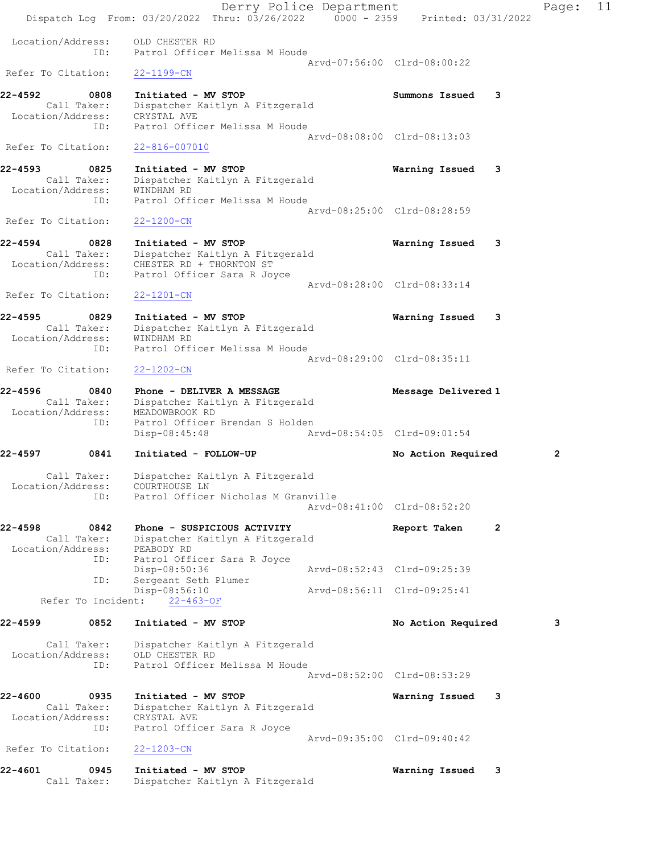Derry Police Department Fage: 11 Dispatch Log From: 03/20/2022 Thru: 03/26/2022 0000 - 2359 Printed: 03/31/2022 Location/Address: OLD CHESTER RD ID: Patrol Officer Melissa M Houde Arvd-07:56:00 Clrd-08:00:22 Refer To Citation: 22-1199-CN 22-4592 0808 Initiated - MV STOP Summons Issued 3 Call Taker: Dispatcher Kaitlyn A Fitzgerald Location/Address: CRYSTAL AVE ID: Patrol Officer Melissa M Houde Arvd-08:08:00 Clrd-08:13:03 Refer To Citation: 22-816-007010 22-4593 0825 Initiated - MV STOP Warning Issued 3 Call Taker: Dispatcher Kaitlyn A Fitzgerald Location/Address: WINDHAM RD ID: Patrol Officer Melissa M Houde Arvd-08:25:00 Clrd-08:28:59 Refer To Citation: 22-1200-CN 22-4594 0828 Initiated - MV STOP Warning Issued 3 Call Taker: Dispatcher Kaitlyn A Fitzgerald Location/Address: CHESTER RD + THORNTON ST ID: Patrol Officer Sara R Joyce Arvd-08:28:00 Clrd-08:33:14 Refer To Citation: 22-1201-CN 22-4595 0829 Initiated - MV STOP Warning Issued 3 Call Taker: Dispatcher Kaitlyn A Fitzgerald Location/Address: WINDHAM RD ID: Patrol Officer Melissa M Houde Arvd-08:29:00 Clrd-08:35:11 Refer To Citation: 22-1202-CN 22-4596 0840 Phone - DELIVER A MESSAGE Message Delivered 1 Call Taker: Dispatcher Kaitlyn A Fitzgerald Location/Address: MEADOWBROOK RD ID: Patrol Officer Brendan S Holden Disp-08:45:48 Arvd-08:54:05 Clrd-09:01:54 22-4597 0841 Initiated - FOLLOW-UP No Action Required 2 Call Taker: Dispatcher Kaitlyn A Fitzgerald Location/Address: COURTHOUSE LN ID: Patrol Officer Nicholas M Granville Arvd-08:41:00 Clrd-08:52:20 22-4598 0842 Phone - SUSPICIOUS ACTIVITY Report Taken 2 Call Taker: Dispatcher Kaitlyn A Fitzgerald Location/Address: PEABODY RD ID: Patrol Officer Sara R Joyce Disp-08:50:36 Arvd-08:52:43 Clrd-09:25:39 ID: Sergeant Seth Plumer Disp-08:56:10 Arvd-08:56:11 Clrd-09:25:41 Refer To Incident: 22-463-OF 22-4599 0852 Initiated - MV STOP No Action Required 3 Call Taker: Dispatcher Kaitlyn A Fitzgerald Location/Address: OLD CHESTER RD ID: Patrol Officer Melissa M Houde Arvd-08:52:00 Clrd-08:53:29 22-4600 0935 Initiated - MV STOP Warning Issued 3 Call Taker: Dispatcher Kaitlyn A Fitzgerald Location/Address: CRYSTAL AVE ID: Patrol Officer Sara R Joyce Arvd-09:35:00 Clrd-09:40:42 Refer To Citation: 22-1203-CN 22-4601 0945 Initiated - MV STOP Warning Issued 3 Call Taker: Dispatcher Kaitlyn A Fitzgerald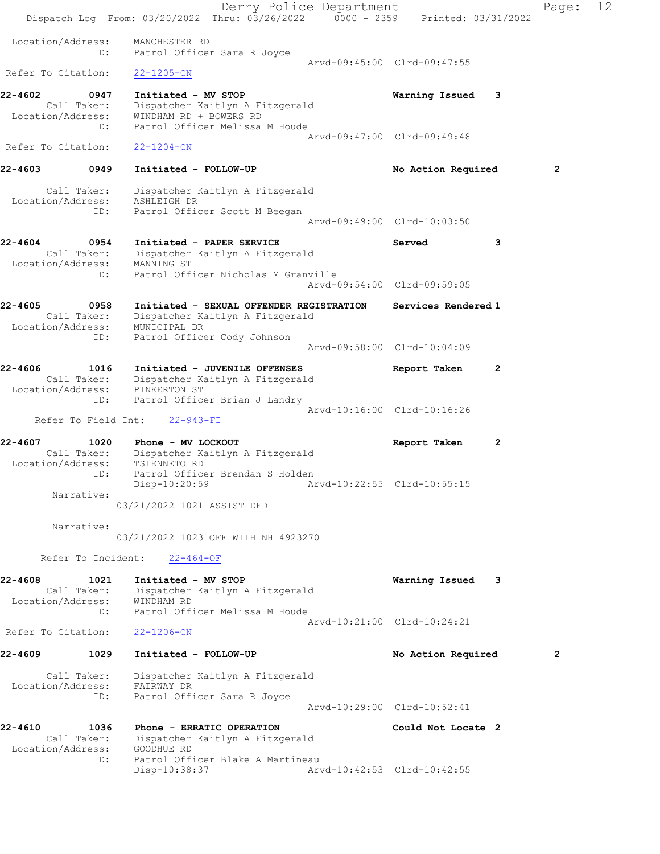Derry Police Department Fage: 12 Dispatch Log From: 03/20/2022 Thru: 03/26/2022 0000 - 2359 Printed: 03/31/2022 Location/Address: MANCHESTER RD ID: Patrol Officer Sara R Joyce Arvd-09:45:00 Clrd-09:47:55 Refer To Citation: 22-1205-CN 22-4602 0947 Initiated - MV STOP Warning Issued 3 Call Taker: Dispatcher Kaitlyn A Fitzgerald Location/Address: WINDHAM RD + BOWERS RD ID: Patrol Officer Melissa M Houde Arvd-09:47:00 Clrd-09:49:48 Refer To Citation: 22-1204-CN 22-4603 0949 Initiated - FOLLOW-UP No Action Required 2 Call Taker: Dispatcher Kaitlyn A Fitzgerald Location/Address: ASHLEIGH DR ID: Patrol Officer Scott M Beegan Arvd-09:49:00 Clrd-10:03:50 22-4604 0954 Initiated - PAPER SERVICE Served 3 Call Taker: Dispatcher Kaitlyn A Fitzgerald Location/Address: MANNING ST ID: Patrol Officer Nicholas M Granville Arvd-09:54:00 Clrd-09:59:05 22-4605 0958 Initiated - SEXUAL OFFENDER REGISTRATION Services Rendered 1 Call Taker: Dispatcher Kaitlyn A Fitzgerald Location/Address: MUNICIPAL DR ID: Patrol Officer Cody Johnson Arvd-09:58:00 Clrd-10:04:09 22-4606 1016 Initiated - JUVENILE OFFENSES Report Taken 2 Call Taker: Dispatcher Kaitlyn A Fitzgerald Location/Address: PINKERTON ST ID: Patrol Officer Brian J Landry Arvd-10:16:00 Clrd-10:16:26 Refer To Field Int: 22-943-FI 22-4607 1020 Phone - MV LOCKOUT Report Taken 2 Call Taker: Dispatcher Kaitlyn A Fitzgerald Location/Address: TSIENNETO RD ID: Patrol Officer Brendan S Holden Disp-10:20:59 Arvd-10:22:55 Clrd-10:55:15 Narrative: 03/21/2022 1021 ASSIST DFD Narrative: 03/21/2022 1023 OFF WITH NH 4923270 Refer To Incident: 22-464-OF 22-4608 1021 Initiated - MV STOP Warning Issued 3 Call Taker: Dispatcher Kaitlyn A Fitzgerald Location/Address: WINDHAM RD ID: Patrol Officer Melissa M Houde Arvd-10:21:00 Clrd-10:24:21 Refer To Citation: 22-1206-CN 22-4609 1029 Initiated - FOLLOW-UP No Action Required 2 Call Taker: Dispatcher Kaitlyn A Fitzgerald Location/Address: FAIRWAY DR ID: Patrol Officer Sara R Joyce Arvd-10:29:00 Clrd-10:52:41 22-4610 1036 Phone - ERRATIC OPERATION Could Not Locate 2 Call Taker: Dispatcher Kaitlyn A Fitzgerald Location/Address: GOODHUE RD ID: Patrol Officer Blake A Martineau<br>Disp-10:38:37 Art Arvd-10:42:53 Clrd-10:42:55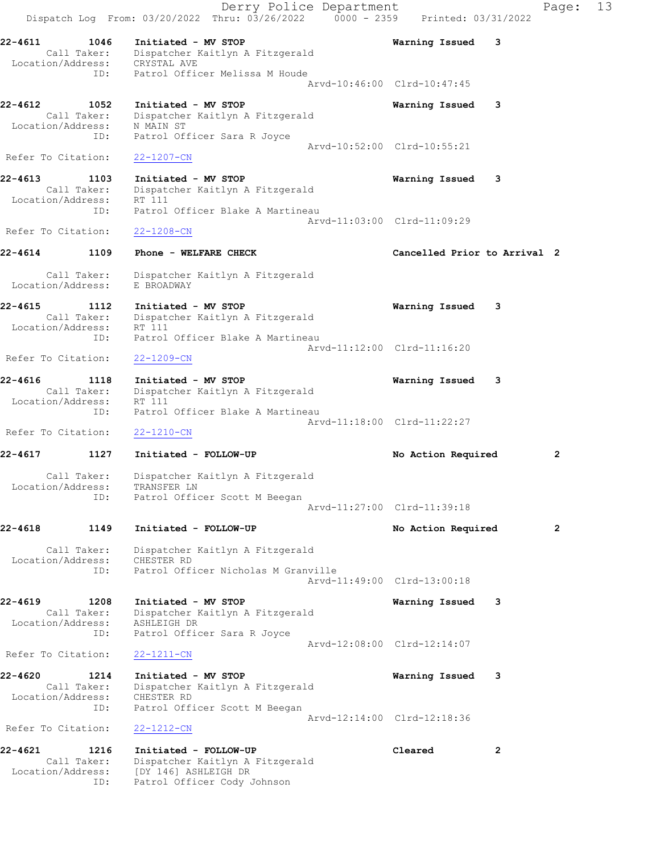Derry Police Department Fage: 13 Dispatch Log From: 03/20/2022 Thru: 03/26/2022 0000 - 2359 Printed: 03/31/2022 22-4611 1046 Initiated - MV STOP Warning Issued 3 Call Taker: Dispatcher Kaitlyn A Fitzgerald Location/Address: CRYSTAL AVE ID: Patrol Officer Melissa M Houde Arvd-10:46:00 Clrd-10:47:45 22-4612 1052 Initiated - MV STOP Warning Issued 3 Call Taker: Dispatcher Kaitlyn A Fitzgerald Location/Address: N MAIN ST ID: Patrol Officer Sara R Joyce Arvd-10:52:00 Clrd-10:55:21 Refer To Citation: 22-1207-CN 22-4613 1103 Initiated - MV STOP Warning Issued 3 Call Taker: Dispatcher Kaitlyn A Fitzgerald Location/Address: RT 111 ID: Patrol Officer Blake A Martineau Arvd-11:03:00 Clrd-11:09:29 Refer To Citation: 22-1208-CN 22-4614 1109 Phone - WELFARE CHECK CHECT Cancelled Prior to Arrival 2 Call Taker: Dispatcher Kaitlyn A Fitzgerald Location/Address: E BROADWAY 22-4615 1112 Initiated - MV STOP Warning Issued 3 Call Taker: Dispatcher Kaitlyn A Fitzgerald Location/Address: RT 111 ID: Patrol Officer Blake A Martineau Arvd-11:12:00 Clrd-11:16:20 Refer To Citation: 22-1209-CN 22-4616 1118 Initiated - MV STOP Warning Issued 3 Call Taker: Dispatcher Kaitlyn A Fitzgerald Location/Address: RT 111 ID: Patrol Officer Blake A Martineau Arvd-11:18:00 Clrd-11:22:27 Refer To Citation: 22-1210-CN 22-4617 1127 Initiated - FOLLOW-UP No Action Required 2 Call Taker: Dispatcher Kaitlyn A Fitzgerald Location/Address: TRANSFER LN ID: Patrol Officer Scott M Beegan Arvd-11:27:00 Clrd-11:39:18 22-4618 1149 Initiated - FOLLOW-UP No Action Required 2 Call Taker: Dispatcher Kaitlyn A Fitzgerald Location/Address: CHESTER RD ID: Patrol Officer Nicholas M Granville Arvd-11:49:00 Clrd-13:00:18 22-4619 1208 Initiated - MV STOP Warning Issued 3 Call Taker: Dispatcher Kaitlyn A Fitzgerald Location/Address: ASHLEIGH DR ID: Patrol Officer Sara R Joyce Arvd-12:08:00 Clrd-12:14:07 Refer To Citation: 22-1211-CN 22-4620 1214 Initiated - MV STOP Warning Issued 3 Call Taker: Dispatcher Kaitlyn A Fitzgerald Location/Address: CHESTER RD ID: Patrol Officer Scott M Beegan Arvd-12:14:00 Clrd-12:18:36<br>22-1212-CN Refer To Citation: 22-4621 1216 Initiated - FOLLOW-UP Cleared 2 Call Taker: Dispatcher Kaitlyn A Fitzgerald Location/Address: [DY 146] ASHLEIGH DR

ID: Patrol Officer Cody Johnson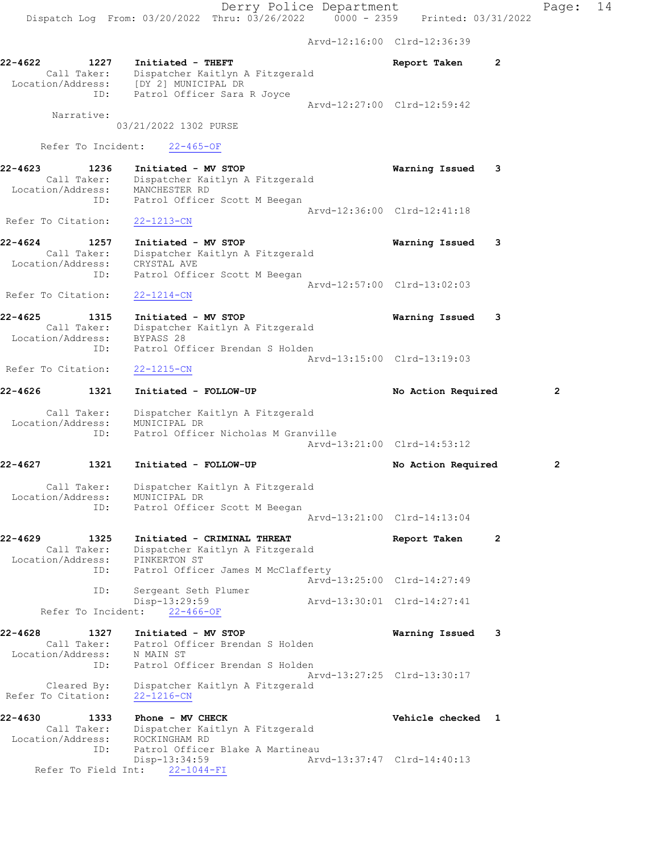Arvd-12:16:00 Clrd-12:36:39 22-4622 1227 Initiated - THEFT Report Taken 2 Call Taker: Dispatcher Kaitlyn A Fitzgerald Location/Address: [DY 2] MUNICIPAL DR ID: Patrol Officer Sara R Joyce Arvd-12:27:00 Clrd-12:59:42 Narrative: 03/21/2022 1302 PURSE Refer To Incident: 22-465-OF 22-4623 1236 Initiated - MV STOP Warning Issued 3 Call Taker: Dispatcher Kaitlyn A Fitzgerald Location/Address: MANCHESTER RD ID: Patrol Officer Scott M Beegan Arvd-12:36:00 Clrd-12:41:18 Refer To Citation: 22-1213-CN 22-4624 1257 Initiated - MV STOP Warning Issued 3 Call Taker: Dispatcher Kaitlyn A Fitzgerald Location/Address: CRYSTAL AVE ID: Patrol Officer Scott M Beegan Arvd-12:57:00 Clrd-13:02:03 Refer To Citation: 22-1214-CN 22-4625 1315 Initiated - MV STOP Warning Issued 3 Call Taker: Dispatcher Kaitlyn A Fitzgerald Location/Address: BYPASS 28 ID: Patrol Officer Brendan S Holden Arvd-13:15:00 Clrd-13:19:03 Refer To Citation: 22-1215-CN 22-4626 1321 Initiated - FOLLOW-UP No Action Required 2 Call Taker: Dispatcher Kaitlyn A Fitzgerald Location/Address: MUNICIPAL DR ID: Patrol Officer Nicholas M Granville Arvd-13:21:00 Clrd-14:53:12 22-4627 1321 Initiated - FOLLOW-UP No Action Required 2 Call Taker: Dispatcher Kaitlyn A Fitzgerald Location/Address: MUNICIPAL DR ID: Patrol Officer Scott M Beegan Arvd-13:21:00 Clrd-14:13:04 22-4629 1325 Initiated - CRIMINAL THREAT Report Taken 2 Call Taker: Dispatcher Kaitlyn A Fitzgerald Location/Address: PINKERTON ST ID: Patrol Officer James M McClafferty Arvd-13:25:00 Clrd-14:27:49 ID: Sergeant Seth Plumer Disp-13:29:59 Arvd-13:30:01 Clrd-14:27:41 Refer To Incident: 22-466-OF 22-4628 1327 Initiated - MV STOP Warning Issued 3 Call Taker: Patrol Officer Brendan S Holden Location/Address: N MAIN ST ID: Patrol Officer Brendan S Holden Arvd-13:27:25 Clrd-13:30:17 Cleared By: Dispatcher Kaitlyn A Fitzgerald Refer To Citation: 22-1216-CN 22-4630 1333 Phone - MV CHECK Vehicle checked 1 Call Taker: Dispatcher Kaitlyn A Fitzgerald Location/Address: ROCKINGHAM RD ID: Patrol Officer Blake A Martineau Disp-13:34:59 Arvd-13:37:47 Clrd-14:40:13 Refer To Field Int: 22-1044-FI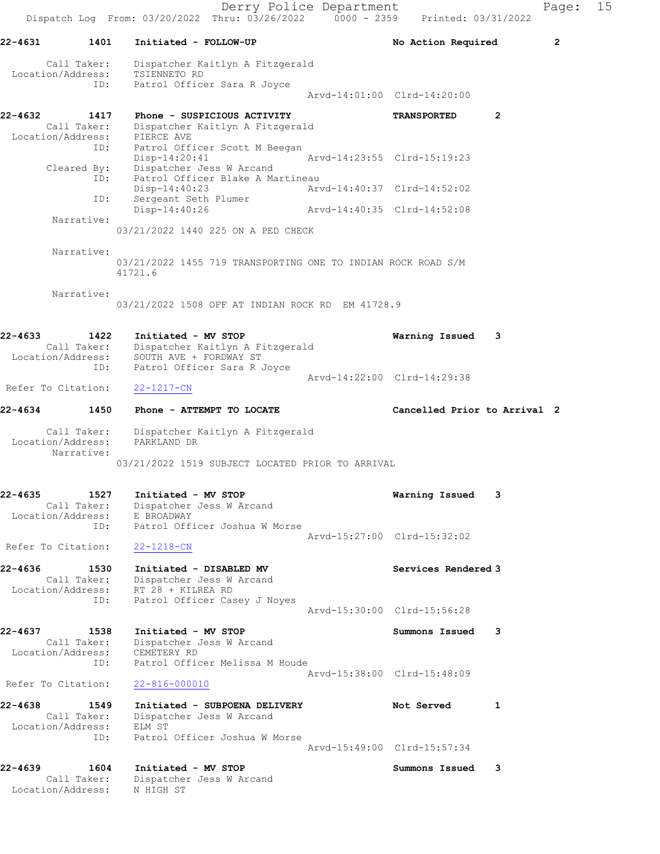Derry Police Department Fage: 15 Dispatch Log From:  $03/20/2022$  Thru:  $03/26/2022$  0000 - 2359 Printed: 03/31/2022 22-4631 1401 Initiated - FOLLOW-UP No Action Required 2 Call Taker: Dispatcher Kaitlyn A Fitzgerald Location/Address: TSIENNETO RD ID: Patrol Officer Sara R Joyce Arvd-14:01:00 Clrd-14:20:00 22-4632 1417 Phone - SUSPICIOUS ACTIVITY TRANSPORTED 2 Call Taker: Dispatcher Kaitlyn A Fitzgerald Location/Address: PIERCE AVE ID: Patrol Officer Scott M Beegan Disp-14:20:41 Arvd-14:23:55 Clrd-15:19:23 Cleared By: Dispatcher Jess W Arcand ID: Patrol Officer Blake A Martineau Disp-14:40:23 Arvd-14:40:37 Clrd-14:52:02 ID: Sergeant Seth Plumer Disp-14:40:26 Arvd-14:40:35 Clrd-14:52:08 Narrative: 03/21/2022 1440 225 ON A PED CHECK Narrative: 03/21/2022 1455 719 TRANSPORTING ONE TO INDIAN ROCK ROAD S/M 41721.6 Narrative: 03/21/2022 1508 OFF AT INDIAN ROCK RD EM 41728.9 22-4633 1422 Initiated - MV STOP Warning Issued 3 Call Taker: Dispatcher Kaitlyn A Fitzgerald Location/Address: SOUTH AVE + FORDWAY ST ID: Patrol Officer Sara R Joyce Arvd-14:22:00 Clrd-14:29:38 Refer To Citation: 22-1217-CN 22-4634 1450 Phone - ATTEMPT TO LOCATE Cancelled Prior to Arrival 2 Call Taker: Dispatcher Kaitlyn A Fitzgerald Location/Address: PARKLAND DR Narrative: 03/21/2022 1519 SUBJECT LOCATED PRIOR TO ARRIVAL 22-4635 1527 Initiated - MV STOP Warning Issued 3 Call Taker: Dispatcher Jess W Arcand Location/Address: E BROADWAY ID: Patrol Officer Joshua W Morse Arvd-15:27:00 Clrd-15:32:02 Refer To Citation: 22-1218-CN 22-4636 1530 Initiated - DISABLED MV Services Rendered 3 Call Taker: Dispatcher Jess W Arcand Location/Address: RT 28 + KILREA RD ID: Patrol Officer Casey J Noyes Arvd-15:30:00 Clrd-15:56:28 22-4637 1538 Initiated - MV STOP Summons Issued 3 Call Taker: Dispatcher Jess W Arcand Location/Address: CEMETERY RD ID: Patrol Officer Melissa M Houde Arvd-15:38:00 Clrd-15:48:09 Refer To Citation: 22-816-000010 22-4638 1549 Initiated - SUBPOENA DELIVERY 1 Not Served 1 Call Taker: Dispatcher Jess W Arcand Location/Address: ELM ST ID: Patrol Officer Joshua W Morse Arvd-15:49:00 Clrd-15:57:34 22-4639 1604 Initiated - MV STOP Summons Issued 3 Call Taker: Dispatcher Jess W Arcand Location/Address: N HIGH ST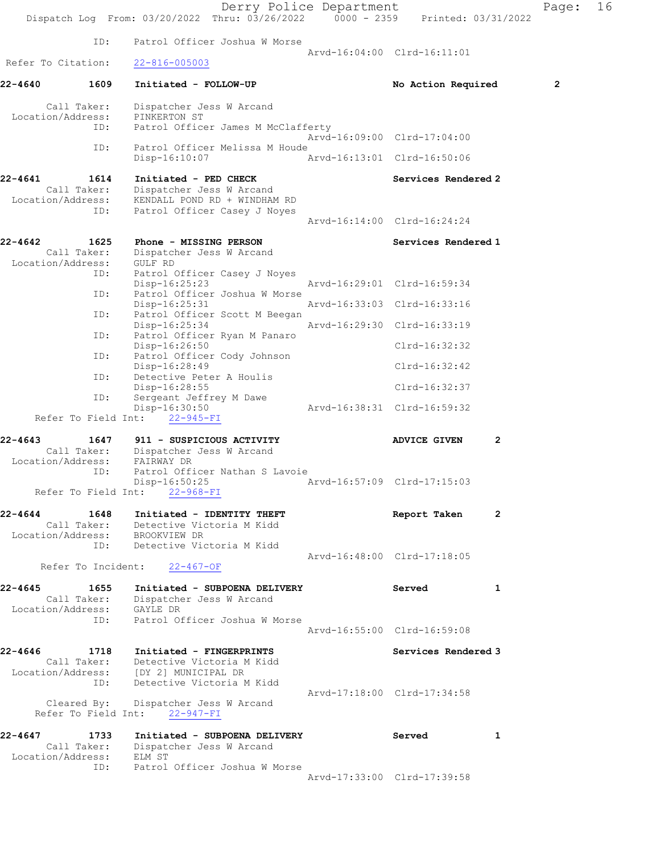|                    |                                                 | Dispatch Log From: 03/20/2022 Thru: 03/26/2022 0000 - 2359 Printed: 03/31/2022                                                               | Derry Police Department |                                                            | Page:          | 16 |
|--------------------|-------------------------------------------------|----------------------------------------------------------------------------------------------------------------------------------------------|-------------------------|------------------------------------------------------------|----------------|----|
|                    | ID:                                             | Patrol Officer Joshua W Morse                                                                                                                |                         |                                                            |                |    |
| Refer To Citation: |                                                 | $22 - 816 - 005003$                                                                                                                          |                         | Arvd-16:04:00 Clrd-16:11:01                                |                |    |
| 22-4640            | 1609                                            | Initiated - FOLLOW-UP                                                                                                                        |                         | No Action Required                                         | $\mathbf{2}$   |    |
|                    | Call Taker:<br>Location/Address:<br>ID:         | Dispatcher Jess W Arcand<br>PINKERTON ST<br>Patrol Officer James M McClafferty                                                               |                         |                                                            |                |    |
|                    | ID:                                             | Patrol Officer Melissa M Houde<br>$Disp-16:10:07$                                                                                            |                         | Arvd-16:09:00 Clrd-17:04:00<br>Arvd-16:13:01 Clrd-16:50:06 |                |    |
| 22-4641            | 1614<br>Call Taker:<br>Location/Address:<br>ID: | Initiated - PED CHECK<br>Dispatcher Jess W Arcand<br>KENDALL POND RD + WINDHAM RD<br>Patrol Officer Casey J Noyes                            |                         | Services Rendered 2                                        |                |    |
|                    |                                                 |                                                                                                                                              |                         | Arvd-16:14:00 Clrd-16:24:24                                |                |    |
| 22-4642            | 1625<br>Call Taker:<br>Location/Address:        | Phone - MISSING PERSON<br>Dispatcher Jess W Arcand<br>GULF RD                                                                                |                         | Services Rendered 1                                        |                |    |
|                    | ID:<br>ID:                                      | Patrol Officer Casey J Noyes<br>$Disp-16:25:23$<br>Patrol Officer Joshua W Morse                                                             |                         | Arvd-16:29:01 Clrd-16:59:34                                |                |    |
|                    | ID:                                             | Disp-16:25:31<br>Patrol Officer Scott M Beegan                                                                                               |                         | Arvd-16:33:03 Clrd-16:33:16                                |                |    |
|                    | ID:                                             | Disp-16:25:34<br>Patrol Officer Ryan M Panaro                                                                                                |                         | Arvd-16:29:30 Clrd-16:33:19                                |                |    |
|                    | ID:                                             | Disp-16:26:50<br>Patrol Officer Cody Johnson                                                                                                 |                         | $Clrd-16:32:32$                                            |                |    |
|                    | ID:                                             | $Disp-16:28:49$<br>Detective Peter A Houlis                                                                                                  |                         | $Clrd-16:32:42$                                            |                |    |
|                    | ID:                                             | Disp-16:28:55<br>Sergeant Jeffrey M Dawe                                                                                                     |                         | Clrd-16:32:37                                              |                |    |
|                    |                                                 | Disp-16:30:50<br>Refer To Field Int: 22-945-FI                                                                                               |                         | Arvd-16:38:31 Clrd-16:59:32                                |                |    |
| $22 - 4643$        | 1647<br>Call Taker:                             | 911 - SUSPICIOUS ACTIVITY<br>Dispatcher Jess W Arcand                                                                                        |                         | <b>ADVICE GIVEN</b>                                        | 2              |    |
| Location/Address:  | ID:                                             | FAIRWAY DR<br>Patrol Officer Nathan S Lavoie<br>Disp-16:50:25<br>Refer To Field Int: 22-968-FI                                               |                         | Arvd-16:57:09 Clrd-17:15:03                                |                |    |
| 22-4644            |                                                 | 1648 Initiated - IDENTITY THEFT<br>Call Taker: Detective Victoria M Kidd<br>Location/Address: BROOKVIEW DR                                   |                         | Report Taken                                               | $\overline{2}$ |    |
|                    | ID:<br>Refer To Incident:                       | Detective Victoria M Kidd<br>22-467-OF                                                                                                       |                         | Arvd-16:48:00 Clrd-17:18:05                                |                |    |
| 22-4645            | 1655<br>Location/Address: GAYLE DR<br>ID:       | Initiated - SUBPOENA DELIVERY<br>Call Taker: Dispatcher Jess W Arcand<br>Patrol Officer Joshua W Morse                                       |                         | Served                                                     | 1              |    |
|                    |                                                 |                                                                                                                                              |                         | Arvd-16:55:00 Clrd-16:59:08                                |                |    |
| $22 - 4646$        | ID:                                             | 1718 Initiated - FINGERPRINTS<br>Call Taker: Detective Victoria M Kidd<br>Location/Address: [DY 2] MUNICIPAL DR<br>Detective Victoria M Kidd |                         | Services Rendered 3                                        |                |    |
|                    |                                                 | Cleared By: Dispatcher Jess W Arcand<br>Refer To Field Int: 22-947-FI                                                                        |                         | Arvd-17:18:00 Clrd-17:34:58                                |                |    |
| 22-4647            | 1733<br>Location/Address: ELM ST<br>ID:         | Initiated - SUBPOENA DELIVERY<br>Call Taker: Dispatcher Jess W Arcand<br>Patrol Officer Joshua W Morse                                       |                         | Served                                                     | 1              |    |
|                    |                                                 |                                                                                                                                              |                         | Arvd-17:33:00 Clrd-17:39:58                                |                |    |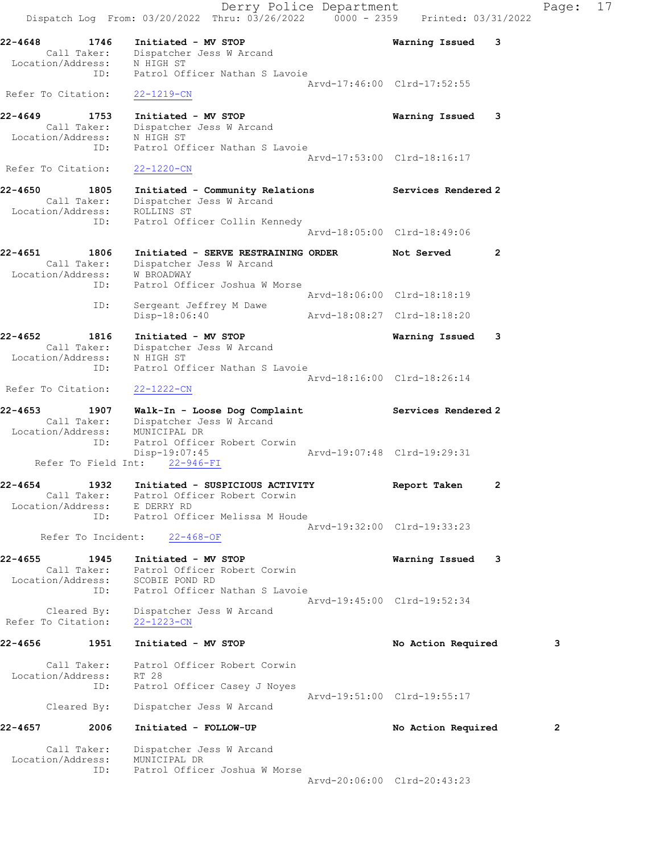|                              |                                          | Dispatch Log From: 03/20/2022 Thru: 03/26/2022 0000 - 2359 Printed: 03/31/2022                                                                    | Derry Police Department |                             |                | Page:        | 17 |
|------------------------------|------------------------------------------|---------------------------------------------------------------------------------------------------------------------------------------------------|-------------------------|-----------------------------|----------------|--------------|----|
| $22 - 4648$                  | 1746<br>Call Taker:<br>Location/Address: | Initiated - MV STOP<br>Dispatcher Jess W Arcand<br>N HIGH ST                                                                                      |                         | Warning Issued              | 3              |              |    |
|                              | ID:                                      | Patrol Officer Nathan S Lavoie                                                                                                                    |                         | Arvd-17:46:00 Clrd-17:52:55 |                |              |    |
| Refer To Citation:           |                                          | $22 - 1219 - CN$                                                                                                                                  |                         |                             |                |              |    |
| 22-4649<br>Location/Address: | 1753<br>Call Taker:<br>ID:               | Initiated - MV STOP<br>Dispatcher Jess W Arcand<br>N HIGH ST<br>Patrol Officer Nathan S Lavoie                                                    |                         | Warning Issued              | 3              |              |    |
| Refer To Citation:           |                                          | $22 - 1220 - CN$                                                                                                                                  |                         | Arvd-17:53:00 Clrd-18:16:17 |                |              |    |
|                              |                                          |                                                                                                                                                   |                         |                             |                |              |    |
| 22-4650                      | 1805<br>Call Taker:<br>ID:               | Initiated - Community Relations<br>Dispatcher Jess W Arcand<br>Location/Address: ROLLINS ST<br>Patrol Officer Collin Kennedy                      |                         | Services Rendered 2         |                |              |    |
|                              |                                          |                                                                                                                                                   |                         | Arvd-18:05:00 Clrd-18:49:06 |                |              |    |
| 22-4651                      | 1806<br>Call Taker:<br>Location/Address: | Initiated - SERVE RESTRAINING ORDER<br>Dispatcher Jess W Arcand<br>W BROADWAY                                                                     |                         | Not Served                  | 2              |              |    |
|                              | ID:                                      | Patrol Officer Joshua W Morse                                                                                                                     |                         | Arvd-18:06:00 Clrd-18:18:19 |                |              |    |
|                              | ID:                                      | Sergeant Jeffrey M Dawe<br>Disp-18:06:40                                                                                                          |                         | Arvd-18:08:27 Clrd-18:18:20 |                |              |    |
| 22-4652                      | 1816                                     | Initiated - MV STOP                                                                                                                               |                         | Warning Issued              | 3              |              |    |
| Location/Address:            | Call Taker:<br>ID:                       | Dispatcher Jess W Arcand<br>N HIGH ST<br>Patrol Officer Nathan S Lavoie                                                                           |                         |                             |                |              |    |
| Refer To Citation:           |                                          | $22 - 1222 - CN$                                                                                                                                  |                         | Arvd-18:16:00 Clrd-18:26:14 |                |              |    |
| 22-4653                      | 1907                                     | Walk-In - Loose Dog Complaint                                                                                                                     |                         | Services Rendered 2         |                |              |    |
|                              | Call Taker:<br>Location/Address:<br>ID:  | Dispatcher Jess W Arcand<br>MUNICIPAL DR<br>Patrol Officer Robert Corwin<br>Disp-19:07:45                                                         |                         | Arvd-19:07:48 Clrd-19:29:31 |                |              |    |
|                              |                                          | Refer To Field Int: 22-946-FI                                                                                                                     |                         |                             |                |              |    |
| 22-4654                      | 1932                                     | Initiated - SUSPICIOUS ACTIVITY<br>Call Taker: Patrol Officer Robert Corwin<br>Location/Address: E DERRY RD<br>ID: Patrol Officer Melissa M Houde |                         | Report Taken                | $\overline{2}$ |              |    |
|                              | Refer To Incident:                       |                                                                                                                                                   |                         | Arvd-19:32:00 Clrd-19:33:23 |                |              |    |
|                              |                                          | $22 - 468 - OF$                                                                                                                                   |                         |                             |                |              |    |
| $22 - 4655$                  | 1945                                     | Initiated - MV STOP<br>Call Taker: Patrol Officer Robert Corwin<br>Location/Address: SCOBIE POND RD                                               |                         | Warning Issued              | - 3            |              |    |
|                              | ID:<br>Cleared By:                       | Patrol Officer Nathan S Lavoie<br>Dispatcher Jess W Arcand                                                                                        |                         | Arvd-19:45:00 Clrd-19:52:34 |                |              |    |
| Refer To Citation:           |                                          | 22-1223-CN                                                                                                                                        |                         |                             |                |              |    |
| 22-4656                      | 1951                                     | Initiated - MV STOP                                                                                                                               |                         | No Action Required          |                | 3            |    |
|                              | Call Taker:<br>Location/Address:         | Patrol Officer Robert Corwin<br>RT 28                                                                                                             |                         |                             |                |              |    |
|                              | ID:                                      | Patrol Officer Casey J Noyes                                                                                                                      |                         | Arvd-19:51:00 Clrd-19:55:17 |                |              |    |
|                              | Cleared By:                              | Dispatcher Jess W Arcand                                                                                                                          |                         |                             |                |              |    |
| 22-4657                      | 2006                                     | Initiated - FOLLOW-UP                                                                                                                             |                         | No Action Required          |                | $\mathbf{2}$ |    |
|                              | Call Taker:                              | Dispatcher Jess W Arcand<br>Location/Address: MUNICIPAL DR                                                                                        |                         |                             |                |              |    |
|                              | ID:                                      | Patrol Officer Joshua W Morse                                                                                                                     |                         |                             |                |              |    |
|                              |                                          |                                                                                                                                                   |                         | Arvd-20:06:00 Clrd-20:43:23 |                |              |    |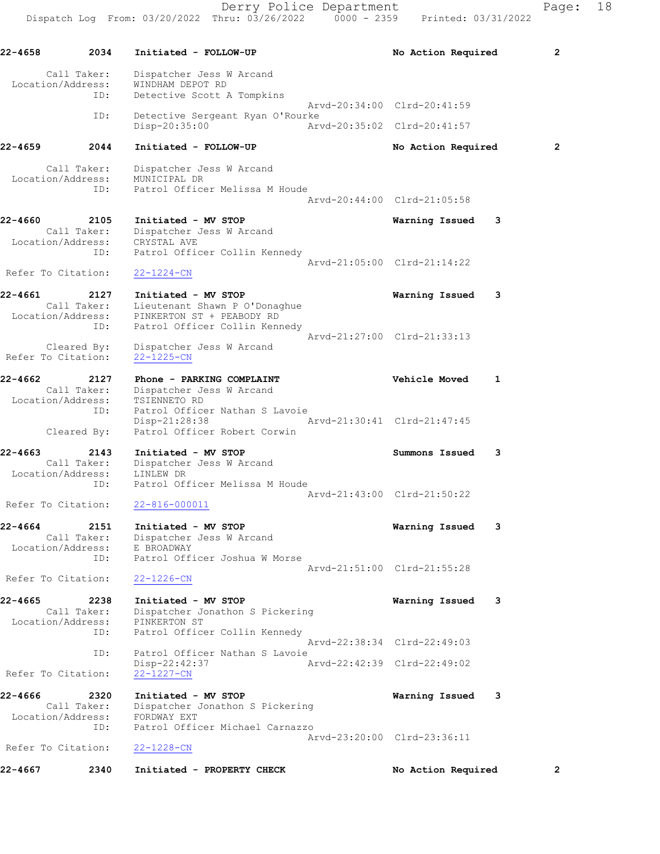22-4658 2034 Initiated - FOLLOW-UP No Action Required 2 Call Taker: Dispatcher Jess W Arcand Location/Address: WINDHAM DEPOT RD ID: Detective Scott A Tompkins Arvd-20:34:00 Clrd-20:41:59 ID: Detective Sergeant Ryan O'Rourke Disp-20:35:00 Arvd-20:35:02 Clrd-20:41:57 22-4659 2044 Initiated - FOLLOW-UP No Action Required 2 Call Taker: Dispatcher Jess W Arcand Location/Address: MUNICIPAL DR ID: Patrol Officer Melissa M Houde Arvd-20:44:00 Clrd-21:05:58 22-4660 2105 Initiated - MV STOP Warning Issued 3 Call Taker: Dispatcher Jess W Arcand Location/Address: CRYSTAL AVE ID: Patrol Officer Collin Kennedy Arvd-21:05:00 Clrd-21:14:22 Refer To Citation: 22-1224-CN 22-4661 2127 Initiated - MV STOP Warning Issued 3 Call Taker: Lieutenant Shawn P O'Donaghue Location/Address: PINKERTON ST + PEABODY RD ID: Patrol Officer Collin Kennedy Arvd-21:27:00 Clrd-21:33:13 Cleared By: Dispatcher Jess W Arcand Refer To Citation: 22-1225-CN 22-4662 2127 Phone - PARKING COMPLAINT COMERTY Vehicle Moved 1 Call Taker: Dispatcher Jess W Arcand Location/Address: TSIENNETO RD ID: Patrol Officer Nathan S Lavoie<br>Disp-21:28:38 Disp-21:28:38 Arvd-21:30:41 Clrd-21:47:45 Cleared By: Patrol Officer Robert Corwin 22-4663 2143 Initiated - MV STOP Summons Issued 3 Call Taker: Dispatcher Jess W Arcand Location/Address: LINLEW DR ID: Patrol Officer Melissa M Houde Arvd-21:43:00 Clrd-21:50:22 Refer To Citation: 22-816-000011 22-4664 2151 Initiated - MV STOP Warning Issued 3 Call Taker: Dispatcher Jess W Arcand Location/Address: E BROADWAY ID: Patrol Officer Joshua W Morse Arvd-21:51:00 Clrd-21:55:28 Refer To Citation: 22-1226-CN 22-4665 2238 Initiated - MV STOP Warning Issued 3 Call Taker: Dispatcher Jonathon S Pickering Location/Address: PINKERTON ST ID: Patrol Officer Collin Kennedy Arvd-22:38:34 Clrd-22:49:03 ID: Patrol Officer Nathan S Lavoie Disp-22:42:37 Arvd-22:42:39 Clrd-22:49:02 Refer To Citation: 22-1227-CN 22-4666 2320 Initiated - MV STOP Warning Issued 3 Call Taker: Dispatcher Jonathon S Pickering Location/Address: FORDWAY EXT ID: Patrol Officer Michael Carnazzo Arvd-23:20:00 Clrd-23:36:11 Refer To Citation: 22-1228-CN 22-4667 2340 Initiated - PROPERTY CHECK No Action Required 2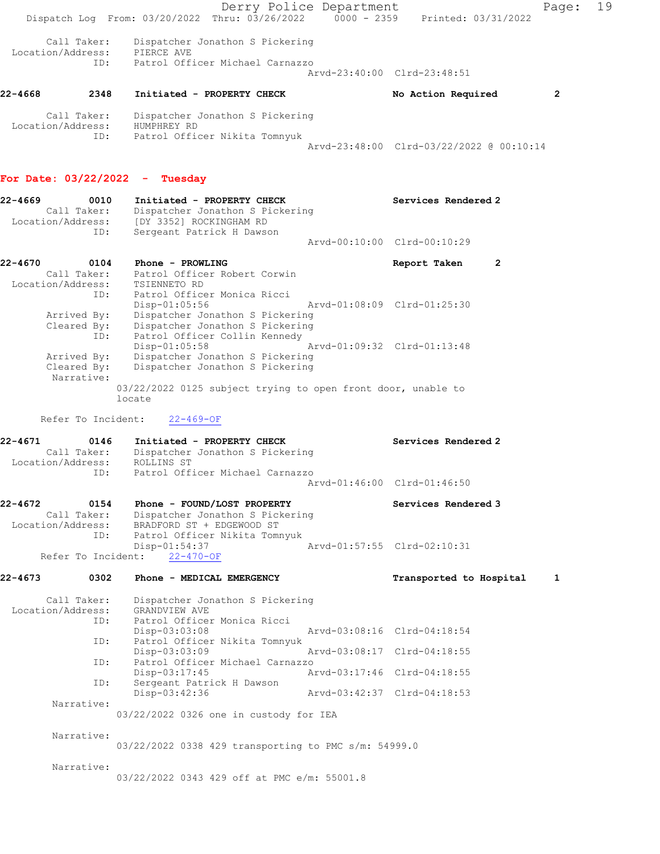Derry Police Department Fage: 19 Dispatch Log From:  $03/20/2022$  Thru:  $03/26/2022$  0000 - 2359 Printed: 03/31/2022 Call Taker: Dispatcher Jonathon S Pickering Location/Address: PIERCE AVE ID: Patrol Officer Michael Carnazzo Arvd-23:40:00 Clrd-23:48:51 22-4668 2348 Initiated - PROPERTY CHECK No Action Required 2 Call Taker: Dispatcher Jonathon S Pickering Location/Address: HUMPHREY RD ID: Patrol Officer Nikita Tomnyuk Arvd-23:48:00 Clrd-03/22/2022 @ 00:10:14 For Date: 03/22/2022 - Tuesday 22-4669 0010 Initiated - PROPERTY CHECK Services Rendered 2 Call Taker: Dispatcher Jonathon S Pickering Location/Address: [DY 3352] ROCKINGHAM RD ID: Sergeant Patrick H Dawson Arvd-00:10:00 Clrd-00:10:29 22-4670 0104 Phone - PROWLING Report Taken 2 Call Taker: Patrol Officer Robert Corwin Location/Address: TSIENNETO RD ID: Patrol Officer Monica Ricci Disp-01:05:56 Arvd-01:08:09 Clrd-01:25:30 Arrived By: Dispatcher Jonathon S Pickering Cleared By: Dispatcher Jonathon S Pickering ID: Patrol Officer Collin Kennedy Disp-01:05:58 Arvd-01:09:32 Clrd-01:13:48 Arrived By: Dispatcher Jonathon S Pickering

03/22/2022 0125 subject trying to open front door, unable to

Arvd-01:46:00 Clrd-01:46:50

22-4672 0154 Phone - FOUND/LOST PROPERTY Services Rendered 3 Call Taker: Dispatcher Jonathon S Pickering Location/Address: BRADFORD ST + EDGEWOOD ST ID: Patrol Officer Nikita Tomnyuk Disp-01:54:37 Arvd-01:57:55 Clrd-02:10:31 Refer To Incident: 22-470-OF

22-4671 0146 Initiated - PROPERTY CHECK Services Rendered 2

Cleared By: Dispatcher Jonathon S Pickering

ID: Patrol Officer Michael Carnazzo

Call Taker: Dispatcher Jonathon S Pickering

locate Refer To Incident: 22-469-OF

Narrative:

Location/Address: ROLLINS ST

22-4673 0302 Phone - MEDICAL EMERGENCY Transported to Hospital 1 Call Taker: Dispatcher Jonathon S Pickering Location/Address: GRANDVIEW AVE<br>ID: Patrol Officer Patrol Officer Monica Ricci Disp-03:03:08 Arvd-03:08:16 Clrd-04:18:54 ID: Patrol Officer Nikita Tomnyuk Disp-03:03:09 Arvd-03:08:17 Clrd-04:18:55 ID: Patrol Officer Michael Carnazzo<br>Disp-03:17:45 Arvd-03:17:46 Clrd-04:18:55 Disp-03:17:45 Arvd-03:17:46 Clrd-04:18:55 ID: Sergeant Patrick H Dawson Disp-03:42:36 Arvd-03:42:37 Clrd-04:18:53 ID: Sergeand 1.<br>Disp-03:42:36<br>Narrative: 03/22/2022 0326 one in custody for IEA Narrative: 03/22/2022 0338 429 transporting to PMC s/m: 54999.0 Narrative: 03/22/2022 0343 429 off at PMC e/m: 55001.8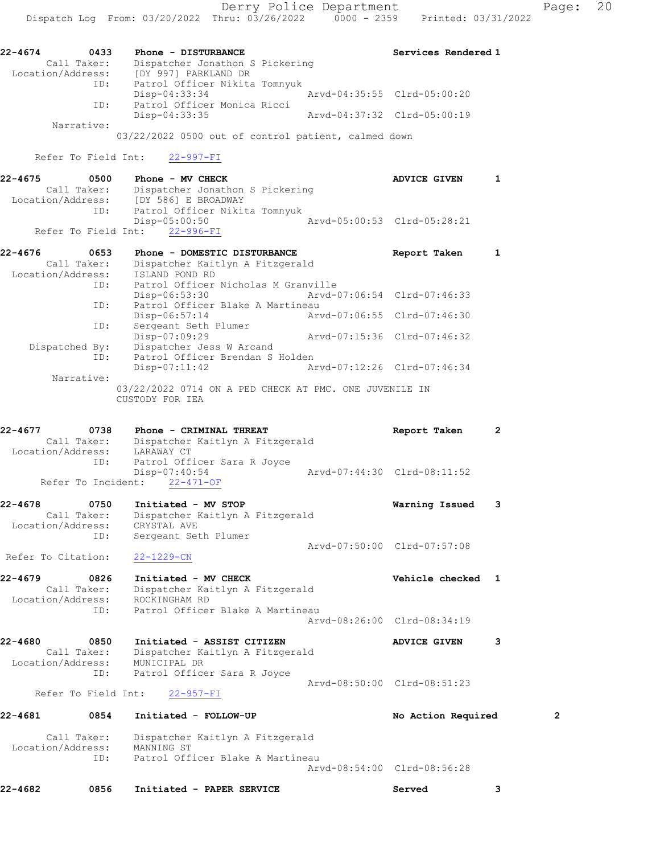| 22-4674           | 0433        | Phone - DISTURBANCE             | Services Rendered 1         |
|-------------------|-------------|---------------------------------|-----------------------------|
|                   | Call Taker: | Dispatcher Jonathon S Pickering |                             |
| Location/Address: |             | [DY 997] PARKLAND DR            |                             |
|                   | ID:         | Patrol Officer Nikita Tomnyuk   |                             |
|                   |             | Disp-04:33:34                   | Arvd-04:35:55 Clrd-05:00:20 |
|                   | ID:         | Patrol Officer Monica Ricci     |                             |
|                   |             | Disp-04:33:35                   | Arvd-04:37:32 Clrd-05:00:19 |
|                   | Narrative:  |                                 |                             |
|                   |             |                                 |                             |

03/22/2022 0500 out of control patient, calmed down

## Refer To Field Int: 22-997-FI

| 22-4675 | 0500              | Phone - MV CHECK                |  |                             | ADVICE GIVEN |  |
|---------|-------------------|---------------------------------|--|-----------------------------|--------------|--|
|         | Call Taker:       | Dispatcher Jonathon S Pickering |  |                             |              |  |
|         | Location/Address: | [DY 586] E BROADWAY             |  |                             |              |  |
|         | ID:               | Patrol Officer Nikita Tomnyuk   |  |                             |              |  |
|         |                   | Disp-05:00:50                   |  | Arvd-05:00:53 Clrd-05:28:21 |              |  |
|         |                   | Refer To Field Int: 22-996-FI   |  |                             |              |  |

| 22-4676<br>0653   | Phone - DOMESTIC DISTURBANCE                                              | Report Taken                |  |
|-------------------|---------------------------------------------------------------------------|-----------------------------|--|
| Call Taker:       | Dispatcher Kaitlyn A Fitzgerald                                           |                             |  |
| Location/Address: | ISLAND POND RD                                                            |                             |  |
| ID:               | Patrol Officer Nicholas M Granville                                       |                             |  |
|                   | Disp-06:53:30                                                             | Arvd-07:06:54 Clrd-07:46:33 |  |
| ID:               | Patrol Officer Blake A Martineau                                          |                             |  |
|                   | Disp-06:57:14                                                             | Aryd-07:06:55 Clrd-07:46:30 |  |
| ID:               | Sergeant Seth Plumer                                                      |                             |  |
|                   | Disp-07:09:29                                                             | Aryd-07:15:36 Clrd-07:46:32 |  |
| Dispatched By:    | Dispatcher Jess W Arcand                                                  |                             |  |
| ID:               | Patrol Officer Brendan S Holden                                           |                             |  |
|                   | $Disp-07:11:42$                                                           | Arvd-07:12:26 Clrd-07:46:34 |  |
| Narrative:        |                                                                           |                             |  |
|                   | 03/22/2022 0714 ON A PED CHECK AT PMC. ONE JUVENILE IN<br>CUSTODY FOR IEA |                             |  |

| 22-4677 | 0738              | Phone - CRIMINAL THREAT         | Report Taken                |  |
|---------|-------------------|---------------------------------|-----------------------------|--|
|         | Call Taker:       | Dispatcher Kaitlyn A Fitzgerald |                             |  |
|         | Location/Address: | LARAWAY CT                      |                             |  |
|         | ID:               | Patrol Officer Sara R Joyce     |                             |  |
|         |                   | Disp-07:40:54                   | Arvd-07:44:30 Clrd-08:11:52 |  |
|         |                   | Refer To Incident: 22-471-OF    |                             |  |

#### 22-4678 0750 Initiated - MV STOP Warning Issued 3 Call Taker: Dispatcher Kaitlyn A Fitzgerald Location/Address: CRYSTAL AVE ID: Sergeant Seth Plumer Arvd-07:50:00 Clrd-07:57:08

Refer To Citation: 22-1229-CN

```
22-4679 0826 Initiated - MV CHECK Vehicle checked 1 
 Call Taker: Dispatcher Kaitlyn A Fitzgerald
 Location/Address: ROCKINGHAM RD
            ID: Patrol Officer Blake A Martineau
                                   Arvd-08:26:00 Clrd-08:34:19
```

```
22-4680 0850 Initiated - ASSIST CITIZEN ADVICE GIVEN 3 
 Call Taker: Dispatcher Kaitlyn A Fitzgerald
 Location/Address: MUNICIPAL DR
            ID: Patrol Officer Sara R Joyce
                                         Arvd-08:50:00 Clrd-08:51:23
```
Refer To Field Int: 22-957-FI

# 22-4681 0854 Initiated - FOLLOW-UP No Action Required 2

| Location/Address: | Call Taker: Dispatcher Kaitlyn A Fitzgerald<br>MANNING ST |  |
|-------------------|-----------------------------------------------------------|--|
| TD:               | Patrol Officer Blake A Martineau                          |  |
|                   | Aryd-08:54:00 Clrd-08:56:28                               |  |

| 0856 | 22-4682 | Served | Initiated - PAPER SERVICE |
|------|---------|--------|---------------------------|
|------|---------|--------|---------------------------|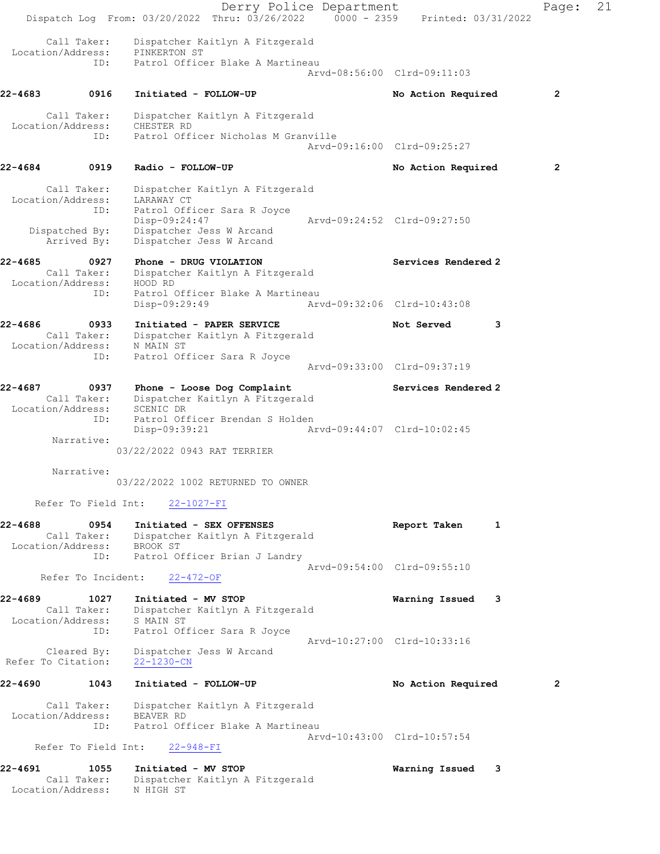Derry Police Department Fage: 21 Dispatch Log From: 03/20/2022 Thru: 03/26/2022 0000 - 2359 Printed: 03/31/2022 Call Taker: Dispatcher Kaitlyn A Fitzgerald Location/Address: PINKERTON ST ID: Patrol Officer Blake A Martineau Arvd-08:56:00 Clrd-09:11:03 22-4683 0916 Initiated - FOLLOW-UP No Action Required 2 Call Taker: Dispatcher Kaitlyn A Fitzgerald Location/Address: CHESTER RD ID: Patrol Officer Nicholas M Granville Arvd-09:16:00 Clrd-09:25:27 22-4684 0919 Radio - FOLLOW-UP **No Action Required** 2 Call Taker: Dispatcher Kaitlyn A Fitzgerald Location/Address: LARAWAY CT ID: Patrol Officer Sara R Joyce Disp-09:24:47 Arvd-09:24:52 Clrd-09:27:50 Dispatched By: Dispatcher Jess W Arcand Arrived By: Dispatcher Jess W Arcand 22-4685 0927 Phone - DRUG VIOLATION Services Rendered 2 Call Taker: Dispatcher Kaitlyn A Fitzgerald Location/Address: HOOD RD ID: Patrol Officer Blake A Martineau Disp-09:29:49 Arvd-09:32:06 Clrd-10:43:08 22-4686 0933 Initiated - PAPER SERVICE Not Served 3 Call Taker: Dispatcher Kaitlyn A Fitzgerald Location/Address: N MAIN ST ID: Patrol Officer Sara R Joyce Arvd-09:33:00 Clrd-09:37:19 22-4687 0937 Phone - Loose Dog Complaint Services Rendered 2 Call Taker: Dispatcher Kaitlyn A Fitzgerald Location/Address: SCENIC DR ID: Patrol Officer Brendan S Holden Disp-09:39:21 Arvd-09:44:07 Clrd-10:02:45 Narrative: 03/22/2022 0943 RAT TERRIER Narrative: 03/22/2022 1002 RETURNED TO OWNER Refer To Field Int: 22-1027-FI 22-4688 0954 Initiated - SEX OFFENSES Report Taken 1 Call Taker: Dispatcher Kaitlyn A Fitzgerald Location/Address: BROOK ST ID: Patrol Officer Brian J Landry Arvd-09:54:00 Clrd-09:55:10 Refer To Incident: 22-472-OF 22-4689 1027 Initiated - MV STOP Warning Issued 3 Call Taker: Dispatcher Kaitlyn A Fitzgerald Location/Address: S MAIN ST ID: Patrol Officer Sara R Joyce Arvd-10:27:00 Clrd-10:33:16 Cleared By: Dispatcher Jess W Arcand Refer To Citation: 22-1230-CN 22-4690 1043 Initiated - FOLLOW-UP No Action Required 2 Call Taker: Dispatcher Kaitlyn A Fitzgerald Location/Address: BEAVER RD ID: Patrol Officer Blake A Martineau Arvd-10:43:00 Clrd-10:57:54 Refer To Field Int: 22-948-FI 22-4691 1055 Initiated - MV STOP Warning Issued 3 Call Taker: Dispatcher Kaitlyn A Fitzgerald Location/Address: N HIGH ST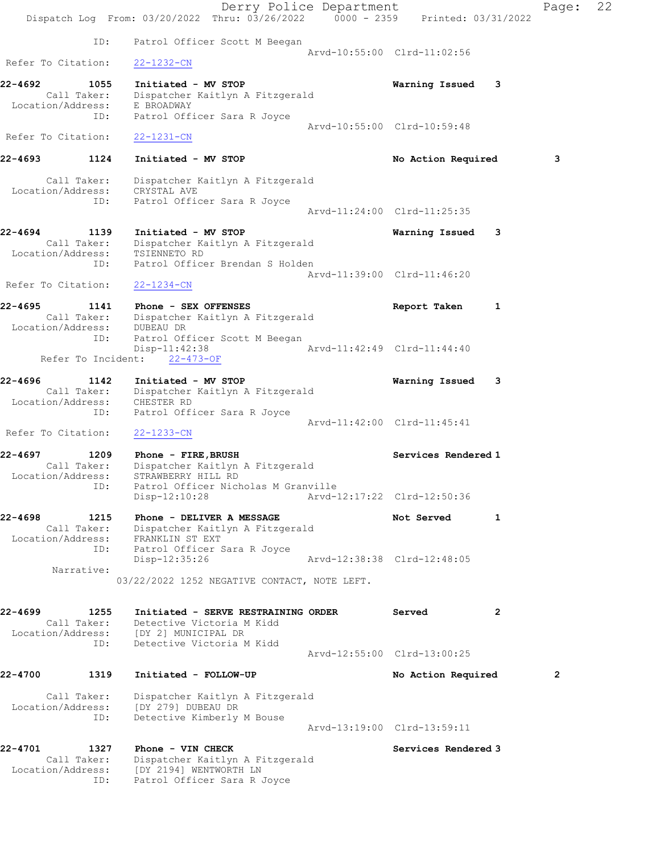|                                     | Dispatch Log From: 03/20/2022 Thru: 03/26/2022 0000 - 2359 Printed: 03/31/2022 | Derry Police Department |                             |     | Page:        | 22 |
|-------------------------------------|--------------------------------------------------------------------------------|-------------------------|-----------------------------|-----|--------------|----|
| ID:                                 | Patrol Officer Scott M Beegan                                                  |                         |                             |     |              |    |
| Refer To Citation:                  | $22 - 1232 - CN$                                                               |                         | Arvd-10:55:00 Clrd-11:02:56 |     |              |    |
| 22-4692<br>1055                     | Initiated - MV STOP                                                            |                         | Warning Issued              | - 3 |              |    |
| Call Taker:                         | Dispatcher Kaitlyn A Fitzgerald                                                |                         |                             |     |              |    |
| Location/Address: E BROADWAY<br>ID: | Patrol Officer Sara R Joyce                                                    |                         |                             |     |              |    |
| Refer To Citation:                  | $22 - 1231 - CN$                                                               |                         | Arvd-10:55:00 Clrd-10:59:48 |     |              |    |
|                                     |                                                                                |                         |                             |     |              |    |
| 1124<br>22-4693                     | Initiated - MV STOP                                                            |                         | No Action Required          |     | 3            |    |
| Call Taker:<br>Location/Address:    | Dispatcher Kaitlyn A Fitzgerald<br>CRYSTAL AVE                                 |                         |                             |     |              |    |
| ID:                                 | Patrol Officer Sara R Joyce                                                    |                         |                             |     |              |    |
|                                     |                                                                                |                         | Arvd-11:24:00 Clrd-11:25:35 |     |              |    |
| 22-4694<br>1139                     | Initiated - MV STOP                                                            |                         | Warning Issued              | 3   |              |    |
| Call Taker:                         | Dispatcher Kaitlyn A Fitzgerald                                                |                         |                             |     |              |    |
| Location/Address:<br>ID:            | TSIENNETO RD<br>Patrol Officer Brendan S Holden                                |                         |                             |     |              |    |
|                                     |                                                                                |                         | Arvd-11:39:00 Clrd-11:46:20 |     |              |    |
| Refer To Citation:                  | 22-1234-CN                                                                     |                         |                             |     |              |    |
| 22-4695<br>1141                     | Phone - SEX OFFENSES                                                           |                         | Report Taken                | 1   |              |    |
| Location/Address: DUBEAU DR         | Call Taker: Dispatcher Kaitlyn A Fitzgerald                                    |                         |                             |     |              |    |
| ID:                                 | Patrol Officer Scott M Beegan                                                  |                         |                             |     |              |    |
|                                     | $Disp-11:42:38$<br>Refer To Incident: 22-473-OF                                |                         | Arvd-11:42:49 Clrd-11:44:40 |     |              |    |
|                                     |                                                                                |                         |                             |     |              |    |
| 22-4696<br>1142<br>Call Taker:      | Initiated - MV STOP<br>Dispatcher Kaitlyn A Fitzgerald                         |                         | Warning Issued              | -3  |              |    |
| Location/Address:                   | CHESTER RD                                                                     |                         |                             |     |              |    |
| ID:                                 | Patrol Officer Sara R Joyce                                                    |                         | Arvd-11:42:00 Clrd-11:45:41 |     |              |    |
| Refer To Citation:                  | $22 - 1233 - CN$                                                               |                         |                             |     |              |    |
| 22-4697<br>1209                     | Phone - FIRE, BRUSH                                                            |                         | Services Rendered 1         |     |              |    |
| Call Taker:                         | Dispatcher Kaitlyn A Fitzgerald                                                |                         |                             |     |              |    |
| Location/Address:<br>ID:            | STRAWBERRY HILL RD<br>Patrol Officer Nicholas M Granville                      |                         |                             |     |              |    |
|                                     | $Disp-12:10:28$                                                                |                         | Arvd-12:17:22 Clrd-12:50:36 |     |              |    |
| 22-4698<br>1215                     | Phone - DELIVER A MESSAGE                                                      |                         | Not Served                  | 1   |              |    |
| Call Taker:<br>Location/Address:    | Dispatcher Kaitlyn A Fitzgerald<br>FRANKLIN ST EXT                             |                         |                             |     |              |    |
| ID:                                 | Patrol Officer Sara R Joyce                                                    |                         |                             |     |              |    |
| Narrative:                          | Disp-12:35:26                                                                  |                         | Arvd-12:38:38 Clrd-12:48:05 |     |              |    |
|                                     | 03/22/2022 1252 NEGATIVE CONTACT, NOTE LEFT.                                   |                         |                             |     |              |    |
|                                     |                                                                                |                         |                             |     |              |    |
| 22-4699<br>1255                     | Initiated - SERVE RESTRAINING ORDER                                            |                         | Served                      | 2   |              |    |
| Call Taker:                         | Detective Victoria M Kidd<br>Location/Address: [DY 2] MUNICIPAL DR             |                         |                             |     |              |    |
| ID:                                 | Detective Victoria M Kidd                                                      |                         |                             |     |              |    |
|                                     |                                                                                |                         | Arvd-12:55:00 Clrd-13:00:25 |     |              |    |
| 22-4700<br>1319                     | Initiated - FOLLOW-UP                                                          |                         | No Action Required          |     | $\mathbf{2}$ |    |
| Call Taker:                         | Dispatcher Kaitlyn A Fitzgerald                                                |                         |                             |     |              |    |
| Location/Address:<br>ID:            | [DY 279] DUBEAU DR<br>Detective Kimberly M Bouse                               |                         |                             |     |              |    |
|                                     |                                                                                |                         | Arvd-13:19:00 Clrd-13:59:11 |     |              |    |
| 22-4701<br>1327                     | Phone - VIN CHECK                                                              |                         | Services Rendered 3         |     |              |    |
| Call Taker:                         | Dispatcher Kaitlyn A Fitzgerald                                                |                         |                             |     |              |    |
| Location/Address:<br>ID:            | [DY 2194] WENTWORTH LN<br>Patrol Officer Sara R Joyce                          |                         |                             |     |              |    |
|                                     |                                                                                |                         |                             |     |              |    |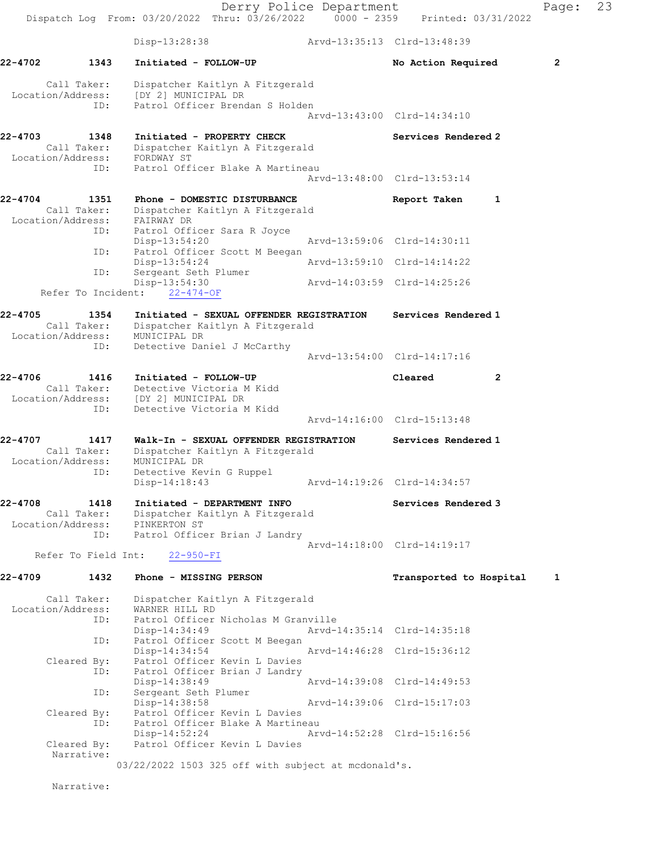Derry Police Department Fage: 23 Dispatch Log From: 03/20/2022 Thru: 03/26/2022 0000 - 2359 Printed: 03/31/2022 Disp-13:28:38 Arvd-13:35:13 Clrd-13:48:39 22-4702 1343 Initiated - FOLLOW-UP No Action Required 2 Call Taker: Dispatcher Kaitlyn A Fitzgerald Location/Address: [DY 2] MUNICIPAL DR ID: Patrol Officer Brendan S Holden Arvd-13:43:00 Clrd-14:34:10 22-4703 1348 Initiated - PROPERTY CHECK Services Rendered 2 Call Taker: Dispatcher Kaitlyn A Fitzgerald Location/Address: FORDWAY ST ID: Patrol Officer Blake A Martineau Arvd-13:48:00 Clrd-13:53:14 22-4704 1351 Phone - DOMESTIC DISTURBANCE Report Taken 1 Call Taker: Dispatcher Kaitlyn A Fitzgerald Location/Address: FAIRWAY DR ID: Patrol Officer Sara R Joyce<br>Disp-13:54:20 Disp-13:54:20 Arvd-13:59:06 Clrd-14:30:11 ID: Patrol Officer Scott M Beegan Disp-13:54:24 Arvd-13:59:10 Clrd-14:14:22 ID: Sergeant Seth Plumer Disp-13:54:30 Arvd-14:03:59 Clrd-14:25:26 Refer To Incident: 22-474-OF 22-4705 1354 Initiated - SEXUAL OFFENDER REGISTRATION Services Rendered 1 Call Taker: Dispatcher Kaitlyn A Fitzgerald Location/Address: MUNICIPAL DR ID: Detective Daniel J McCarthy Arvd-13:54:00 Clrd-14:17:16 22-4706 1416 Initiated - FOLLOW-UP Cleared 2 Call Taker: Detective Victoria M Kidd Location/Address: [DY 2] MUNICIPAL DR ID: Detective Victoria M Kidd Arvd-14:16:00 Clrd-15:13:48 22-4707 1417 Walk-In - SEXUAL OFFENDER REGISTRATION Services Rendered 1 Call Taker: Dispatcher Kaitlyn A Fitzgerald Location/Address: MUNICIPAL DR ID: Detective Kevin G Ruppel Disp-14:18:43 Arvd-14:19:26 Clrd-14:34:57 22-4708 1418 Initiated - DEPARTMENT INFO Services Rendered 3 Call Taker: Dispatcher Kaitlyn A Fitzgerald Location/Address: PINKERTON ST ID: Patrol Officer Brian J Landry Arvd-14:18:00 Clrd-14:19:17 Refer To Field Int: 22-950-FI 22-4709 1432 Phone - MISSING PERSON 1 Transported to Hospital 1 Call Taker: Dispatcher Kaitlyn A Fitzgerald Location/Address: WARNER HILL RD ID: Patrol Officer Nicholas M Granville Disp-14:34:49 Arvd-14:35:14 Clrd-14:35:18 ID: Patrol Officer Scott M Beegan<br>Disp-14:34:54 Disp-14:34:54 Arvd-14:46:28 Clrd-15:36:12 Cleared By: Patrol Officer Kevin L Davies<br>ID: Patrol Officer Brian J Landry ID: Patrol Officer Brian J Landry Disp-14:38:49 Arvd-14:39:08 Clrd-14:49:53 Disp-14:38:49<br>ID: Sergeant Seth Plumer<br>Disp 14:29:59 Disp-14:38:58 Arvd-14:39:06 Clrd-15:17:03 Cleared By: Patrol Officer Kevin L Davies ID: Patrol Officer Blake A Martineau Disp-14:52:24 Arvd-14:52:28 Clrd-15:16:56 Cleared By: Patrol Officer Kevin L Davies Narrative: 03/22/2022 1503 325 off with subject at mcdonald's.

Narrative: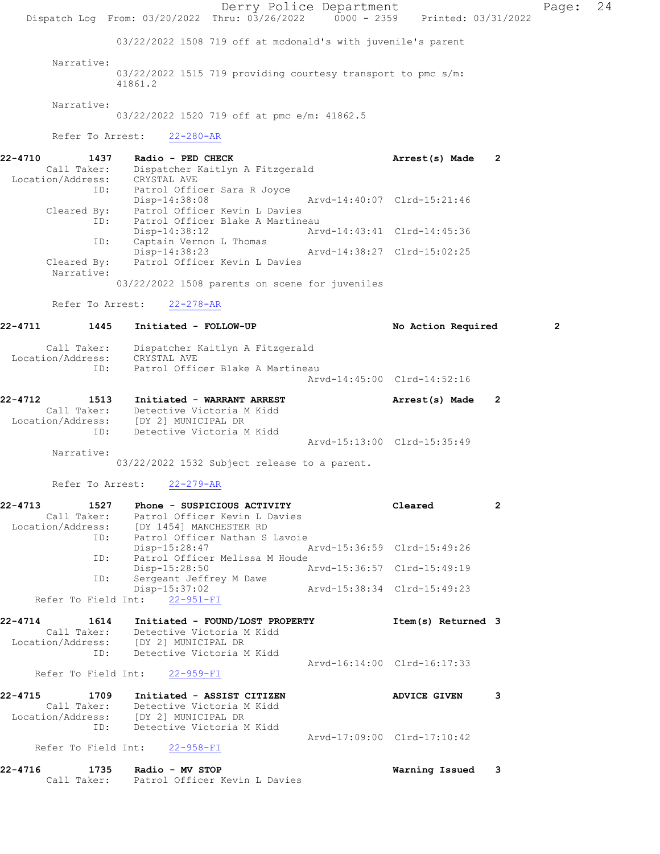Derry Police Department Page: 24 Dispatch Log From: 03/20/2022 Thru: 03/26/2022 0000 - 2359 Printed: 03/31/2022 03/22/2022 1508 719 off at mcdonald's with juvenile's parent Narrative: 03/22/2022 1515 719 providing courtesy transport to pmc s/m: 41861.2 Narrative: 03/22/2022 1520 719 off at pmc e/m: 41862.5 Refer To Arrest: 22-280-AR 22-4710 1437 Radio - PED CHECK Arrest(s) Made 2 Call Taker: Dispatcher Kaitlyn A Fitzgerald Location/Address: CRYSTAL AVE ID: Patrol Officer Sara R Joyce Disp-14:38:08 Arvd-14:40:07 Clrd-15:21:46 Cleared By: Patrol Officer Kevin L Davies ID: Patrol Officer Blake A Martineau Disp-14:38:12 Arvd-14:43:41 Clrd-14:45:36 Disp-14:30:12<br>ID: Captain Vernon L Thomas<br>Disp-14:38:23 Disp-14:38:23 Arvd-14:38:27 Clrd-15:02:25 Cleared By: Patrol Officer Kevin L Davies Narrative: 03/22/2022 1508 parents on scene for juveniles Refer To Arrest: 22-278-AR 22-4711 1445 Initiated - FOLLOW-UP No Action Required 2 Call Taker: Dispatcher Kaitlyn A Fitzgerald Location/Address: CRYSTAL AVE ID: Patrol Officer Blake A Martineau Arvd-14:45:00 Clrd-14:52:16 22-4712 1513 Initiated - WARRANT ARREST **Arrest(s)** Made 2 Call Taker: Detective Victoria M Kidd Location/Address: [DY 2] MUNICIPAL DR ID: Detective Victoria M Kidd Arvd-15:13:00 Clrd-15:35:49 Narrative: 03/22/2022 1532 Subject release to a parent. Refer To Arrest: 22-279-AR 22-4713 1527 Phone - SUSPICIOUS ACTIVITY Cleared 2 Call Taker: Patrol Officer Kevin L Davies Location/Address: [DY 1454] MANCHESTER RD ID: Patrol Officer Nathan S Lavoie Disp-15:28:47<br>ID: Patrol Officer Melissa M Hou Patrol Officer Melissa M Houde Disp-15:28:50 Arvd-15:36:57 Clrd-15:49:19 ID: Sergeant Jeffrey M Dawe Disp-15:37:02 Arvd-15:38:34 Clrd-15:49:23 Refer To Field Int: 22-951-FI 22-4714 1614 Initiated - FOUND/LOST PROPERTY Item(s) Returned 3 Call Taker: Detective Victoria M Kidd Location/Address: [DY 2] MUNICIPAL DR ID: Detective Victoria M Kidd Arvd-16:14:00 Clrd-16:17:33 Refer To Field Int: 22-959-FI 22-4715 1709 Initiated - ASSIST CITIZEN ADVICE GIVEN 3 Call Taker: Detective Victoria M Kidd Location/Address: [DY 2] MUNICIPAL DR ID: Detective Victoria M Kidd Arvd-17:09:00 Clrd-17:10:42 Refer To Field Int: 22-958-FI 22-4716 1735 Radio - MV STOP Warning Issued 3 Call Taker: Patrol Officer Kevin L Davies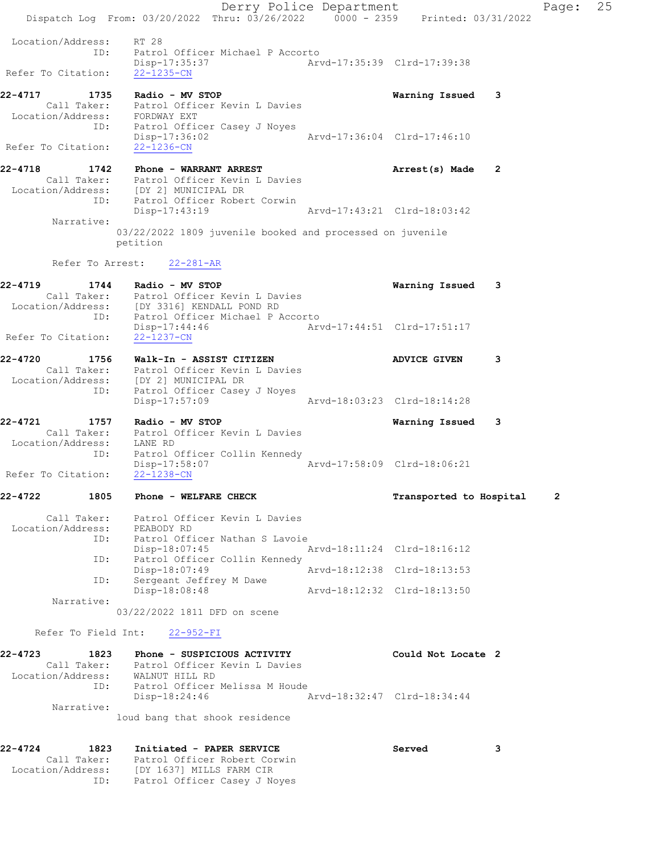Derry Police Department Fage: 25 Dispatch Log From: 03/20/2022 Thru: 03/26/2022 0000 - 2359 Printed: 03/31/2022 Location/Address: RT 28 ID: Patrol Officer Michael P Accorto Disp-17:35:37 Arvd-17:35:39 Clrd-17:39:38 Refer To Citation: 22-1235-CN 22-4717 1735 Radio - MV STOP Warning Issued 3 Call Taker: Patrol Officer Kevin L Davies Location/Address: FORDWAY EXT ID: Patrol Officer Casey J Noyes Disp-17:36:02 Refer To Citation: 22-1236-CN 22-4718 1742 Phone - WARRANT ARREST Arrest(s) Made 2 Call Taker: Patrol Officer Kevin L Davies Location/Address: [DY 2] MUNICIPAL DR ID: Patrol Officer Robert Corwin Disp-17:43:19 Arvd-17:43:21 Clrd-18:03:42 Narrative: 03/22/2022 1809 juvenile booked and processed on juvenile petition Refer To Arrest: 22-281-AR 22-4719 1744 Radio - MV STOP Warning Issued 3 Call Taker: Patrol Officer Kevin L Davies Location/Address: [DY 3316] KENDALL POND RD ID: Patrol Officer Michael P Accorto Disp-17:44:46 Arvd-17:44:51 Clrd-17:51:17 Refer To Citation: 22-1237-CN 22-4720 1756 Walk-In - ASSIST CITIZEN ADVICE GIVEN 3 Call Taker: Patrol Officer Kevin L Davies Location/Address: [DY 2] MUNICIPAL DR ID: Patrol Officer Casey J Noyes Disp-17:57:09 Arvd-18:03:23 Clrd-18:14:28 22-4721 1757 Radio - MV STOP Warning Issued 3 Call Taker: Patrol Officer Kevin L Davies Location/Address: LANE RD ID: Patrol Officer Collin Kennedy Disp-17:58:07 Arvd-17:58:09 Clrd-18:06:21 Refer To Citation: 22-1238-CN 22-4722 1805 Phone - WELFARE CHECK TRANSPORTED Transported to Hospital 2 Call Taker: Patrol Officer Kevin L Davies Location/Address: PEABODY RD ID: Patrol Officer Nathan S Lavoie Disp-18:07:45 Arvd-18:11:24 Clrd-18:16:12 ID: Patrol Officer Collin Kennedy Disp-18:07:49 Arvd-18:12:38 Clrd-18:13:53 ID: Sergeant Jeffrey M Dawe Disp-18:08:48 Arvd-18:12:32 Clrd-18:13:50 Narrative: 03/22/2022 1811 DFD on scene Refer To Field Int: 22-952-FI 22-4723 1823 Phone - SUSPICIOUS ACTIVITY Could Not Locate 2 Call Taker: Patrol Officer Kevin L Davies Location/Address: WALNUT HILL RD ID: Patrol Officer Melissa M Houde Disp-18:24:46 Arvd-18:32:47 Clrd-18:34:44 Narrative: loud bang that shook residence 22-4724 1823 Initiated - PAPER SERVICE 3 Call Taker: Patrol Officer Robert Corwin Location/Address: [DY 1637] MILLS FARM CIR ID: Patrol Officer Casey J Noyes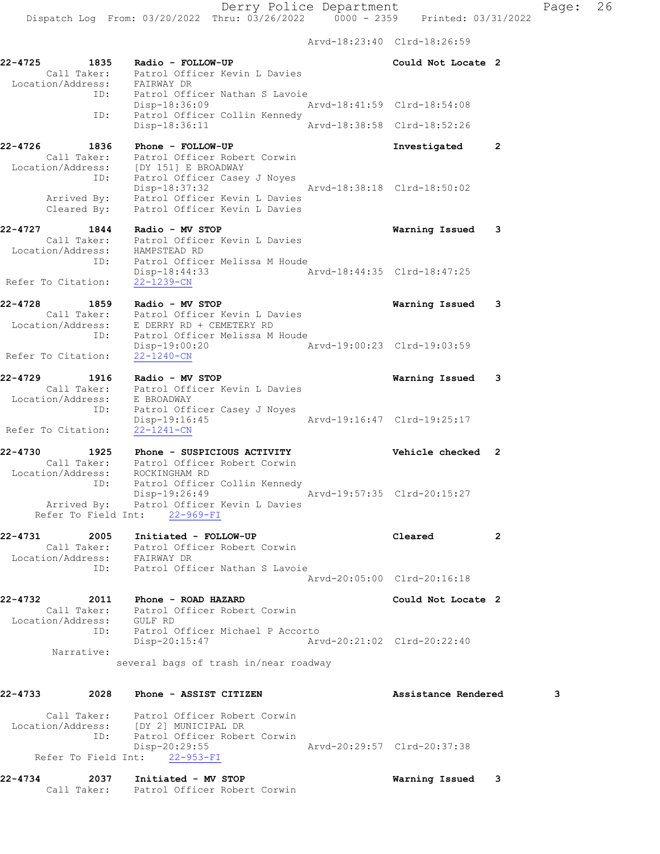Arvd-18:23:40 Clrd-18:26:59

| $22 - 4725$        | 1835                              | Radio - FOLLOW-UP<br>Call Taker: Patrol Officer Kevin L Davies<br>Location/Address: FAIRWAY DR                    |                             | Could Not Locate 2          |                |
|--------------------|-----------------------------------|-------------------------------------------------------------------------------------------------------------------|-----------------------------|-----------------------------|----------------|
|                    |                                   | ID: Patrol Officer Nathan S Lavoie<br>Disp-18:36:09                                                               |                             | Arvd-18:41:59 Clrd-18:54:08 |                |
|                    | ID:                               | Patrol Officer Collin Kennedy<br>Disp-18:36:11                                                                    |                             | Arvd-18:38:58 Clrd-18:52:26 |                |
| 22-4726            | 1836                              | Phone - FOLLOW-UP                                                                                                 |                             | Investigated                | $\overline{2}$ |
|                    | Call Taker:<br>ID:                | Patrol Officer Robert Corwin<br>Location/Address: [DY 151] E BROADWAY<br>Patrol Officer Casey J Noyes             |                             |                             |                |
|                    | Cleared By:                       | Disp-18:37:32<br>Arrived By: Patrol Officer Kevin L Davies<br>Patrol Officer Kevin L Davies                       | Arvd-18:38:18 Clrd-18:50:02 |                             |                |
| 22-4727            | 1844                              | Radio - MV STOP<br>Call Taker: Patrol Officer Kevin L Davies                                                      |                             | Warning Issued              | 3              |
|                    |                                   | Location/Address: HAMPSTEAD RD<br>ID: Patrol Officer Melissa M Houde<br>Disp-18:44:33                             |                             |                             |                |
| Refer To Citation: |                                   | 22-1239-CN                                                                                                        |                             |                             |                |
| 22-4728 1859       |                                   | Radio - MV STOP<br>Call Taker: Patrol Officer Kevin L Davies<br>Location/Address: E DERRY RD + CEMETERY RD        |                             | Warning Issued              | 3              |
| Refer To Citation: | ID:                               | Patrol Officer Melissa M Houde<br>$Disp-19:00:20$<br>$22 - 1240 - CN$                                             | Arvd-19:00:23 Clrd-19:03:59 |                             |                |
| 22-4729            | 1916                              | Radio - MV STOP<br>Call Taker: Patrol Officer Kevin L Davies                                                      |                             | Warning Issued              | 3              |
|                    |                                   | Location/Address: E BROADWAY<br>ID: Patrol Off<br>Patrol Officer Casey J Noyes<br>Disp-19:16:45                   | Arvd-19:16:47 Clrd-19:25:17 |                             |                |
| Refer To Citation: |                                   | 22-1241-CN                                                                                                        |                             |                             |                |
| 22-4730            | 1925                              | Phone - SUSPICIOUS ACTIVITY<br>Call Taker: Patrol Officer Robert Corwin<br>Location/Address: ROCKINGHAM RD        |                             | Vehicle checked 2           |                |
|                    | ID:                               | Patrol Officer Collin Kennedy<br>Disp-19:26:49<br>Arrived By: Patrol Officer Kevin L Davies                       |                             | Arvd-19:57:35 Clrd-20:15:27 |                |
|                    |                                   | Refer To Field Int: 22-969-FI                                                                                     |                             |                             |                |
| 22-4731            | 2005<br>Call Taker:               | Initiated - FOLLOW-UP<br>Patrol Officer Robert Corwin<br>Location/Address: FAIRWAY DR                             |                             | Cleared                     | 2              |
|                    | ID:                               | Patrol Officer Nathan S Lavoie                                                                                    |                             | Arvd-20:05:00 Clrd-20:16:18 |                |
| 22-4732            | 2011<br>Location/Address: GULF RD | Phone - ROAD HAZARD<br>Call Taker: Patrol Officer Robert Corwin                                                   |                             | Could Not Locate 2          |                |
|                    | ID:                               | Patrol Officer Michael P Accorto<br>Disp-20:15:47                                                                 |                             | Arvd-20:21:02 Clrd-20:22:40 |                |
|                    | Narrative:                        | several bags of trash in/near roadway                                                                             |                             |                             |                |
| 22-4733            | 2028                              | Phone - ASSIST CITIZEN                                                                                            |                             | Assistance Rendered         | 3              |
|                    | ID:                               | Call Taker: Patrol Officer Robert Corwin<br>Location/Address: [DY 2] MUNICIPAL DR<br>Patrol Officer Robert Corwin |                             |                             |                |
|                    |                                   | Disp-20:29:55<br>Refer To Field Int: 22-953-FI                                                                    |                             | Arvd-20:29:57 Clrd-20:37:38 |                |
| 22-4734            | 2037                              | Initiated - MV STOP                                                                                               |                             | Warning Issued              | 3              |

Call Taker: Patrol Officer Robert Corwin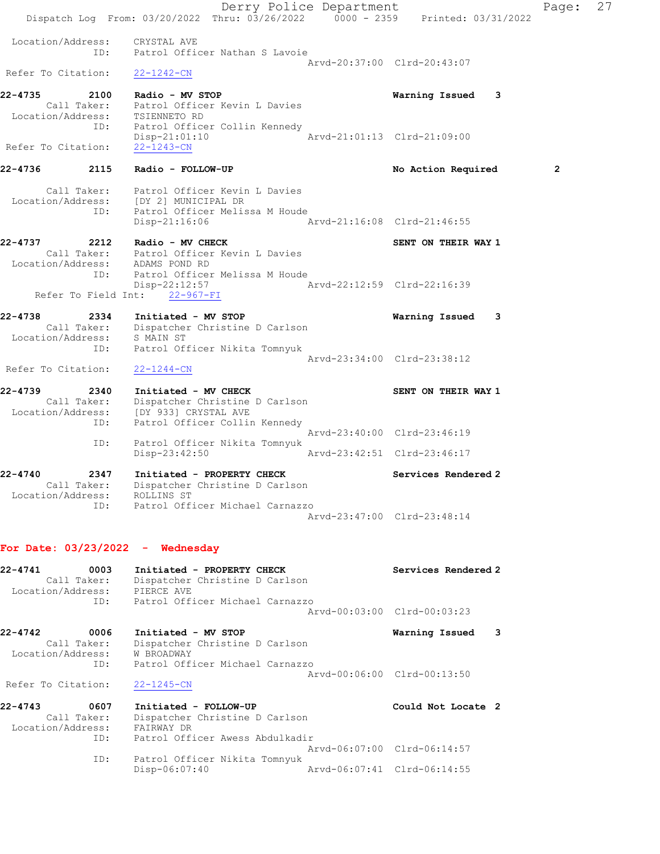Derry Police Department Fage: 27 Dispatch Log From:  $03/20/2022$  Thru:  $03/26/2022$   $0.000 - 2359$  Printed:  $03/31/2022$  Location/Address: CRYSTAL AVE ID: Patrol Officer Nathan S Lavoie Arvd-20:37:00 Clrd-20:43:07 Refer To Citation: 22-1242-CN 22-4735 2100 Radio - MV STOP Warning Issued 3 Call Taker: Patrol Officer Kevin L Davies Location/Address: TSIENNETO RD ID: Patrol Officer Collin Kennedy<br>ID: Patrol Officer Collin Kennedy<br>Disp-21:01:10 Arvd-21:01:13 Clrd-21:09:00 Disp-21:01:10 Arvd-21:01:13 Clrd-21:09:00 Refer To Citation: 22-1243-CN 22-4736 2115 Radio - FOLLOW-UP **No Action Required** 2 Call Taker: Patrol Officer Kevin L Davies Location/Address: [DY 2] MUNICIPAL DR ID: Patrol Officer Melissa M Houde Disp-21:16:06 Arvd-21:16:08 Clrd-21:46:55 22-4737 2212 Radio - MV CHECK SENT ON THEIR WAY 1 Call Taker: Patrol Officer Kevin L Davies Location/Address: ADAMS POND RD ID: Patrol Officer Melissa M Houde Disp-22:12:57 Arvd-22:12:59 Clrd-22:16:39 Refer To Field Int: 22-967-FI 22-4738 2334 Initiated - MV STOP Warning Issued 3 Call Taker: Dispatcher Christine D Carlson Location/Address: S MAIN ST ID: Patrol Officer Nikita Tomnyuk Arvd-23:34:00 Clrd-23:38:12 Refer To Citation: 22-1244-CN 22-4739 2340 Initiated - MV CHECK SENT ON THEIR WAY 1 Call Taker: Dispatcher Christine D Carlson Location/Address: [DY 933] CRYSTAL AVE ID: Patrol Officer Collin Kennedy Arvd-23:40:00 Clrd-23:46:19 ID: Patrol Officer Nikita Tomnyuk Disp-23:42:50 Arvd-23:42:51 Clrd-23:46:17 22-4740 2347 Initiated - PROPERTY CHECK Services Rendered 2 Call Taker: Dispatcher Christine D Carlson Location/Address: ROLLINS ST ID: Patrol Officer Michael Carnazzo Arvd-23:47:00 Clrd-23:48:14 For Date: 03/23/2022 - Wednesday 22-4741 0003 Initiated - PROPERTY CHECK Services Rendered 2 Call Taker: Dispatcher Christine D Carlson Location/Address: PIERCE AVE ID: Patrol Officer Michael Carnazzo Arvd-00:03:00 Clrd-00:03:23 22-4742 0006 Initiated - MV STOP Warning Issued 3 Call Taker: Dispatcher Christine D Carlson Location/Address: W BROADWAY ID: Patrol Officer Michael Carnazzo Arvd-00:06:00 Clrd-00:13:50 Refer To Citation: 22-1245-CN 22-4743 0607 Initiated - FOLLOW-UP Could Not Locate 2 Call Taker: Dispatcher Christine D Carlson Location/Address: FAIRWAY DR ID: Patrol Officer Awess Abdulkadir Arvd-06:07:00 Clrd-06:14:57 ID: Patrol Officer Nikita Tomnyuk

Disp-06:07:40 Arvd-06:07:41 Clrd-06:14:55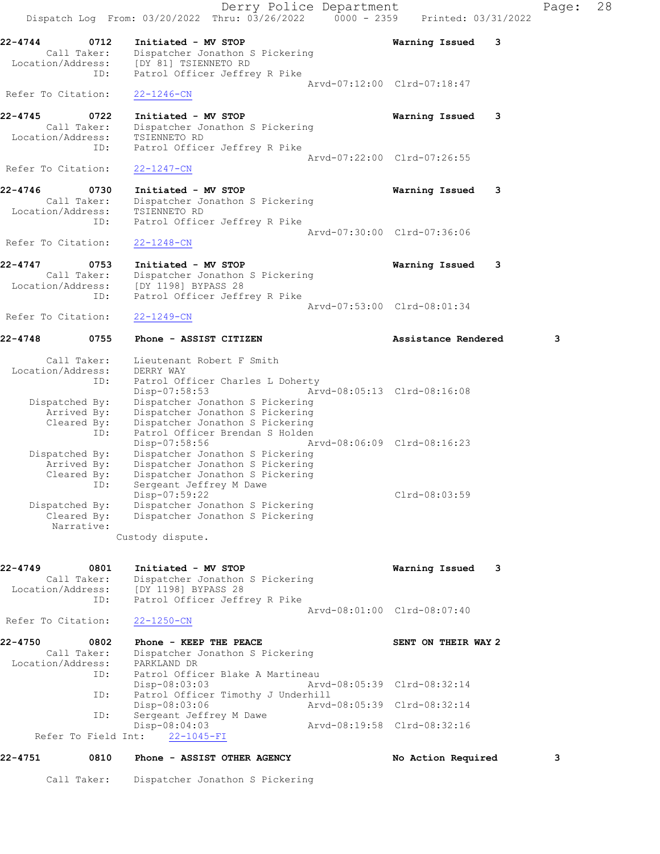Derry Police Department Fage: 28 Dispatch Log From:  $03/20/2022$  Thru:  $03/26/2022$  0000 - 2359 Printed: 03/31/2022 22-4744 0712 Initiated - MV STOP Warning Issued 3 Call Taker: Dispatcher Jonathon S Pickering Location/Address: [DY 81] TSIENNETO RD ID: Patrol Officer Jeffrey R Pike Arvd-07:12:00 Clrd-07:18:47 Refer To Citation: 22-1246-CN 22-4745 0722 Initiated - MV STOP Warning Issued 3 Call Taker: Dispatcher Jonathon S Pickering Location/Address: TSIENNETO RD ID: Patrol Officer Jeffrey R Pike Arvd-07:22:00 Clrd-07:26:55 Refer To Citation: 22-1247-CN 22-4746 0730 Initiated - MV STOP Warning Issued 3 Call Taker: Dispatcher Jonathon S Pickering Location/Address: TSIENNETO RD ID: Patrol Officer Jeffrey R Pike Arvd-07:30:00 Clrd-07:36:06 Refer To Citation: 22-1248-CN 22-4747 0753 Initiated - MV STOP Warning Issued 3 Call Taker: Dispatcher Jonathon S Pickering Location/Address: [DY 1198] BYPASS 28 ID: Patrol Officer Jeffrey R Pike Arvd-07:53:00 Clrd-08:01:34 Refer To Citation: 22-1249-CN 22-4748 0755 Phone - ASSIST CITIZEN Assistance Rendered 3 Call Taker: Lieutenant Robert F Smith Location/Address: DERRY WAY ID: Patrol Officer Charles L Doherty Disp-07:58:53 Arvd-08:05:13 Clrd-08:16:08 Dispatched By: Dispatcher Jonathon S Pickering Arrived By: Dispatcher Jonathon S Pickering Cleared By: Dispatcher Jonathon S Pickering ID: Patrol Officer Brendan S Holden Disp-07:58:56 Arvd-08:06:09 Clrd-08:16:23 Dispatched By: Dispatcher Jonathon S Pickering Arrived By: Dispatcher Jonathon S Pickering Cleared By: Dispatcher Jonathon S Pickering ID: Sergeant Jeffrey M Dawe Disp-07:59:22 Clrd-08:03:59 Dispatched By: Dispatcher Jonathon S Pickering Cleared By: Dispatcher Jonathon S Pickering Narrative: Custody dispute. 22-4749 0801 Initiated - MV STOP Warning Issued 3 Call Taker: Dispatcher Jonathon S Pickering Location/Address: [DY 1198] BYPASS 28 ID: Patrol Officer Jeffrey R Pike Arvd-08:01:00 Clrd-08:07:40 Refer To Citation: 22-1250-CN 22-4750 0802 Phone - KEEP THE PEACE SENT ON THEIR WAY 2 Call Taker: Dispatcher Jonathon S Pickering Location/Address: PARKLAND DR ID: Patrol Officer Blake A Martineau<br>Disp-08:03:03 Disp-08:03:03<br>ID: Patrol Officer Timothy J Underhill<br>D: Patrol Officer Timothy J Underhill Patrol Officer Timothy J Underhill Disp-08:03:06 Arvd-08:05:39 Clrd-08:32:14 ID: Sergeant Jeffrey M Dawe Disp-08:04:03 Arvd-08:19:58 Clrd-08:32:16 Refer To Field Int: 22-1045-FI 22-4751 0810 Phone - ASSIST OTHER AGENCY No Action Required 3

Call Taker: Dispatcher Jonathon S Pickering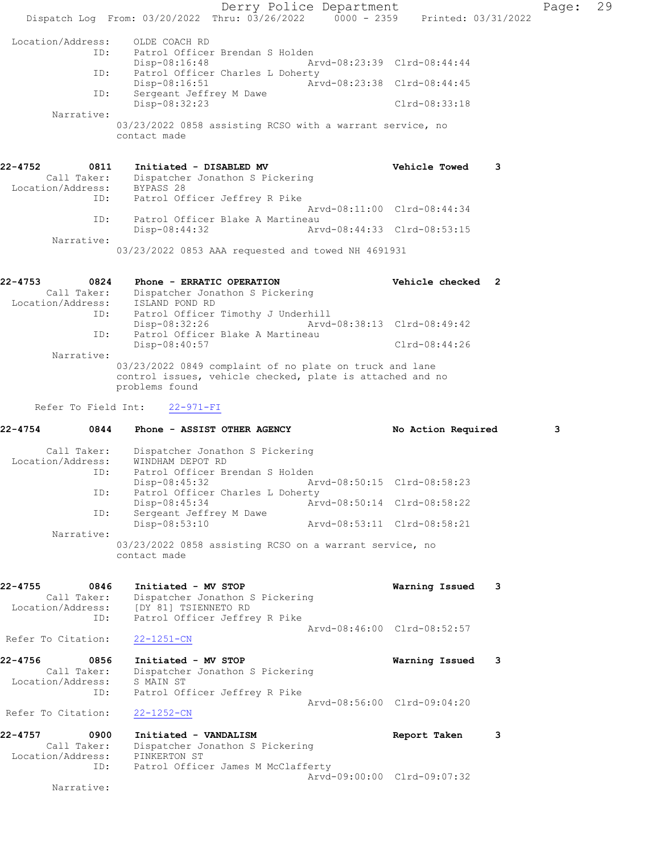Derry Police Department Fage: 29 Dispatch Log From: 03/20/2022 Thru: 03/26/2022 0000 - 2359 Printed: 03/31/2022 Location/Address: OLDE COACH RD<br>TD: Patrol Officer Patrol Officer Brendan S Holden<br>Disp-08:16:48 Ar Disp-08:16:48 Arvd-08:23:39 Clrd-08:44:44 ID: Patrol Officer Charles L Doherty Disp-08:16:51 Arvd-08:23:38 Clrd-08:44:45 ID: Sergeant Jeffrey M Dawe Disp-08:32:23 Clrd-08:33:18 Narrative: 03/23/2022 0858 assisting RCSO with a warrant service, no contact made 22-4752 0811 Initiated - DISABLED MV **120 CEA CONTACT Vehicle Towed** 3 Call Taker: Dispatcher Jonathon S Pickering Location/Address: BYPASS 28 ID: Patrol Officer Jeffrey R Pike Arvd-08:11:00 Clrd-08:44:34 ID: Patrol Officer Blake A Martineau Disp-08:44:32 Arvd-08:44:33 Clrd-08:53:15 Narrative: 03/23/2022 0853 AAA requested and towed NH 4691931 22-4753 0824 Phone - ERRATIC OPERATION Vehicle checked 2 Call Taker: Dispatcher Jonathon S Pickering Location/Address: ISLAND POND RD ID: Patrol Officer Timothy J Underhill Disp-08:32:26 Arvd-08:38:13 Clrd-08:49:42 ID: Patrol Officer Blake A Martineau Disp-08:40:57 Clrd-08:44:26 Narrative: 03/23/2022 0849 complaint of no plate on truck and lane control issues, vehicle checked, plate is attached and no problems found Refer To Field Int: 22-971-FI 22-4754 0844 Phone - ASSIST OTHER AGENCY No Action Required 3 Call Taker: Dispatcher Jonathon S Pickering Location/Address: WINDHAM DEPOT RD ID: Patrol Officer Brendan S Holden Disp-08:45:32 Arvd-08:50:15 Clrd-08:58:23 ID: Patrol Officer Charles L Doherty Disp-08:45:34 Arvd-08:50:14 Clrd-08:58:22 ID: Sergeant Jeffrey M Dawe<br>Disp-08:53:10 Disp-08:53:10 Arvd-08:53:11 Clrd-08:58:21 Narrative: 03/23/2022 0858 assisting RCSO on a warrant service, no contact made 22-4755 0846 Initiated - MV STOP Warning Issued 3 Call Taker: Dispatcher Jonathon S Pickering Location/Address: [DY 81] TSIENNETO RD ID: Patrol Officer Jeffrey R Pike Arvd-08:46:00 Clrd-08:52:57 Refer To Citation: 22-1251-CN 22-4756 0856 Initiated - MV STOP Warning Issued 3 Call Taker: Dispatcher Jonathon S Pickering Location/Address: S MAIN ST ID: Patrol Officer Jeffrey R Pike Arvd-08:56:00 Clrd-09:04:20 Refer To Citation: 22-1252-CN 22-4757 0900 Initiated - VANDALISM Report Taken 3 Call Taker: Dispatcher Jonathon S Pickering Location/Address: PINKERTON ST ID: Patrol Officer James M McClafferty Arvd-09:00:00 Clrd-09:07:32 Narrative: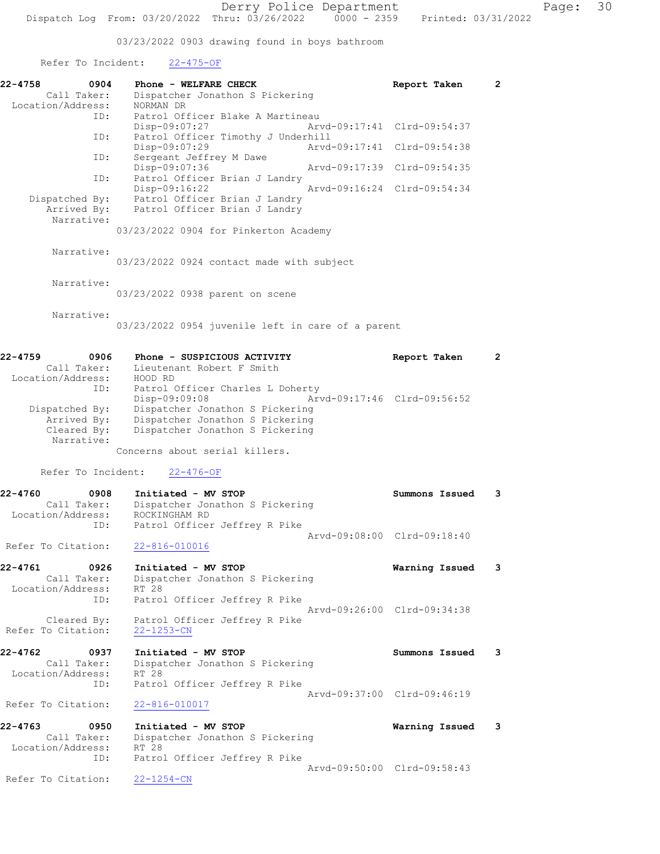03/23/2022 0903 drawing found in boys bathroom

Refer To Incident: 22-475-OF

| 22-4758<br>0904<br>Call Taker:    | Phone - WELFARE CHECK<br>Dispatcher Jonathon S Pickering           | Report Taken                | $\mathbf{2}$ |
|-----------------------------------|--------------------------------------------------------------------|-----------------------------|--------------|
| Location/Address:<br>ID:          | NORMAN DR<br>Patrol Officer Blake A Martineau                      |                             |              |
| ID:                               | Disp-09:07:27<br>Patrol Officer Timothy J Underhill                | Arvd-09:17:41 Clrd-09:54:37 |              |
| ID:                               | Disp-09:07:29<br>Arvd-09:17:41<br>Sergeant Jeffrey M Dawe          | Clrd-09:54:38               |              |
| ID:                               | Disp-09:07:36<br>Patrol Officer Brian J Landry                     | Arvd-09:17:39 Clrd-09:54:35 |              |
| Dispatched By:                    | Disp-09:16:22<br>Patrol Officer Brian J Landry                     | Arvd-09:16:24 Clrd-09:54:34 |              |
| Arrived By:<br>Narrative:         | Patrol Officer Brian J Landry                                      |                             |              |
|                                   | 03/23/2022 0904 for Pinkerton Academy                              |                             |              |
| Narrative:                        | 03/23/2022 0924 contact made with subject                          |                             |              |
| Narrative:                        | 03/23/2022 0938 parent on scene                                    |                             |              |
| Narrative:                        | 03/23/2022 0954 juvenile left in care of a parent                  |                             |              |
| 22-4759<br>0906                   | Phone - SUSPICIOUS ACTIVITY                                        | Report Taken                | $\mathbf{2}$ |
| Call Taker:                       | Lieutenant Robert F Smith<br>HOOD RD                               |                             |              |
| Location/Address:<br>ID:          | Patrol Officer Charles L Doherty                                   |                             |              |
| Dispatched By:                    | Disp-09:09:08<br>Dispatcher Jonathon S Pickering                   | Arvd-09:17:46 Clrd-09:56:52 |              |
| Arrived By:<br>Cleared By:        | Dispatcher Jonathon S Pickering<br>Dispatcher Jonathon S Pickering |                             |              |
| Narrative:                        | Concerns about serial killers.                                     |                             |              |
| Refer To Incident:                | $22 - 476 - OF$                                                    |                             |              |
| 22-4760<br>0908                   | Initiated - MV STOP                                                | Summons Issued              | 3            |
| Call Taker:<br>Location/Address:  | Dispatcher Jonathon S Pickering<br>ROCKINGHAM RD                   |                             |              |
| ID:                               | Patrol Officer Jeffrey R Pike                                      |                             |              |
| Refer To Citation:                | 22-816-010016                                                      | Arvd-09:08:00 Clrd-09:18:40 |              |
| 22-4761<br>0926                   | Initiated - MV STOP                                                | Warning Issued              | 3            |
| Call Taker:<br>Location/Address:  | Dispatcher Jonathon S Pickering<br>RT 28                           |                             |              |
| ID:                               | Patrol Officer Jeffrey R Pike                                      | Arvd-09:26:00 Clrd-09:34:38 |              |
| Cleared By:<br>Refer To Citation: | Patrol Officer Jeffrey R Pike<br>$22 - 1253 - CN$                  |                             |              |
| 22-4762<br>0937                   | Initiated - MV STOP                                                | Summons Issued              | 3            |
| Call Taker:<br>Location/Address:  | Dispatcher Jonathon S Pickering<br>RT 28                           |                             |              |
| ID:                               | Patrol Officer Jeffrey R Pike                                      | Arvd-09:37:00 Clrd-09:46:19 |              |
| Refer To Citation:                | 22-816-010017                                                      |                             |              |
| 22-4763<br>0950                   | Initiated - MV STOP                                                | Warning Issued              | 3            |
| Call Taker:<br>Location/Address:  | Dispatcher Jonathon S Pickering<br>RT 28                           |                             |              |
| ID:                               | Patrol Officer Jeffrey R Pike                                      | Arvd-09:50:00 Clrd-09:58:43 |              |
| Refer To Citation:                | $22 - 1254 - CN$                                                   |                             |              |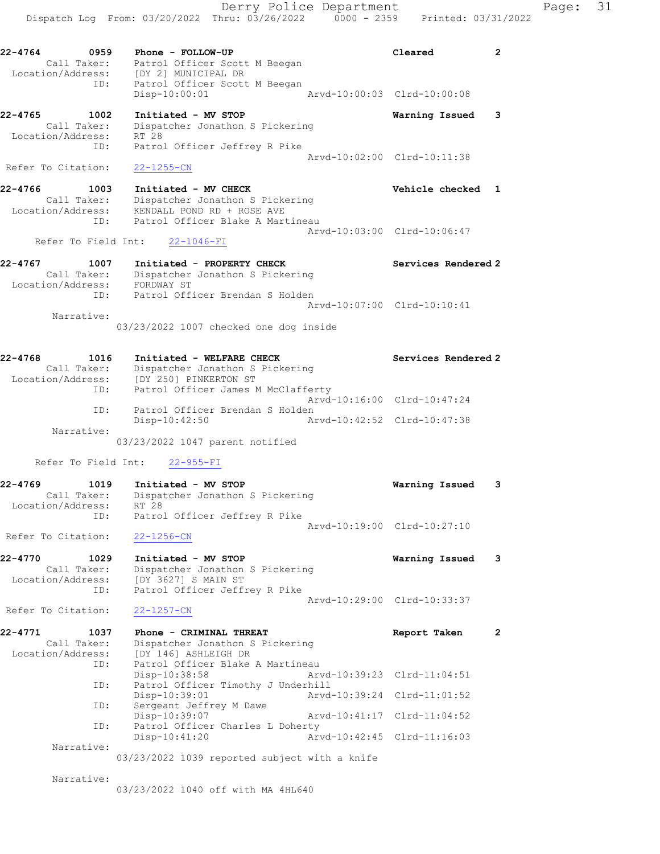Disp-10:00:01 Arvd-10:00:03 Clrd-10:00:08

22-4765 1002 Initiated - MV STOP Warning Issued 3 Call Taker: Dispatcher Jonathon S Pickering Location/Address: RT 28 ID: Patrol Officer Jeffrey R Pike Arvd-10:02:00 Clrd-10:11:38

### Refer To Citation: 22-1255-CN

22-4766 1003 Initiated - MV CHECK 22-4766 Vehicle checked 1 Call Taker: Dispatcher Jonathon S Pickering Location/Address: KENDALL POND RD + ROSE AVE ID: Patrol Officer Blake A Martineau Arvd-10:03:00 Clrd-10:06:47

Refer To Field Int: 22-1046-FI

22-4767 1007 Initiated - PROPERTY CHECK Services Rendered 2 Call Taker: Dispatcher Jonathon S Pickering Location/Address: FORDWAY ST ID: Patrol Officer Brendan S Holden Arvd-10:07:00 Clrd-10:10:41 Narrative: 03/23/2022 1007 checked one dog inside

| 22-4768<br>1016   | Initiated - WELFARE CHECK          | Services Rendered 2         |
|-------------------|------------------------------------|-----------------------------|
| Call Taker:       | Dispatcher Jonathon S Pickering    |                             |
| Location/Address: | [DY 250] PINKERTON ST              |                             |
| ID:               | Patrol Officer James M McClafferty |                             |
|                   |                                    | Aryd-10:16:00 Clrd-10:47:24 |
| ID:               | Patrol Officer Brendan S Holden    |                             |
|                   | $Disp-10:42:50$                    | Arvd-10:42:52 Clrd-10:47:38 |
| Narrative:        |                                    |                             |
|                   | 03/23/2022 1047 parent notified    |                             |

Refer To Field Int: 22-955-FI

| 22-4769           | 1019        | Initiated - MV STOP             | Warning Issued 3            |  |
|-------------------|-------------|---------------------------------|-----------------------------|--|
|                   | Call Taker: | Dispatcher Jonathon S Pickering |                             |  |
| Location/Address: |             | RT 28                           |                             |  |
|                   | ID:         | Patrol Officer Jeffrey R Pike   |                             |  |
|                   |             |                                 | Arvd-10:19:00 Clrd-10:27:10 |  |

Refer To Citation: 22-1256-CN

22-4770 1029 Initiated - MV STOP Warning Issued 3 Call Taker: Dispatcher Jonathon S Pickering Location/Address: [DY 3627] S MAIN ST ID: Patrol Officer Jeffrey R Pike Arvd-10:29:00 Clrd-10:33:37

Refer To Citation: 22-1257-CN

| 22-4771           | 1037        | Phone - CRIMINAL THREAT            | Report Taken                | 2 |
|-------------------|-------------|------------------------------------|-----------------------------|---|
|                   | Call Taker: | Dispatcher Jonathon S Pickering    |                             |   |
| Location/Address: |             | [DY 146] ASHLEIGH DR               |                             |   |
|                   | ID:         | Patrol Officer Blake A Martineau   |                             |   |
|                   |             | Disp-10:38:58                      | Arvd-10:39:23 Clrd-11:04:51 |   |
|                   | ID:         | Patrol Officer Timothy J Underhill |                             |   |
|                   |             | Disp-10:39:01                      | Arvd-10:39:24 Clrd-11:01:52 |   |
|                   | ID:         | Sergeant Jeffrey M Dawe            |                             |   |
|                   |             | Disp-10:39:07                      | Arvd-10:41:17 Clrd-11:04:52 |   |
|                   | ID:         | Patrol Officer Charles L Doherty   |                             |   |
|                   |             | $Disp-10:41:20$                    | Arvd-10:42:45 Clrd-11:16:03 |   |
|                   | Narrative:  |                                    |                             |   |

03/23/2022 1039 reported subject with a knife

Narrative:

03/23/2022 1040 off with MA 4HL640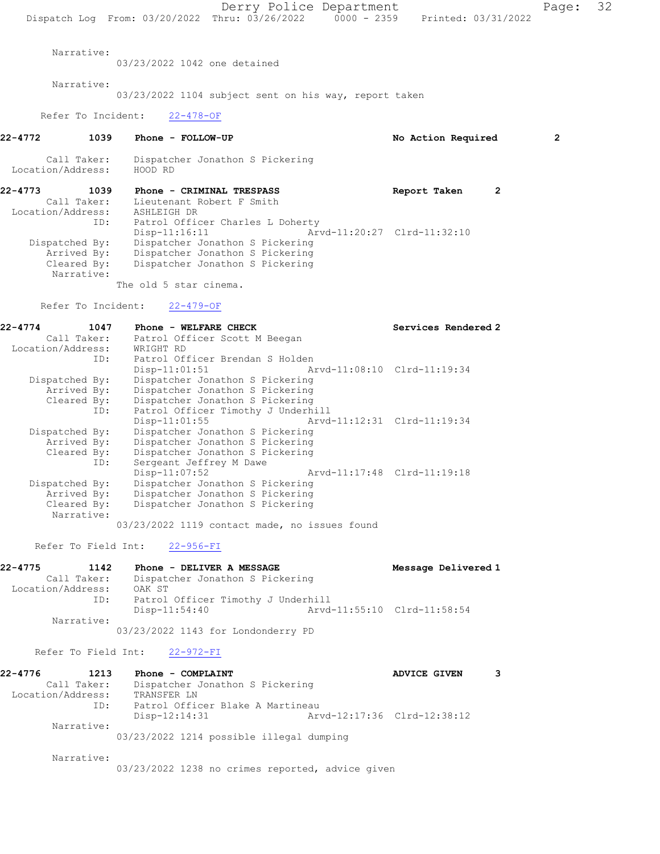Narrative:

03/23/2022 1042 one detained

Narrative:

03/23/2022 1104 subject sent on his way, report taken

Refer To Incident: 22-478-OF

22-4772 1039 Phone - FOLLOW-UP No Action Required 2

- Call Taker: Dispatcher Jonathon S Pickering Location/Address: HOOD RD
- 22-4773 1039 Phone CRIMINAL TRESPASS Report Taken 2 Call Taker: Lieutenant Robert F Smith Location/Address: ASHLEIGH DR ID: Patrol Officer Charles L Doherty Disp-11:16:11 Arvd-11:20:27 Clrd-11:32:10 Dispatched By: Dispatcher Jonathon S Pickering Arrived By: Dispatcher Jonathon S Pickering Cleared By: Dispatcher Jonathon S Pickering Narrative: The old 5 star cinema.

Refer To Incident: 22-479-OF

| $22 - 4774$<br>1047       | Phone - WELFARE CHECK                          | Services Rendered 2         |
|---------------------------|------------------------------------------------|-----------------------------|
| Call Taker:               | Patrol Officer Scott M Beegan                  |                             |
| Location/Address:         | WRIGHT RD                                      |                             |
| ID:                       | Patrol Officer Brendan S Holden                |                             |
|                           | Arvd-11:08:10 Clrd-11:19:34<br>$Disp-11:01:51$ |                             |
| Dispatched By:            | Dispatcher Jonathon S Pickering                |                             |
| Arrived By:               | Dispatcher Jonathon S Pickering                |                             |
| Cleared By:               | Dispatcher Jonathon S Pickering                |                             |
| ID:                       | Patrol Officer Timothy J Underhill             |                             |
|                           | Arvd-11:12:31 Clrd-11:19:34<br>$Disp-11:01:55$ |                             |
| Dispatched By:            | Dispatcher Jonathon S Pickering                |                             |
| Arrived By:               | Dispatcher Jonathon S Pickering                |                             |
| Cleared By:               | Dispatcher Jonathon S Pickering                |                             |
| ID:                       | Sergeant Jeffrey M Dawe                        |                             |
|                           | $Disp-11:07:52$                                | Arvd-11:17:48 Clrd-11:19:18 |
| Dispatched By:            | Dispatcher Jonathon S Pickering                |                             |
| Arrived By:               | Dispatcher Jonathon S Pickering                |                             |
| Cleared By:<br>Narrative: | Dispatcher Jonathon S Pickering                |                             |

03/23/2022 1119 contact made, no issues found

Refer To Field Int: 22-956-FI

| 22-4775 | 1142              | Phone - DELIVER A MESSAGE          | Message Delivered 1         |
|---------|-------------------|------------------------------------|-----------------------------|
|         | Call Taker:       | Dispatcher Jonathon S Pickering    |                             |
|         | Location/Address: | OAK ST                             |                             |
|         | ID:               | Patrol Officer Timothy J Underhill |                             |
|         |                   | $Disp-11:54:40$                    | Arvd-11:55:10 Clrd-11:58:54 |
|         | Narrative:        |                                    |                             |

03/23/2022 1143 for Londonderry PD

#### Refer To Field Int: 22-972-FI

| 22-4776           | 1213        | Phone - COMPLAINT                |                             | ADVICE GIVEN |  |
|-------------------|-------------|----------------------------------|-----------------------------|--------------|--|
|                   | Call Taker: | Dispatcher Jonathon S Pickering  |                             |              |  |
| Location/Address: |             | TRANSFER LN                      |                             |              |  |
|                   | ID:         | Patrol Officer Blake A Martineau |                             |              |  |
|                   |             | Disp-12:14:31                    | Arvd-12:17:36 Clrd-12:38:12 |              |  |
|                   | Narrative:  |                                  |                             |              |  |

03/23/2022 1214 possible illegal dumping

Narrative:

03/23/2022 1238 no crimes reported, advice given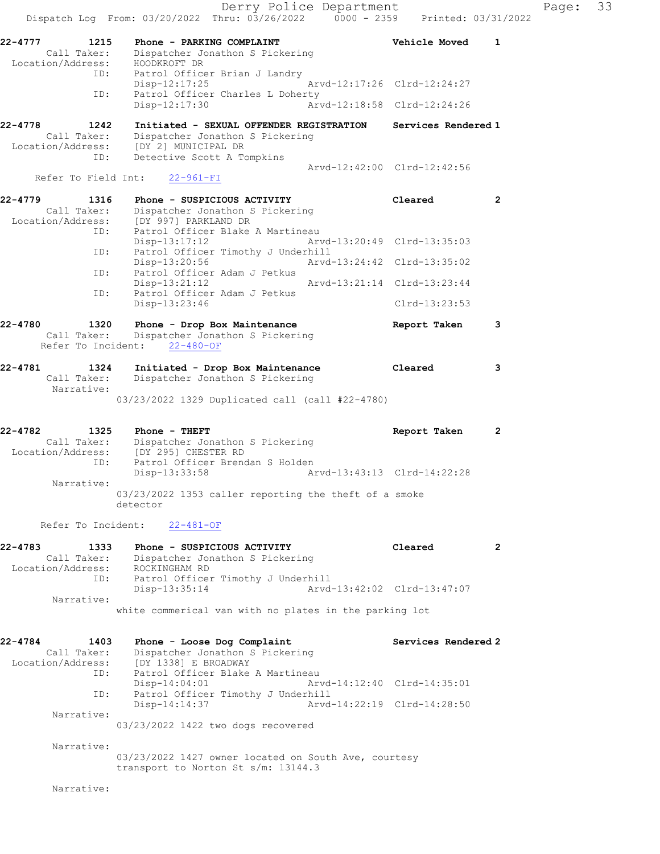Derry Police Department Fage: 33 Dispatch Log From: 03/20/2022 Thru: 03/26/2022 0000 - 2359 Printed: 03/31/2022 22-4777 1215 Phone - PARKING COMPLAINT Vehicle Moved 1 Call Taker: Dispatcher Jonathon S Pickering Location/Address: HOODKROFT DR ID: Patrol Officer Brian J Landry Disp-12:17:25 Arvd-12:17:26 Clrd-12:24:27 ID: Patrol Officer Charles L Doherty Disp-12:17:30 22-4778 1242 Initiated - SEXUAL OFFENDER REGISTRATION Services Rendered 1 Call Taker: Dispatcher Jonathon S Pickering Location/Address: [DY 2] MUNICIPAL DR ID: Detective Scott A Tompkins Arvd-12:42:00 Clrd-12:42:56 Refer To Field Int: 22-961-FI 22-4779 1316 Phone - SUSPICIOUS ACTIVITY Cleared 2 Call Taker: Dispatcher Jonathon S Pickering Location/Address: [DY 997] PARKLAND DR ID: Patrol Officer Blake A Martineau Disp-13:17:12 Arvd-13:20:49 Clrd-13:35:03 ID: Patrol Officer Timothy J Underhill<br>Disp-13:20:56 Arvd- Disp-13:20:56 Arvd-13:24:42 Clrd-13:35:02 ID: Patrol Officer Adam J Petkus Disp-13:21:12 Arvd-13:21:14 Clrd-13:23:44 ID: Patrol Officer Adam J Petkus Disp-13:23:46 Clrd-13:23:53 22-4780 1320 Phone - Drop Box Maintenance Report Taken 3 Call Taker: Dispatcher Jonathon S Pickering Refer To Incident: 22-480-OF 22-4781 1324 Initiated - Drop Box Maintenance Cleared 3 Call Taker: Dispatcher Jonathon S Pickering Narrative: 03/23/2022 1329 Duplicated call (call #22-4780) 22-4782 1325 Phone - THEFT Report Taken 2 Call Taker: Dispatcher Jonathon S Pickering Location/Address: [DY 295] CHESTER RD ID: Patrol Officer Brendan S Holden<br>Disp-13:33:58 Ar Disp-13:33:58 Arvd-13:43:13 Clrd-14:22:28 Narrative: 03/23/2022 1353 caller reporting the theft of a smoke detector Refer To Incident: 22-481-OF 22-4783 1333 Phone - SUSPICIOUS ACTIVITY Cleared 2 Call Taker: Dispatcher Jonathon S Pickering Location/Address: ROCKINGHAM RD ID: Patrol Officer Timothy J Underhill Disp-13:35:14 Arvd-13:42:02 Clrd-13:47:07 Narrative: white commerical van with no plates in the parking lot 22-4784 1403 Phone - Loose Dog Complaint Services Rendered 2 Call Taker: Dispatcher Jonathon S Pickering Location/Address: [DY 1338] E BROADWAY ID: Patrol Officer Blake A Martineau Disp-14:04:01 <br>
Patrol Officer Timothy J Underhill<br>
Patrol Officer Timothy J Underhill ID: Patrol Officer Timothy J Underhill Disp-14:14:37 Arvd-14:22:19 Clrd-14:28:50 Narrative: 03/23/2022 1422 two dogs recovered Narrative: 03/23/2022 1427 owner located on South Ave, courtesy transport to Norton St s/m: 13144.3

Narrative: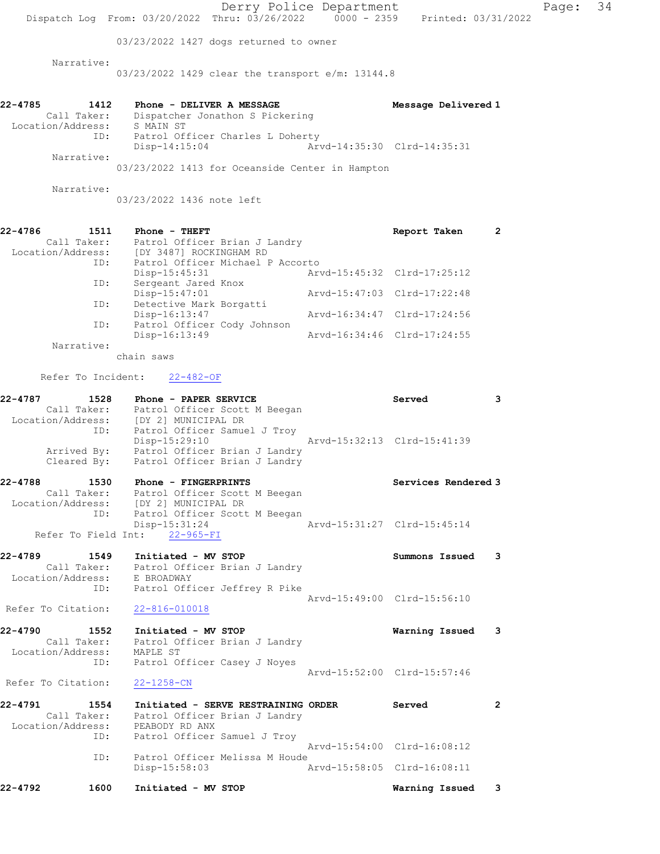|                                                | Dispatch Log From: 03/20/2022 Thru: 03/26/2022 0000 - 2359 Printed: 03/31/2022                                                             | Derry Police Department |                                                            | Page: | 34 |
|------------------------------------------------|--------------------------------------------------------------------------------------------------------------------------------------------|-------------------------|------------------------------------------------------------|-------|----|
|                                                | 03/23/2022 1427 dogs returned to owner                                                                                                     |                         |                                                            |       |    |
| Narrative:                                     |                                                                                                                                            |                         |                                                            |       |    |
|                                                | 03/23/2022 1429 clear the transport e/m: 13144.8                                                                                           |                         |                                                            |       |    |
| 22-4785<br>1412<br>Location/Address: S MAIN ST | Phone - DELIVER A MESSAGE<br>Call Taker: Dispatcher Jonathon S Pickering<br>Patrol Officer Charles L Doherty<br>ID:                        |                         | Message Delivered 1                                        |       |    |
|                                                | $Disp-14:15:04$                                                                                                                            |                         | Arvd-14:35:30 Clrd-14:35:31                                |       |    |
| Narrative:                                     | 03/23/2022 1413 for Oceanside Center in Hampton                                                                                            |                         |                                                            |       |    |
| Narrative:                                     | 03/23/2022 1436 note left                                                                                                                  |                         |                                                            |       |    |
| 22-4786                                        | 1511 Phone - THEFT<br>Call Taker: Patrol Officer Brian J Landry<br>Location/Address: [DY 3487] ROCKINGHAM RD                               |                         | $\overline{2}$<br>Report Taken                             |       |    |
|                                                | Patrol Officer Michael P Accorto<br>ID:<br>Disp-15:45:31                                                                                   |                         | Arvd-15:45:32 Clrd-17:25:12                                |       |    |
| ID:                                            | Sergeant Jared Knox<br>Disp-15:47:01                                                                                                       |                         | Arvd-15:47:03 Clrd-17:22:48                                |       |    |
|                                                | Detective Mark Borgatti<br>ID:<br>Disp-16:13:47                                                                                            |                         | Arvd-16:34:47 Clrd-17:24:56                                |       |    |
|                                                | Patrol Officer Cody Johnson<br>ID:<br>$Disp-16:13:49$                                                                                      |                         | Arvd-16:34:46 Clrd-17:24:55                                |       |    |
| Narrative:                                     | chain saws                                                                                                                                 |                         |                                                            |       |    |
|                                                | Refer To Incident: 22-482-OF                                                                                                               |                         |                                                            |       |    |
| 22-4787                                        | 1528<br>Phone - PAPER SERVICE                                                                                                              |                         | Served<br>3                                                |       |    |
|                                                | Call Taker: Patrol Officer Scott M Beegan<br>Location/Address: [DY 2] MUNICIPAL DR<br>ID:<br>Patrol Officer Samuel J Troy<br>Disp-15:29:10 |                         | Arvd-15:32:13 Clrd-15:41:39                                |       |    |
|                                                | Arrived By: Patrol Officer Brian J Landry<br>Cleared By: Patrol Officer Brian J Landry                                                     |                         |                                                            |       |    |
| 22-4788                                        | 1530 Phone - FINGERPRINTS<br>Call Taker: Patrol Officer Scott M Beegan                                                                     |                         | Services Rendered 3                                        |       |    |
|                                                | Location/Address: [DY 2] MUNICIPAL DR<br>ID: Patrol Officer Scott M Beegan<br>Disp-15:31:24                                                |                         | Arvd-15:31:27 Clrd-15:45:14                                |       |    |
|                                                | Refer To Field Int: 22-965-FI                                                                                                              |                         |                                                            |       |    |
| 22-4789<br>Location/Address: E BROADWAY        | 1549 Initiated - MV STOP<br>Call Taker: Patrol Officer Brian J Landry                                                                      |                         | Summons Issued 3                                           |       |    |
|                                                | ID: Patrol Officer Jeffrey R Pike                                                                                                          |                         | Arvd-15:49:00 Clrd-15:56:10                                |       |    |
|                                                | Refer To Citation: 22-816-010018                                                                                                           |                         |                                                            |       |    |
| 22-4790                                        | 1552 Initiated - MV STOP<br>Call Taker: Patrol Officer Brian J Landry                                                                      |                         | Warning Issued 3                                           |       |    |
| Location/Address: MAPLE ST                     | ID: Patrol Officer Casey J Noyes                                                                                                           |                         |                                                            |       |    |
| Refer To Citation:                             | 22-1258-CN                                                                                                                                 |                         | Arvd-15:52:00 Clrd-15:57:46                                |       |    |
| 22-4791                                        | 1554 Initiated - SERVE RESTRAINING ORDER<br>Call Taker: Patrol Officer Brian J Landry                                                      |                         | Served<br>2                                                |       |    |
|                                                | Location/Address: PEABODY RD ANX<br>Patrol Officer Samuel J Troy<br>ID:                                                                    |                         |                                                            |       |    |
| ID:                                            | Patrol Officer Melissa M Houde<br>Disp-15:58:03                                                                                            |                         | Arvd-15:54:00 Clrd-16:08:12<br>Arvd-15:58:05 Clrd-16:08:11 |       |    |
| 22-4792<br>1600                                | Initiated - MV STOP                                                                                                                        |                         | Warning Issued 3                                           |       |    |
|                                                |                                                                                                                                            |                         |                                                            |       |    |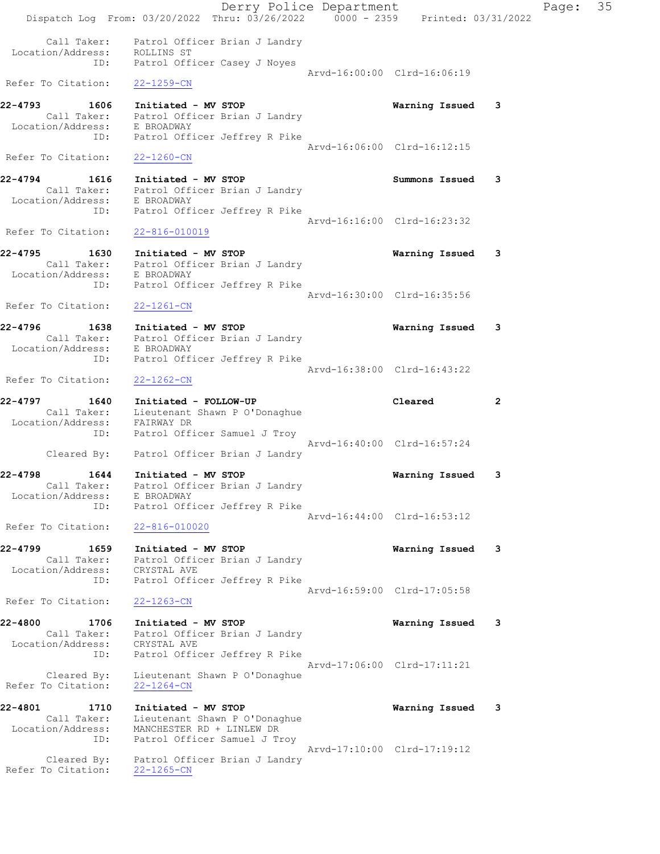Derry Police Department Controller Page: 35 Dispatch Log From: 03/20/2022 Thru: 03/26/2022 0000 - 2359 Printed: 03/31/2022 Call Taker: Patrol Officer Brian J Landry Location/Address: ROLLINS ST ID: Patrol Officer Casey J Noyes Arvd-16:00:00 Clrd-16:06:19 Refer To Citation: 22-1259-CN 22-4793 1606 Initiated - MV STOP Warning Issued 3 Call Taker: Patrol Officer Brian J Landry Location/Address: E BROADWAY ID: Patrol Officer Jeffrey R Pike Arvd-16:06:00 Clrd-16:12:15 Refer To Citation: 22-1260-CN 22-4794 1616 Initiated - MV STOP<br>
Call Taker: Patrol Officer Brian J Landry<br>
Leasting Collins: Patrol Officer Brian J Landry Call Taker: Patrol Officer Brian J Landry Location/Address: E BROADWAY ID: Patrol Officer Jeffrey R Pike Arvd-16:16:00 Clrd-16:23:32 Refer To Citation: 22-816-010019 22-4795 1630 Initiated - MV STOP Warning Issued 3 Call Taker: Patrol Officer Brian J Landry Location/Address: E BROADWAY ID: Patrol Officer Jeffrey R Pike Arvd-16:30:00 Clrd-16:35:56<br>22-1261-CN Refer To Citation: 22-4796 1638 Initiated - MV STOP Warning Issued 3 Call Taker: Patrol Officer Brian J Landry Location/Address: E BROADWAY ID: Patrol Officer Jeffrey R Pike Arvd-16:38:00 Clrd-16:43:22 Refer To Citation: 22-1262-CN 22-4797 1640 Initiated - FOLLOW-UP Cleared 2 Call Taker: Lieutenant Shawn P O'Donaghue Location/Address: FAIRWAY DR ID: Patrol Officer Samuel J Troy Arvd-16:40:00 Clrd-16:57:24 Cleared By: Patrol Officer Brian J Landry 22-4798 1644 Initiated - MV STOP Warning Issued 3 Call Taker: Patrol Officer Brian J Landry Location/Address: E BROADWAY ID: Patrol Officer Jeffrey R Pike Arvd-16:44:00 Clrd-16:53:12 Refer To Citation: 22-816-010020 22-4799 1659 Initiated - MV STOP Warning Issued 3 Call Taker: Patrol Officer Brian J Landry Location/Address: CRYSTAL AVE ID: Patrol Officer Jeffrey R Pike Arvd-16:59:00 Clrd-17:05:58 Refer To Citation: 22-1263-CN 22-4800 1706 Initiated - MV STOP Warning Issued 3 Call Taker: Patrol Officer Brian J Landry Location/Address: CRYSTAL AVE ID: Patrol Officer Jeffrey R Pike Arvd-17:06:00 Clrd-17:11:21 Cleared By: Lieutenant Shawn P O'Donaghue Refer To Citation: 22-1264-CN 22-4801 1710 Initiated - MV STOP Warning Issued 3 Call Taker: Lieutenant Shawn P O'Donaghue Location/Address: MANCHESTER RD + LINLEW DR ID: Patrol Officer Samuel J Troy Arvd-17:10:00 Clrd-17:19:12 Cleared By: Patrol Officer Brian J Landry Refer To Citation: 22-1265-CN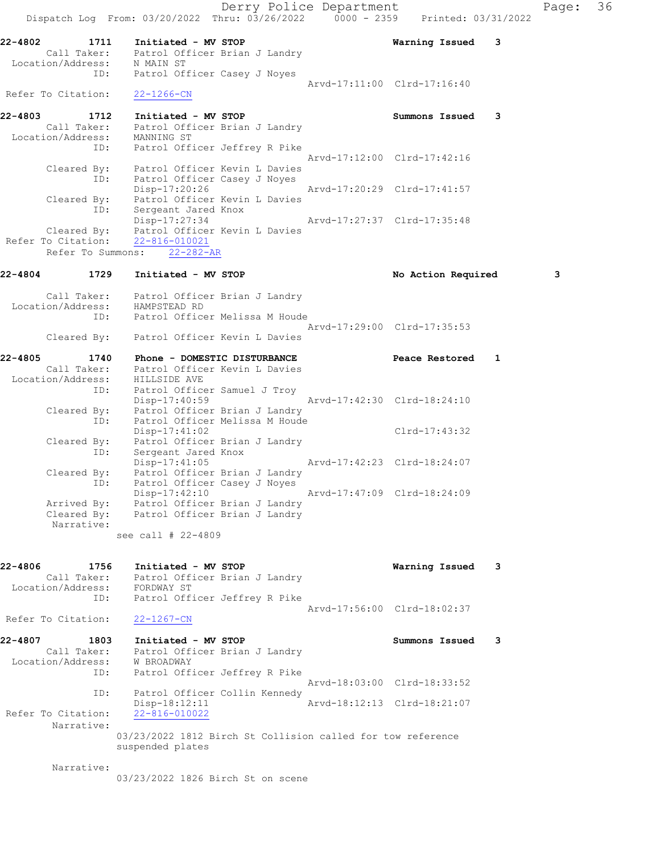Derry Police Department Fage: 36 Dispatch Log From: 03/20/2022 Thru: 03/26/2022 0000 - 2359 Printed: 03/31/2022 22-4802 1711 Initiated - MV STOP Warning Issued 3 Call Taker: Patrol Officer Brian J Landry Location/Address: N MAIN ST ID: Patrol Officer Casey J Noyes Arvd-17:11:00 Clrd-17:16:40 Refer To Citation: 22-1266-CN 22-4803 1712 Initiated - MV STOP Summons Issued 3 Call Taker: Patrol Officer Brian J Landry Location/Address: MANNING ST ID: Patrol Officer Jeffrey R Pike Arvd-17:12:00 Clrd-17:42:16 Cleared By: Patrol Officer Kevin L Davies ID: Patrol Officer Casey J Noyes Disp-17:20:26 Arvd-17:20:29 Clrd-17:41:57 Cleared By: Patrol Officer Kevin L Davies ID: Sergeant Jared Knox Disp-17:27:34 Arvd-17:27:37 Clrd-17:35:48 Cleared By: Patrol Officer Kevin L Davies Refer To Citation: 22-816-010021 Refer To Summons: 22-282-AR 22-4804 1729 Initiated - MV STOP 1980 1991 No Action Required 3 Call Taker: Patrol Officer Brian J Landry Location/Address: HAMPSTEAD RD ID: Patrol Officer Melissa M Houde Arvd-17:29:00 Clrd-17:35:53 Cleared By: Patrol Officer Kevin L Davies 22-4805 1740 Phone - DOMESTIC DISTURBANCE Peace Restored 1 Call Taker: Patrol Officer Kevin L Davies Location/Address: HILLSIDE AVE ID: Patrol Officer Samuel J Troy Disp-17:40:59 Arvd-17:42:30 Clrd-18:24:10 Cleared By: Patrol Officer Brian J Landry ID: Patrol Officer Melissa M Houde Disp-17:41:02 Clrd-17:43:32 Cleared By: Patrol Officer Brian J Landry ID: Sergeant Jared Knox Disp-17:41:05 Arvd-17:42:23 Clrd-18:24:07 Cleared By: Patrol Officer Brian J Landry ID: Patrol Officer Casey J Noyes Disp-17:42:10 Arvd-17:47:09 Clrd-18:24:09 Arrived By: Patrol Officer Brian J Landry Cleared By: Patrol Officer Brian J Landry Narrative: see call # 22-4809 22-4806 1756 Initiated - MV STOP<br>Call Taker: Patrol Officer Brian J Landry<br>Legation (Address: Persuan ST Call Taker: Patrol Officer Brian J Landry Location/Address: FORDWAY ST ID: Patrol Officer Jeffrey R Pike Arvd-17:56:00 Clrd-18:02:37 Refer To Citation: 22-1267-CN 22-4807 1803 Initiated - MV STOP Summons Issued 3 Call Taker: Patrol Officer Brian J Landry Location/Address: W BROADWAY ID: Patrol Officer Jeffrey R Pike Arvd-18:03:00 Clrd-18:33:52 ID: Patrol Officer Collin Kennedy Disp-18:12:11 Arvd-18:12:13 Clrd-18:21:07 Refer To Citation: 22-816-010022 Narrative: 03/23/2022 1812 Birch St Collision called for tow reference suspended plates Narrative: 03/23/2022 1826 Birch St on scene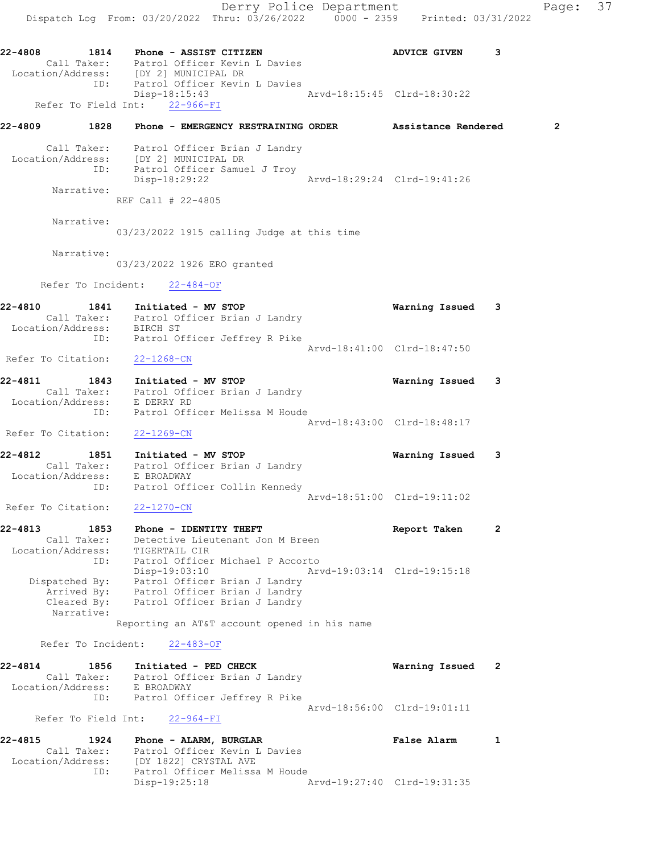Derry Police Department Fage: 37 Dispatch Log From: 03/20/2022 Thru: 03/26/2022 0000 - 2359 Printed: 03/31/2022 22-4808 1814 Phone - ASSIST CITIZEN ADVICE GIVEN 3 Call Taker: Patrol Officer Kevin L Davies Location/Address: [DY 2] MUNICIPAL DR ID: Patrol Officer Kevin L Davies Disp-18:15:43<br>
ht: 22-966-FI<br>
ht: 22-966-FI Refer To Field Int: 22-966-FI 22-4809 1828 Phone - EMERGENCY RESTRAINING ORDER Assistance Rendered 2 Call Taker: Patrol Officer Brian J Landry Location/Address: [DY 2] MUNICIPAL DR ID: Patrol Officer Samuel J Troy Disp-18:29:22 Arvd-18:29:24 Clrd-19:41:26 Narrative: REF Call # 22-4805 Narrative: 03/23/2022 1915 calling Judge at this time Narrative: 03/23/2022 1926 ERO granted Refer To Incident: 22-484-OF 22-4810 1841 Initiated - MV STOP Warning Issued 3 Call Taker: Patrol Officer Brian J Landry Location/Address: BIRCH ST ID: Patrol Officer Jeffrey R Pike Arvd-18:41:00 Clrd-18:47:50 Refer To Citation: 22-1268-CN 22-4811 1843 Initiated - MV STOP Warning Issued 3 Call Taker: Patrol Officer Brian J Landry Location/Address: E DERRY RD ID: Patrol Officer Melissa M Houde Arvd-18:43:00 Clrd-18:48:17 Refer To Citation: 22-1269-CN 22-4812 1851 Initiated - MV STOP Warning Issued 3 Call Taker: Patrol Officer Brian J Landry Location/Address: E BROADWAY ID: Patrol Officer Collin Kennedy Arvd-18:51:00 Clrd-19:11:02 Refer To Citation: 22-1270-CN 22-4813 1853 Phone - IDENTITY THEFT Report Taken 2 Call Taker: Detective Lieutenant Jon M Breen Location/Address: TIGERTAIL CIR ID: Patrol Officer Michael P Accorto Disp-19:03:10 Arvd-19:03:14 Clrd-19:15:18 Dispatched By: Patrol Officer Brian J Landry Arrived By: Patrol Officer Brian J Landry Cleared By: Patrol Officer Brian J Landry Narrative: Reporting an AT&T account opened in his name Refer To Incident: 22-483-OF 22-4814 1856 Initiated - PED CHECK Warning Issued 2 Call Taker: Patrol Officer Brian J Landry Location/Address: E BROADWAY ID: Patrol Officer Jeffrey R Pike Arvd-18:56:00 Clrd-19:01:11 Refer To Field Int: 22-964-FI 22-4815 1924 Phone - ALARM, BURGLAR False Alarm 1 Call Taker: Patrol Officer Kevin L Davies Location/Address: [DY 1822] CRYSTAL AVE ID: Patrol Officer Melissa M Houde<br>Disp-19:25:18 Disp-19:25:18 Arvd-19:27:40 Clrd-19:31:35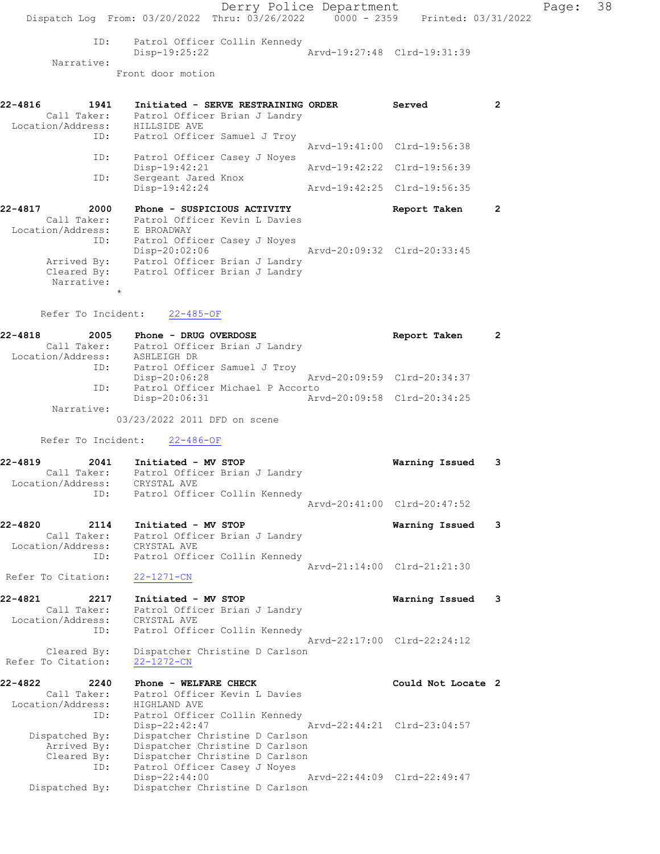Derry Police Department Fage: 38 Dispatch Log From: 03/20/2022 Thru: 03/26/2022 0000 - 2359 Printed: 03/31/2022 ID: Patrol Officer Collin Kennedy Disp-19:25:22 Arvd-19:27:48 Clrd-19:31:39 Narrative: Front door motion 22-4816 1941 Initiated - SERVE RESTRAINING ORDER Served 2 Call Taker: Patrol Officer Brian J Landry Location/Address: HILLSIDE AVE ID: Patrol Officer Samuel J Troy Arvd-19:41:00 Clrd-19:56:38 ID: Patrol Officer Casey J Noyes<br>Disp-19:42:21 Disp-19:42:21 Arvd-19:42:22 Clrd-19:56:39 ID: Sergeant Jared Knox Disp-19:42:24 Arvd-19:42:25 Clrd-19:56:35 22-4817 2000 Phone - SUSPICIOUS ACTIVITY **Report Taken** 2 Call Taker: Patrol Officer Kevin L Davies Location/Address: E BROADWAY ID: Patrol Officer Casey J Noyes Disp-20:02:06 Arvd-20:09:32 Clrd-20:33:45 Arrived By: Patrol Officer Brian J Landry Cleared By: Patrol Officer Brian J Landry Narrative: \* Refer To Incident: 22-485-OF 22-4818 2005 Phone - DRUG OVERDOSE Report Taken 2 Call Taker: Patrol Officer Brian J Landry Location/Address: ASHLEIGH DR ID: Patrol Officer Samuel J Troy Disp-20:06:28 Arvd-20:09:59 Clrd-20:34:37 ID: Patrol Officer Michael P Accorto Disp-20:06:31 Arvd-20:09:58 Clrd-20:34:25 Narrative: 03/23/2022 2011 DFD on scene Refer To Incident: 22-486-OF 22-4819 2041 Initiated - MV STOP Warning Issued 3 Call Taker: Patrol Officer Brian J Landry Location/Address: CRYSTAL AVE ID: Patrol Officer Collin Kennedy Arvd-20:41:00 Clrd-20:47:52 22-4820 2114 Initiated - MV STOP Warning Issued 3 Call Taker: Patrol Officer Brian J Landry Location/Address: CRYSTAL AVE ID: Patrol Officer Collin Kennedy Arvd-21:14:00 Clrd-21:21:30 Refer To Citation: 22-1271-CN 22-4821 2217 Initiated - MV STOP Warning Issued 3 Call Taker: Patrol Officer Brian J Landry Location/Address: CRYSTAL AVE ID: Patrol Officer Collin Kennedy Arvd-22:17:00 Clrd-22:24:12 Cleared By: Dispatcher Christine D Carlson Refer To Citation: 22-1272-CN 22-4822 2240 Phone - WELFARE CHECK COULD Could Not Locate 2 Call Taker: Patrol Officer Kevin L Davies Location/Address: HIGHLAND AVE ID: Patrol Officer Collin Kennedy Disp-22:42:47 Arvd-22:44:21 Clrd-23:04:57 Dispatched By: Dispatcher Christine D Carlson Arrived By: Dispatcher Christine D Carlson Cleared By: Dispatcher Christine D Carlson ID: Patrol Officer Casey J Noyes Disp-22:44:00 Arvd-22:44:09 Clrd-22:49:47 Dispatched By: Dispatcher Christine D Carlson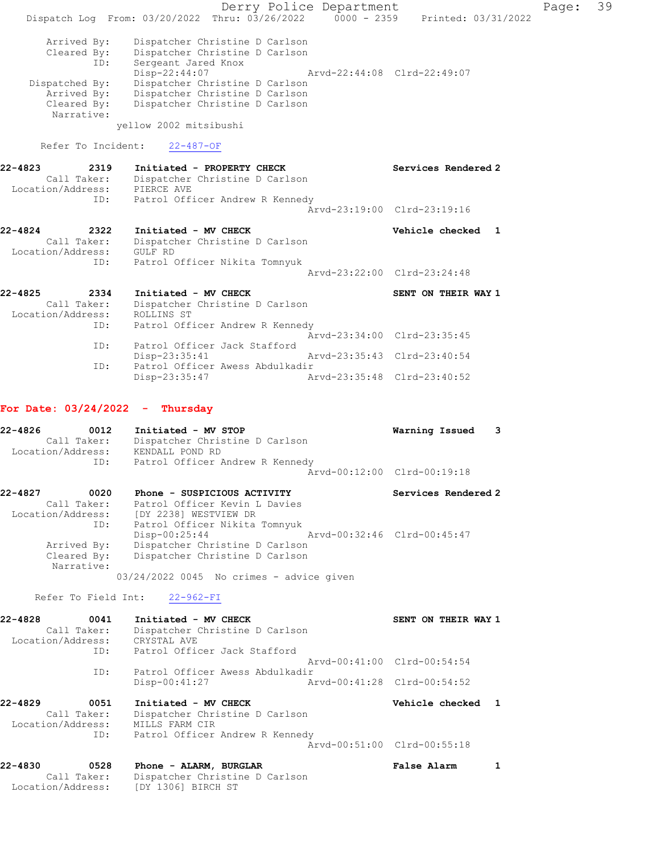Derry Police Department Fage: 39 Dispatch Log From:  $03/20/2022$  Thru:  $03/26/2022$  0000 - 2359 Printed: 03/31/2022 Arrived By: Dispatcher Christine D Carlson Cleared By: Dispatcher Christine D Carlson ID: Sergeant Jared Knox Disp-22:44:07 Arvd-22:44:08 Clrd-22:49:07 Dispatched By: Dispatcher Christine D Carlson Arrived By: Dispatcher Christine D Carlson Cleared By: Dispatcher Christine D Carlson Narrative: yellow 2002 mitsibushi Refer To Incident: 22-487-OF 22-4823 2319 Initiated - PROPERTY CHECK Services Rendered 2 Call Taker: Dispatcher Christine D Carlson Location/Address: PIERCE AVE ID: Patrol Officer Andrew R Kennedy Arvd-23:19:00 Clrd-23:19:16 22-4824 2322 Initiated - MV CHECK Vehicle checked 1 Call Taker: Dispatcher Christine D Carlson Location/Address: GULF RD ID: Patrol Officer Nikita Tomnyuk Arvd-23:22:00 Clrd-23:24:48 22-4825 2334 Initiated - MV CHECK SENT ON THEIR WAY 1 Call Taker: Dispatcher Christine D Carlson Location/Address: ROLLINS ST ID: Patrol Officer Andrew R Kennedy Arvd-23:34:00 Clrd-23:35:45 ID: Patrol Officer Jack Stafford Disp-23:35:41 Arvd-23:35:43 Clrd-23:40:54 ID: Patrol Officer Awess Abdulkadir Disp-23:35:47 Arvd-23:35:48 Clrd-23:40:52 For Date: 03/24/2022 - Thursday 22-4826 0012 Initiated - MV STOP Warning Issued 3 Call Taker: Dispatcher Christine D Carlson Location/Address: KENDALL POND RD ID: Patrol Officer Andrew R Kennedy Arvd-00:12:00 Clrd-00:19:18 22-4827 0020 Phone - SUSPICIOUS ACTIVITY Services Rendered 2 Call Taker: Patrol Officer Kevin L Davies Location/Address: [DY 2238] WESTVIEW DR ID: Patrol Officer Nikita Tomnyuk Disp-00:25:44 Arvd-00:32:46 Clrd-00:45:47 Arrived By: Dispatcher Christine D Carlson Cleared By: Dispatcher Christine D Carlson Narrative: 03/24/2022 0045 No crimes - advice given Refer To Field Int: 22-962-FI 22-4828 0041 Initiated - MV CHECK SENT ON THEIR WAY 1 Call Taker: Dispatcher Christine D Carlson Location/Address: CRYSTAL AVE ID: Patrol Officer Jack Stafford Arvd-00:41:00 Clrd-00:54:54 ID: Patrol Officer Awess Abdulkadir Disp-00:41:27 Arvd-00:41:28 Clrd-00:54:52 22-4829 0051 Initiated - MV CHECK Vehicle checked 1 Call Taker: Dispatcher Christine D Carlson Location/Address: MILLS FARM CIR ID: Patrol Officer Andrew R Kennedy Arvd-00:51:00 Clrd-00:55:18 22-4830 0528 Phone - ALARM, BURGLAR False Alarm 1 Call Taker: Dispatcher Christine D Carlson Location/Address: [DY 1306] BIRCH ST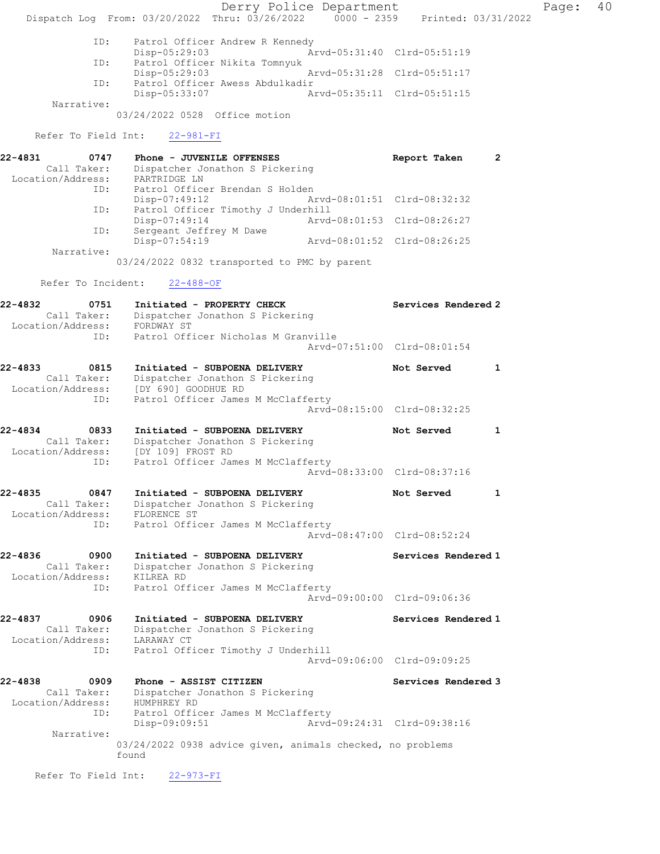Derry Police Department Fage: 40 Dispatch Log From: 03/20/2022 Thru: 03/26/2022 0000 - 2359 Printed: 03/31/2022 ID: Patrol Officer Andrew R Kennedy Disp-05:29:03 <br>
Disp-05:29:03 Arvd-05:31:40 Clrd-05:51:19<br>
Disp-05:29:03 Nikita Tomnyuk Patrol Officer Nikita Tomnyuk Disp-05:29:03 Arvd-05:31:28 Clrd-05:51:17 ID: Patrol Officer Awess Abdulkadir Disp-05:33:07 Arvd-05:35:11 Clrd-05:51:15 Narrative: 03/24/2022 0528 Office motion Refer To Field Int: 22-981-FI 22-4831 0747 Phone - JUVENILE OFFENSES Report Taken 2 Call Taker: Dispatcher Jonathon S Pickering Location/Address: PARTRIDGE LN ID: Patrol Officer Brendan S Holden<br>Disp-07:49:12 Ar Disp-07:49:12 Arvd-08:01:51 Clrd-08:32:32 ID: Patrol Officer Timothy J Underhill Disp-07:49:14 Arvd-08:01:53 Clrd-08:26:27 ID: Sergeant Jeffrey M Dawe Disp-07:54:19 Arvd-08:01:52 Clrd-08:26:25 Narrative: 03/24/2022 0832 transported to PMC by parent Refer To Incident: 22-488-OF 22-4832 0751 Initiated - PROPERTY CHECK Services Rendered 2 Call Taker: Dispatcher Jonathon S Pickering Location/Address: FORDWAY ST ID: Patrol Officer Nicholas M Granville Arvd-07:51:00 Clrd-08:01:54 22-4833 0815 Initiated - SUBPOENA DELIVERY Not Served 1 Call Taker: Dispatcher Jonathon S Pickering Location/Address: [DY 690] GOODHUE RD ID: Patrol Officer James M McClafferty Arvd-08:15:00 Clrd-08:32:25 22-4834 0833 Initiated - SUBPOENA DELIVERY Not Served 1 Call Taker: Dispatcher Jonathon S Pickering Location/Address: [DY 109] FROST RD ID: Patrol Officer James M McClafferty Arvd-08:33:00 Clrd-08:37:16 22-4835 0847 Initiated - SUBPOENA DELIVERY Not Served 1 Call Taker: Dispatcher Jonathon S Pickering Location/Address: FLORENCE ST ID: Patrol Officer James M McClafferty Arvd-08:47:00 Clrd-08:52:24 22-4836 0900 Initiated - SUBPOENA DELIVERY Services Rendered 1 Call Taker: Dispatcher Jonathon S Pickering Location/Address: KILREA RD ID: Patrol Officer James M McClafferty Arvd-09:00:00 Clrd-09:06:36 22-4837 0906 Initiated - SUBPOENA DELIVERY Services Rendered 1 Call Taker: Dispatcher Jonathon S Pickering Location/Address: LARAWAY CT ID: Patrol Officer Timothy J Underhill Arvd-09:06:00 Clrd-09:09:25 22-4838 0909 Phone - ASSIST CITIZEN Services Rendered 3 Call Taker: Dispatcher Jonathon S Pickering Location/Address: HUMPHREY RD ID: Patrol Officer James M McClafferty Disp-09:09:51 Arvd-09:24:31 Clrd-09:38:16 Narrative: 03/24/2022 0938 advice given, animals checked, no problems found Refer To Field Int: 22-973-FI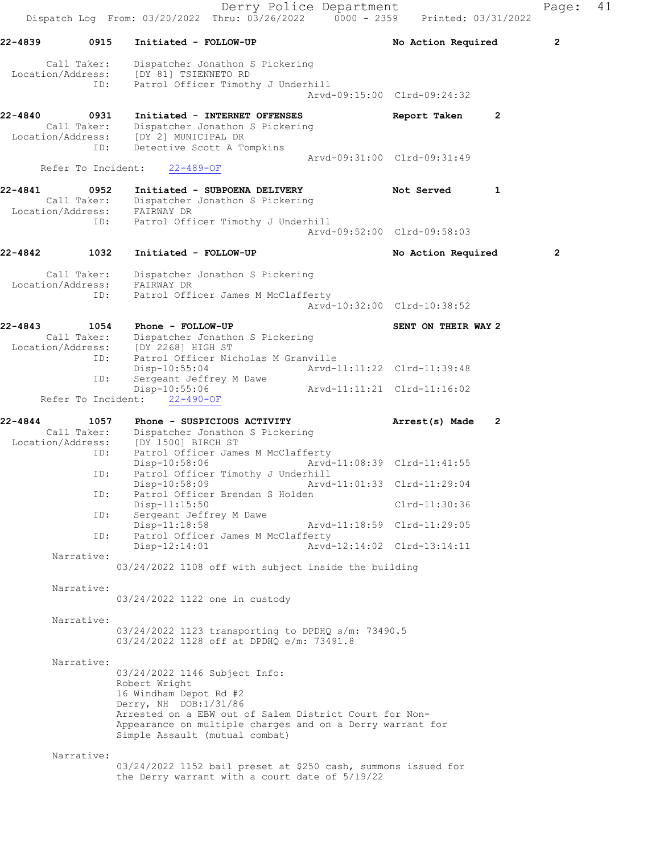Derry Police Department Page: 41 Dispatch Log From: 03/20/2022 Thru: 03/26/2022 0000 - 2359 Printed: 03/31/2022 22-4839 0915 Initiated - FOLLOW-UP No Action Required 2 Call Taker: Dispatcher Jonathon S Pickering Location/Address: [DY 81] TSIENNETO RD ID: Patrol Officer Timothy J Underhill Arvd-09:15:00 Clrd-09:24:32 22-4840 0931 Initiated - INTERNET OFFENSES Report Taken 2 Call Taker: Dispatcher Jonathon S Pickering Location/Address: [DY 2] MUNICIPAL DR ID: Detective Scott A Tompkins Arvd-09:31:00 Clrd-09:31:49 Refer To Incident: 22-489-OF 22-4841 0952 Initiated - SUBPOENA DELIVERY Not Served 1 Call Taker: Dispatcher Jonathon S Pickering Location/Address: FAIRWAY DR ID: Patrol Officer Timothy J Underhill Arvd-09:52:00 Clrd-09:58:03 22-4842 1032 Initiated - FOLLOW-UP No Action Required 2 Call Taker: Dispatcher Jonathon S Pickering Location/Address: FAIRWAY DR ID: Patrol Officer James M McClafferty Arvd-10:32:00 Clrd-10:38:52 22-4843 1054 Phone - FOLLOW-UP SENT ON THEIR WAY 2 Call Taker: Dispatcher Jonathon S Pickering Location/Address: [DY 2268] HIGH ST ID: Patrol Officer Nicholas M Granville Disp-10:55:04 Arvd-11:11:22 Clrd-11:39:48<br>ID: Sergeant Jeffrey M Dawe Sergeant Jeffrey M Dawe<br>Disp-10:55:06 Arvd-11:11:21 Clrd-11:16:02 Refer To Incident: 22-490-OF 22-4844 1057 Phone - SUSPICIOUS ACTIVITY Arrest(s) Made 2 Call Taker: Dispatcher Jonathon S Pickering Location/Address: [DY 1500] BIRCH ST ID: Patrol Officer James M McClafferty<br>Disp-10:58:06 Mrvd-Disp-10:58:06 Arvd-11:08:39 Clrd-11:41:55<br>TD: Patrol Officer Timothy J Underbill Patrol Officer Timothy J Underhill<br>Disp-10:58:09 Arvd- Disp-10:58:09 Arvd-11:01:33 Clrd-11:29:04 ID: Patrol Officer Brendan S Holden Disp-11:15:50 Clrd-11:30:36<br>ID: Sergeant Jeffrey M Dawe Sergeant Jeffrey M Dawe Disp-11:18:58 Arvd-11:18:59 Clrd-11:29:05<br>ID: Patrol Officer James M McClafferty Patrol Officer James M McClafferty<br>Disp-12:14:01 Arvd Disp-12:14:01 Arvd-12:14:02 Clrd-13:14:11 Narrative: 03/24/2022 1108 off with subject inside the building Narrative: 03/24/2022 1122 one in custody Narrative: 03/24/2022 1123 transporting to DPDHQ s/m: 73490.5 03/24/2022 1128 off at DPDHQ e/m: 73491.8 Narrative: 03/24/2022 1146 Subject Info: Robert Wright 16 Windham Depot Rd #2 Derry, NH DOB:1/31/86 Arrested on a EBW out of Salem District Court for Non-Appearance on multiple charges and on a Derry warrant for Simple Assault (mutual combat) Narrative: 03/24/2022 1152 bail preset at \$250 cash, summons issued for the Derry warrant with a court date of 5/19/22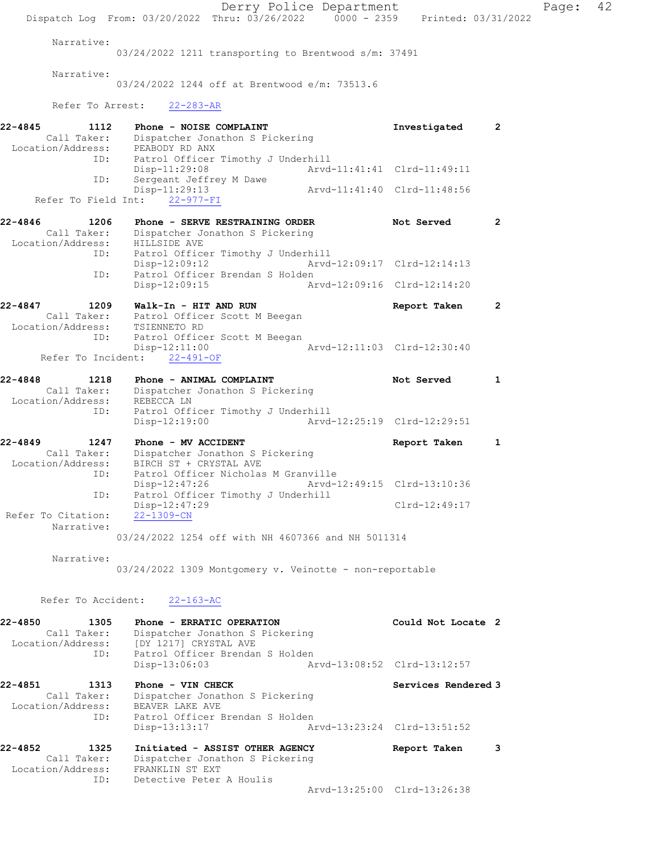Derry Police Department Page: 42 Dispatch Log From: 03/20/2022 Thru: 03/26/2022 0000 - 2359 Printed: 03/31/2022 Narrative: 03/24/2022 1211 transporting to Brentwood s/m: 37491 Narrative: 03/24/2022 1244 off at Brentwood e/m: 73513.6 Refer To Arrest: 22-283-AR 22-4845 1112 Phone - NOISE COMPLAINT 1112 2 Call Taker: Dispatcher Jonathon S Pickering Location/Address: PEABODY RD ANX ID: Patrol Officer Timothy J Underhill Disp-11:29:08 Arvd-11:41:41 Clrd-11:49:11 ID: Sergeant Jeffrey M Dawe Disp-11:29:13 Arvd-11:41:40 Clrd-11:48:56 Refer To Field Int: 22-977-FI 22-4846 1206 Phone - SERVE RESTRAINING ORDER Not Served 2 Call Taker: Dispatcher Jonathon S Pickering Location/Address: HILLSIDE AVE ID: Patrol Officer Timothy J Underhill Disp-12:09:12 ID: Patrol Officer Brendan S Holden Disp-12:09:15 Arvd-12:09:16 Clrd-12:14:20 22-4847 1209 Walk-In - HIT AND RUN Report Taken 2 Call Taker: Patrol Officer Scott M Beegan Location/Address: TSIENNETO RD ID: Patrol Officer Scott M Beegan Disp-12:11:00 Arvd-12:11:03 Clrd-12:30:40 Refer To Incident: 22-491-OF 22-4848 1218 Phone - ANIMAL COMPLAINT Not Served 1 Call Taker: Dispatcher Jonathon S Pickering Location/Address: REBECCA LN ID: Patrol Officer Timothy J Underhill Disp-12:19:00 Arvd-12:25:19 Clrd-12:29:51 22-4849 1247 Phone - MV ACCIDENT Report Taken 1 Call Taker: Dispatcher Jonathon S Pickering Location/Address: BIRCH ST + CRYSTAL AVE ID: Patrol Officer Nicholas M Granville<br>Disp-12:47:26 Mrvd-12:49:15 Clrd-13:10:36 Disp-12:47:26 Arvd-12:49:15 Clrd-13:10:36 ID: Patrol Officer Timothy J Underhill Disp-12:47:29 Clrd-12:49:17 Refer To Citation: 22-1309-CN Narrative: 03/24/2022 1254 off with NH 4607366 and NH 5011314 Narrative: 03/24/2022 1309 Montgomery v. Veinotte - non-reportable Refer To Accident: 22-163-AC 22-4850 1305 Phone - ERRATIC OPERATION Could Not Locate 2 Call Taker: Dispatcher Jonathon S Pickering Location/Address: [DY 1217] CRYSTAL AVE ID: Patrol Officer Brendan S Holden Disp-13:06:03 Arvd-13:08:52 Clrd-13:12:57 22-4851 1313 Phone - VIN CHECK 1988 1989 Services Rendered 3 Call Taker: Dispatcher Jonathon S Pickering Location/Address: BEAVER LAKE AVE ID: Patrol Officer Brendan S Holden Disp-13:13:17 Arvd-13:23:24 Clrd-13:51:52 22-4852 1325 Initiated - ASSIST OTHER AGENCY Report Taken 3 Call Taker: Dispatcher Jonathon S Pickering Location/Address: FRANKLIN ST EXT ID: Detective Peter A Houlis Arvd-13:25:00 Clrd-13:26:38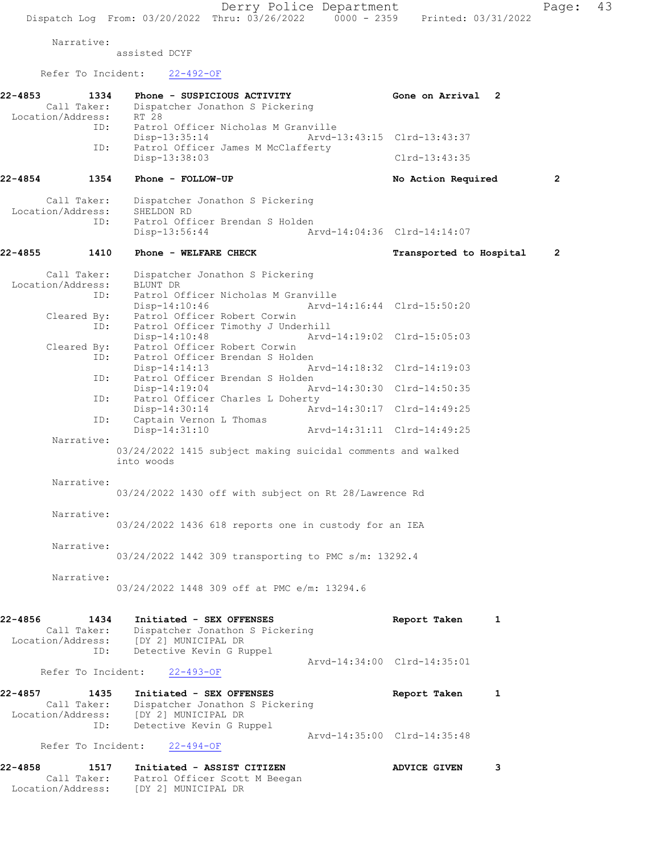Narrative: assisted DCYF Refer To Incident: 22-492-OF 22-4853 1334 Phone - SUSPICIOUS ACTIVITY Gone on Arrival 2 Call Taker: Dispatcher Jonathon S Pickering Location/Address: RT 28 ID: Patrol Officer Nicholas M Granville Disp-13:35:14 Arvd-13:43:15 Clrd-13:43:37<br>ID: Patrol Officer James M McClafferty Patrol Officer James M McClafferty Disp-13:38:03 Clrd-13:43:35 22-4854 1354 Phone - FOLLOW-UP No Action Required 2 Call Taker: Dispatcher Jonathon S Pickering Location/Address: SHELDON RD ID: Patrol Officer Brendan S Holden<br>Disp-13:56:44 A Disp-13:56:44 Arvd-14:04:36 Clrd-14:14:07 22-4855 1410 Phone - WELFARE CHECK Transported to Hospital 2 Call Taker: Dispatcher Jonathon S Pickering Location/Address:<br>ID: Patrol Officer Nicholas M Granville<br>Disp-14:10:46 Arvd- Disp-14:10:46 Arvd-14:16:44 Clrd-15:50:20 Cleared By: Patrol Officer Robert Corwin ID: Patrol Officer Timothy J Underhill Arvd-14:19:02 Clrd-15:05:03 Cleared By: Patrol Officer Robert Corwin ID: Patrol Officer Brendan S Holden<br>Disp-14:14:13 A Disp-14:14:13 Arvd-14:18:32 Clrd-14:19:03<br>ID: Patrol Officer Brendan S Holden Patrol Officer Brendan S Holden Disp-14:19:04 Arvd-14:30:30 Clrd-14:50:35<br>ID: Patrol Officer Charles L Doherty Patrol Officer Charles L Doherty Disp-14:30:14 Arvd-14:30:17 Clrd-14:49:25<br>TD: Captain Vernon L Thomas Captain Vernon L Thomas<br>Disp-14:31:10 Disp-14:31:10 Arvd-14:31:11 Clrd-14:49:25 Narrative: 03/24/2022 1415 subject making suicidal comments and walked into woods Narrative: 03/24/2022 1430 off with subject on Rt 28/Lawrence Rd Narrative: 03/24/2022 1436 618 reports one in custody for an IEA Narrative: 03/24/2022 1442 309 transporting to PMC s/m: 13292.4 Narrative: 03/24/2022 1448 309 off at PMC e/m: 13294.6 22-4856 1434 Initiated - SEX OFFENSES Report Taken 1 Call Taker: Dispatcher Jonathon S Pickering Location/Address: [DY 2] MUNICIPAL DR ID: Detective Kevin G Ruppel Arvd-14:34:00 Clrd-14:35:01<br>22-493-OF Refer To Incident: 22-4857 1435 Initiated - SEX OFFENSES Report Taken 1 Call Taker: Dispatcher Jonathon S Pickering Location/Address: [DY 2] MUNICIPAL DR ID: Detective Kevin G Ruppel Arvd-14:35:00 Clrd-14:35:48 Refer To Incident: 22-494-OF 22-4858 1517 Initiated - ASSIST CITIZEN ADVICE GIVEN 3 Call Taker: Patrol Officer Scott M Beegan

Location/Address: [DY 2] MUNICIPAL DR

Dispatch Log From: 03/20/2022 Thru: 03/26/2022 0000 - 2359 Printed: 03/31/2022

Derry Police Department Page: 43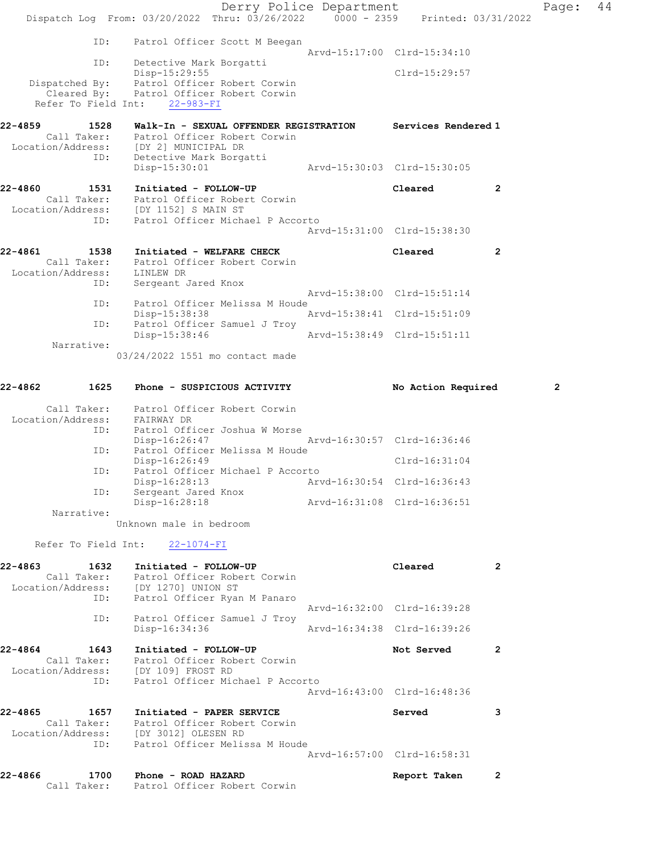|                                         | Dispatch Log From: 03/20/2022 Thru: 03/26/2022 0000 - 2359 Printed: 03/31/2022                                                                                        | Derry Police Department     |                                              |                | Page:          | 44 |
|-----------------------------------------|-----------------------------------------------------------------------------------------------------------------------------------------------------------------------|-----------------------------|----------------------------------------------|----------------|----------------|----|
| ID:<br>ID:                              | Patrol Officer Scott M Beegan<br>Detective Mark Borgatti<br>Disp-15:29:55                                                                                             |                             | Arvd-15:17:00 Clrd-15:34:10<br>Clrd-15:29:57 |                |                |    |
| Refer To Field Int:                     | Dispatched By: Patrol Officer Robert Corwin<br>Cleared By: Patrol Officer Robert Corwin<br>$22 - 983 - FI$                                                            |                             |                                              |                |                |    |
| 22-4859<br>1528<br>ID:                  | Walk-In - SEXUAL OFFENDER REGISTRATION<br>Call Taker: Patrol Officer Robert Corwin<br>Location/Address: [DY 2] MUNICIPAL DR<br>Detective Mark Borgatti                |                             | Services Rendered 1                          |                |                |    |
|                                         | Disp-15:30:01                                                                                                                                                         |                             | Arvd-15:30:03 Clrd-15:30:05                  |                |                |    |
| 22-4860<br>1531<br>ID:                  | Initiated - FOLLOW-UP<br>Patrol Officer Robert Corwin<br>Call Taker: Patrol Officer Robe:<br>Location/Address: [DY 1152] SMAIN ST<br>Patrol Officer Michael P Accorto |                             | Cleared                                      | $\mathbf{2}$   |                |    |
|                                         |                                                                                                                                                                       |                             | Arvd-15:31:00 Clrd-15:38:30                  |                |                |    |
| 22-4861<br>1538<br>Location/Address:    | Initiated - WELFARE CHECK<br>Call Taker: Patrol Officer Robert Corwin<br>LINLEW DR                                                                                    |                             | Cleared                                      | $\overline{2}$ |                |    |
| ID:                                     | Sergeant Jared Knox                                                                                                                                                   |                             | Arvd-15:38:00 Clrd-15:51:14                  |                |                |    |
| ID:                                     | Patrol Officer Melissa M Houde<br>Disp-15:38:38                                                                                                                       |                             | Arvd-15:38:41 Clrd-15:51:09                  |                |                |    |
| ID:<br>Narrative:                       | Patrol Officer Samuel J Troy<br>Disp-15:38:46                                                                                                                         |                             | Arvd-15:38:49 Clrd-15:51:11                  |                |                |    |
|                                         | 03/24/2022 1551 mo contact made                                                                                                                                       |                             |                                              |                |                |    |
| 1625<br>22-4862                         | Phone - SUSPICIOUS ACTIVITY                                                                                                                                           |                             | No Action Required                           |                | $\overline{2}$ |    |
| Call Taker:<br>Location/Address:<br>ID: | Patrol Officer Robert Corwin<br>FAIRWAY DR<br>Patrol Officer Joshua W Morse                                                                                           |                             |                                              |                |                |    |
| ID:                                     | Disp-16:26:47                                                                                                                                                         | Arvd-16:30:57 Clrd-16:36:46 |                                              |                |                |    |
|                                         | Patrol Officer Melissa M Houde<br>Disp-16:26:49                                                                                                                       |                             | $Clrd-16:31:04$                              |                |                |    |
| ID:                                     | Patrol Officer Michael P Accorto<br>Disp-16:28:13                                                                                                                     |                             | Arvd-16:30:54 Clrd-16:36:43                  |                |                |    |
| ID:<br>Narrative:                       | Sergeant Jared Knox<br>Disp-16:28:18                                                                                                                                  |                             | Arvd-16:31:08 Clrd-16:36:51                  |                |                |    |
|                                         | Unknown male in bedroom                                                                                                                                               |                             |                                              |                |                |    |
| Refer To Field Int:                     | $22 - 1074 - FI$                                                                                                                                                      |                             |                                              |                |                |    |

| 22-4863 1632    | Initiated - FOLLOW-UP                                                            |                             | Cleared                     | $\overline{2}$ |
|-----------------|----------------------------------------------------------------------------------|-----------------------------|-----------------------------|----------------|
|                 | Call Taker: Patrol Officer Robert Corwin<br>Location/Address: [DY 1270] UNION ST |                             |                             |                |
|                 | ID: Patrol Officer Ryan M Panaro                                                 |                             |                             |                |
|                 |                                                                                  |                             | Arvd-16:32:00 Clrd-16:39:28 |                |
| ID:             | Patrol Officer Samuel J Troy                                                     |                             |                             |                |
|                 | $Disp-16:34:36$                                                                  | Arvd-16:34:38 Clrd-16:39:26 |                             |                |
| 22-4864<br>1643 | Initiated - FOLLOW-UP                                                            |                             | Not Served                  | 2              |
|                 | Call Taker: Patrol Officer Robert Corwin                                         |                             |                             |                |
|                 | Location/Address: [DY 109] FROST RD                                              |                             |                             |                |
|                 | ID: Patrol Officer Michael P Accorto                                             |                             |                             |                |
|                 |                                                                                  |                             | Arvd-16:43:00 Clrd-16:48:36 |                |
| 22-4865         | 1657 Initiated - PAPER SERVICE                                                   |                             | Served                      | 3              |
|                 | Call Taker: Patrol Officer Robert Corwin                                         |                             |                             |                |
|                 | Location/Address: [DY 3012] OLESEN RD                                            |                             |                             |                |
|                 | ID: Patrol Officer Melissa M Houde                                               |                             |                             |                |
|                 |                                                                                  |                             | Arvd-16:57:00 Clrd-16:58:31 |                |
| 22-4866         | 1700 Phone - ROAD HAZARD                                                         |                             | Report Taken                | 2              |
|                 | Call Taker: Patrol Officer Robert Corwin                                         |                             |                             |                |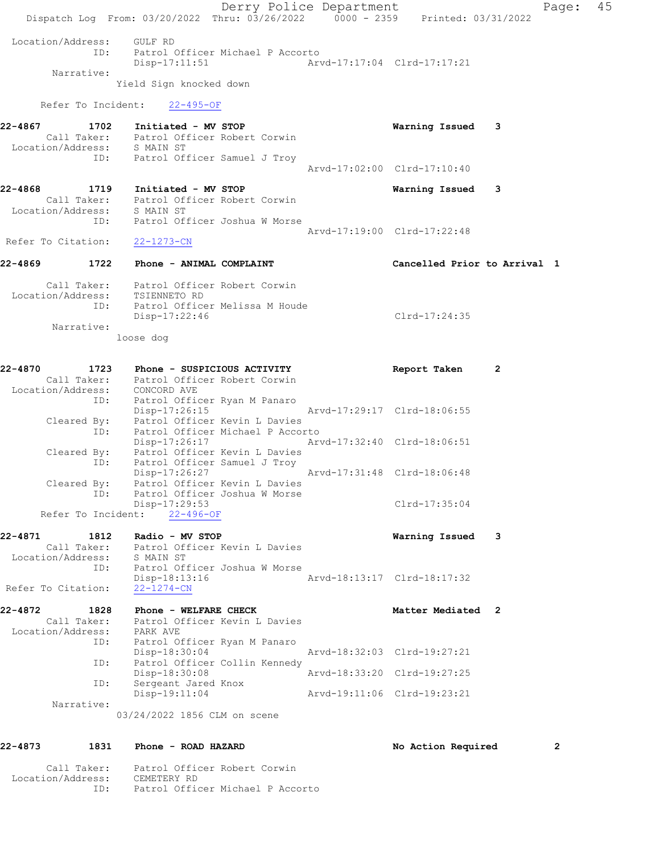Derry Police Department Fage: 45 Dispatch Log From: 03/20/2022 Thru: 03/26/2022 0000 - 2359 Printed: 03/31/2022 Location/Address: GULF RD ID: Patrol Officer Michael P Accorto Disp-17:11:51 Arvd-17:17:04 Clrd-17:17:21 Narrative: Yield Sign knocked down Refer To Incident: 22-495-OF 22-4867 1702 Initiated - MV STOP Warning Issued 3 Call Taker: Patrol Officer Robert Corwin Location/Address: S MAIN ST ID: Patrol Officer Samuel J Troy Arvd-17:02:00 Clrd-17:10:40 22-4868 1719 Initiated - MV STOP Warning Issued 3 Call Taker: Patrol Officer Robert Corwin Location/Address: S MAIN ST ID: Patrol Officer Joshua W Morse Arvd-17:19:00 Clrd-17:22:48 Refer To Citation: 22-1273-CN 22-4869 1722 Phone - ANIMAL COMPLAINT Cancelled Prior to Arrival 1 Call Taker: Patrol Officer Robert Corwin Location/Address: TSIENNETO RD ID: Patrol Officer Melissa M Houde Disp-17:22:46 Clrd-17:24:35 Narrative: loose dog 22-4870 1723 Phone - SUSPICIOUS ACTIVITY Report Taken 2 Call Taker: Patrol Officer Robert Corwin Location/Address: CONCORD AVE ID: Patrol Officer Ryan M Panaro Disp-17:26:15 Arvd-17:29:17 Clrd-18:06:55 Cleared By: Patrol Officer Kevin L Davies ID: Patrol Officer Michael P Accorto Disp-17:26:17 Arvd-17:32:40 Clrd-18:06:51 Cleared By: Patrol Officer Kevin L Davies ID: Patrol Officer Samuel J Troy<br>Disp-17:26:27 Disp-17:26:27 Arvd-17:31:48 Clrd-18:06:48 Cleared By: Patrol Officer Kevin L Davies ID: Patrol Officer Joshua W Morse Disp-17:29:53 Clrd-17:35:04 Refer To Incident: 22-496-OF 22-4871 1812 Radio - MV STOP Warning Issued 3 Call Taker: Patrol Officer Kevin L Davies Location/Address: S MAIN ST ID: Patrol Officer Joshua W Morse Disp-18:13:16 Arvd-18:13:17 Clrd-18:17:32 Refer To Citation: 22-1274-CN 22-4872 1828 Phone - WELFARE CHECK Matter Mediated 2 Call Taker: Patrol Officer Kevin L Davies Location/Address: PARK AVE ID: Patrol Officer Ryan M Panaro Disp-18:30:04 Arvd-18:32:03 Clrd-19:27:21 ID: Patrol Officer Collin Kennedy Disp-18:30:08 Arvd-18:33:20 Clrd-19:27:25 ID: Sergeant Jared Knox Disp-19:11:04 Arvd-19:11:06 Clrd-19:23:21 Narrative: 03/24/2022 1856 CLM on scene 22-4873 1831 Phone - ROAD HAZARD No South No Action Required 2

 Call Taker: Patrol Officer Robert Corwin Location/Address: CEMETERY RD ID: Patrol Officer Michael P Accorto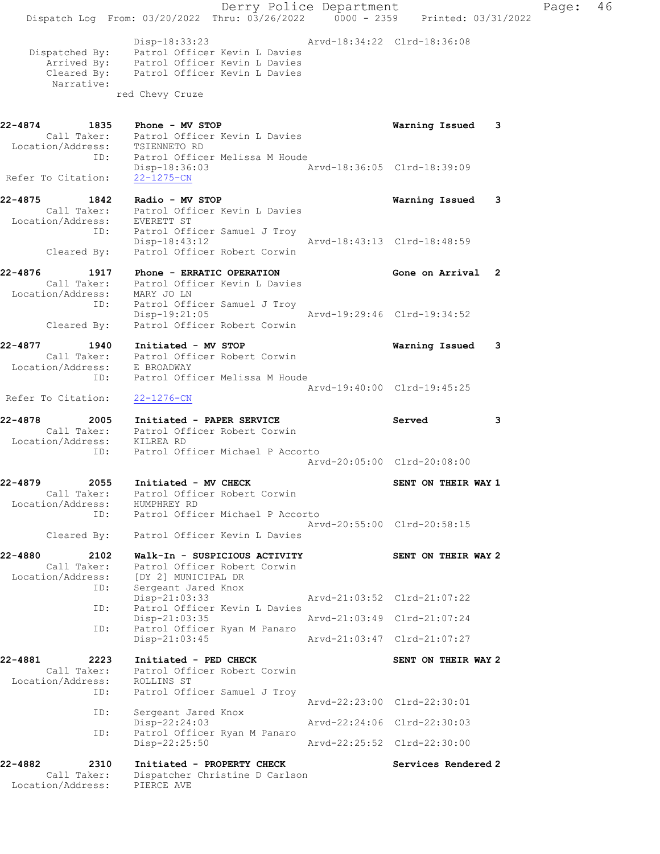Derry Police Department Controller Page: 46 Dispatch Log From: 03/20/2022 Thru: 03/26/2022 0000 - 2359 Printed: 03/31/2022 Disp-18:33:23 Arvd-18:34:22 Clrd-18:36:08 Dispatched By: Patrol Officer Kevin L Davies Arrived By: Patrol Officer Kevin L Davies Cleared By: Patrol Officer Kevin L Davies Narrative: red Chevy Cruze 22-4874 1835 Phone - MV STOP Warning Issued 3 Call Taker: Patrol Officer Kevin L Davies Location/Address: TSIENNETO RD ID: Patrol Officer Melissa M Houde Disp-18:36:03 Arvd-18:36:05 Clrd-18:39:09 Refer To Citation: 22-1275-CN 22-4875 1842 Radio - MV STOP Warning Issued 3 Call Taker: Patrol Officer Kevin L Davies Location/Address: EVERETT ST ID: Patrol Officer Samuel J Troy Disp-18:43:12 Arvd-18:43:13 Clrd-18:48:59 Cleared By: Patrol Officer Robert Corwin 22-4876 1917 Phone - ERRATIC OPERATION Gone on Arrival 2 Call Taker: Patrol Officer Kevin L Davies Location/Address: MARY JO LN ID: Patrol Officer Samuel J Troy Arvd-19:29:46 Clrd-19:34:52 Cleared By: Patrol Officer Robert Corwin 22-4877 1940 Initiated - MV STOP Warning Issued 3 Call Taker: Patrol Officer Robert Corwin Location/Address: E BROADWAY ID: Patrol Officer Melissa M Houde Arvd-19:40:00 Clrd-19:45:25 Refer To Citation: 22-1276-CN 22-4878 2005 Initiated - PAPER SERVICE Served 3 Call Taker: Patrol Officer Robert Corwin Location/Address: KILREA RD ID: Patrol Officer Michael P Accorto Arvd-20:05:00 Clrd-20:08:00 22-4879 2055 Initiated - MV CHECK SENT ON THEIR WAY 1 Call Taker: Patrol Officer Robert Corwin Location/Address: HUMPHREY RD ID: Patrol Officer Michael P Accorto Arvd-20:55:00 Clrd-20:58:15 Cleared By: Patrol Officer Kevin L Davies 22-4880 2102 Walk-In - SUSPICIOUS ACTIVITY SENT ON THEIR WAY 2 Call Taker: Patrol Officer Robert Corwin Location/Address: [DY 2] MUNICIPAL DR<br>ID: Sergeant Jared Knox IDY ZJ MUNICIIII<br>Sergeant Jared Knox<br>Disp-21:03:33 Disp-21:03:33 Arvd-21:03:52 Clrd-21:07:22 ID: Patrol Officer Kevin L Davies Disp-21:03:35 ID: Patrol Officer Ryan M Panaro Disp-21:03:45 Arvd-21:03:47 Clrd-21:07:27 22-4881 2223 Initiated - PED CHECK SENT ON THEIR WAY 2 Call Taker: Patrol Officer Robert Corwin Location/Address: ROLLINS ST ID: Patrol Officer Samuel J Troy Arvd-22:23:00 Clrd-22:30:01 ID: Sergeant Jared Knox Disp-22:24:03 Arvd-22:24:06 Clrd-22:30:03 ID: Patrol Officer Ryan M Panaro<br>Disp-22:25:50 Disp-22:25:50 Arvd-22:25:52 Clrd-22:30:00 22-4882 2310 Initiated - PROPERTY CHECK Services Rendered 2 Call Taker: Dispatcher Christine D Carlson Location/Address: PIERCE AVE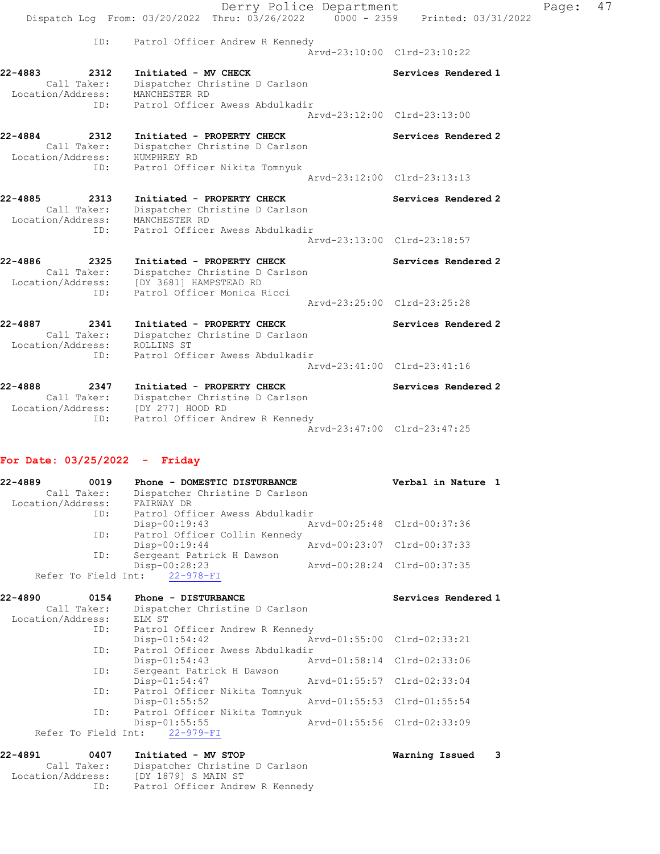|                                                                      | Derry Police Department<br>Dispatch Log From: 03/20/2022 Thru: 03/26/2022 0000 - 2359 Printed: 03/31/2022                               |                             | Page: | 47 |
|----------------------------------------------------------------------|-----------------------------------------------------------------------------------------------------------------------------------------|-----------------------------|-------|----|
|                                                                      |                                                                                                                                         |                             |       |    |
| ID:                                                                  | Patrol Officer Andrew R Kennedy                                                                                                         | Arvd-23:10:00 Clrd-23:10:22 |       |    |
| 22-4883<br>2312<br>Call Taker:<br>Location/Address:                  | Initiated - MV CHECK<br>Dispatcher Christine D Carlson<br>MANCHESTER RD                                                                 | Services Rendered 1         |       |    |
| ID:                                                                  | Patrol Officer Awess Abdulkadir                                                                                                         | Arvd-23:12:00 Clrd-23:13:00 |       |    |
| 22-4884<br>2312<br>Call Taker:<br>Location/Address:<br>ID:           | Initiated - PROPERTY CHECK<br>Dispatcher Christine D Carlson<br>HUMPHREY RD<br>Patrol Officer Nikita Tomnyuk                            | Services Rendered 2         |       |    |
|                                                                      |                                                                                                                                         | Arvd-23:12:00 Clrd-23:13:13 |       |    |
| 22-4885<br>2313<br>Call Taker:<br>Location/Address: MANCHESTER RD    | Initiated - PROPERTY CHECK<br>Dispatcher Christine D Carlson                                                                            | Services Rendered 2         |       |    |
| ID:                                                                  | Patrol Officer Awess Abdulkadir                                                                                                         | Arvd-23:13:00 Clrd-23:18:57 |       |    |
| 22-4886<br>2325<br>Call Taker:<br>ID:                                | Initiated - PROPERTY CHECK<br>Dispatcher Christine D Carlson<br>Location/Address: [DY 3681] HAMPSTEAD RD<br>Patrol Officer Monica Ricci | Services Rendered 2         |       |    |
|                                                                      |                                                                                                                                         | Arvd-23:25:00 Clrd-23:25:28 |       |    |
| 22-4887<br>2341<br>Call Taker:<br>Location/Address:                  | Initiated - PROPERTY CHECK<br>Dispatcher Christine D Carlson<br>ROLLINS ST                                                              | Services Rendered 2         |       |    |
| ID:                                                                  | Patrol Officer Awess Abdulkadir                                                                                                         | Arvd-23:41:00 Clrd-23:41:16 |       |    |
| 22-4888<br>2347<br>Call Taker:<br>Location/Address: [DY 277] HOOD RD | Initiated - PROPERTY CHECK<br>Dispatcher Christine D Carlson                                                                            | Services Rendered 2         |       |    |
| ID:                                                                  | Patrol Officer Andrew R Kennedy                                                                                                         | Arvd-23:47:00 Clrd-23:47:25 |       |    |

# For Date: 03/25/2022 - Friday

| $22 - 4889$       | 0019        | Phone - DOMESTIC DISTURBANCE    | Verbal in Nature 1          |  |
|-------------------|-------------|---------------------------------|-----------------------------|--|
|                   | Call Taker: | Dispatcher Christine D Carlson  |                             |  |
| Location/Address: |             | FAIRWAY DR                      |                             |  |
|                   | ID:         | Patrol Officer Awess Abdulkadir |                             |  |
|                   |             | $Disp-00:19:43$                 | Arvd-00:25:48 Clrd-00:37:36 |  |
|                   | ID:         | Patrol Officer Collin Kennedy   |                             |  |
|                   |             | $Disp-00:19:44$                 | Arvd-00:23:07 Clrd-00:37:33 |  |
|                   | ID:         | Sergeant Patrick H Dawson       |                             |  |
|                   |             | Disp-00:28:23                   | Arvd-00:28:24 Clrd-00:37:35 |  |
|                   |             | Refer To Field Int: 22-978-FI   |                             |  |

| 22-4890           | 0154        | Phone - DISTURBANCE                 |                             | Services Rendered 1 |
|-------------------|-------------|-------------------------------------|-----------------------------|---------------------|
|                   | Call Taker: | Dispatcher Christine D Carlson      |                             |                     |
| Location/Address: |             | ELM ST                              |                             |                     |
|                   |             | ID: Patrol Officer Andrew R Kennedy |                             |                     |
|                   |             | $Disp-01:54:42$                     | Arvd-01:55:00 Clrd-02:33:21 |                     |
|                   | ID:         | Patrol Officer Awess Abdulkadir     |                             |                     |
|                   |             | $Disp-01:54:43$                     | Arvd-01:58:14 Clrd-02:33:06 |                     |
|                   | ID:         | Sergeant Patrick H Dawson           |                             |                     |
|                   |             | $Disp-01:54:47$                     | Arvd-01:55:57 Clrd-02:33:04 |                     |
|                   | ID:         | Patrol Officer Nikita Tomnyuk       |                             |                     |
|                   |             | $Disp-01:55:52$                     | Arvd-01:55:53 Clrd-01:55:54 |                     |
|                   | ID:         | Patrol Officer Nikita Tomnyuk       |                             |                     |
|                   |             | $Disp-01:55:55$                     | Arvd-01:55:56 Clrd-02:33:09 |                     |
|                   |             | Refer To Field Int: 22-979-FI       |                             |                     |
|                   |             |                                     |                             |                     |

| 22-4891 | 0407                                    | Initiated - MV STOP                                                                      | Warning Issued |  |
|---------|-----------------------------------------|------------------------------------------------------------------------------------------|----------------|--|
|         | Call Taker:<br>Location/Address:<br>ID: | Dispatcher Christine D Carlson<br>[DY 1879] S MAIN ST<br>Patrol Officer Andrew R Kennedy |                |  |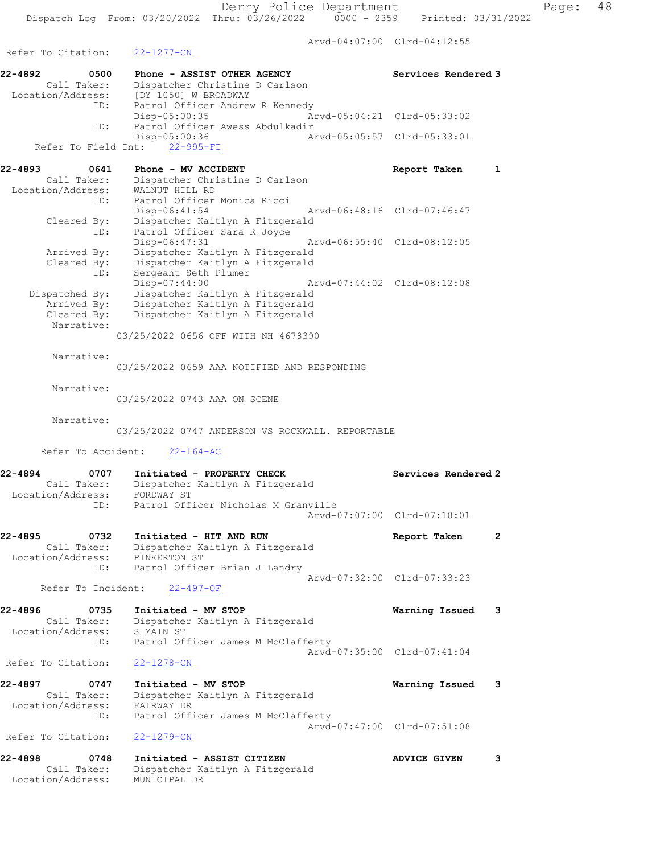Arvd-04:07:00 Clrd-04:12:55

Refer To Citation: 22-1277-CN 22-4892 0500 Phone - ASSIST OTHER AGENCY Services Rendered 3 Call Taker: Dispatcher Christine D Carlson Location/Address: [DY 1050] W BROADWAY ID: Patrol Officer Andrew R Kennedy<br>Disp-05:00:35 Disp-05:00:35 Arvd-05:04:21 Clrd-05:33:02 ID: Patrol Officer Awess Abdulkadir Disp-05:00:36 Arvd-05:05:57 Clrd-05:33:01 Refer To Field Int: 22-995-FI 22-4893 0641 Phone - MV ACCIDENT Report Taken 1 Call Taker: Dispatcher Christine D Carlson Location/Address: WALNUT HILL RD ID: Patrol Officer Monica Ricci Arvd-06:48:16 Clrd-07:46:47 Cleared By: Dispatcher Kaitlyn A Fitzgerald ID: Patrol Officer Sara R Joyce Disp-06:47:31 Arvd-06:55:40 Clrd-08:12:05 Arrived By: Dispatcher Kaitlyn A Fitzgerald Cleared By: Dispatcher Kaitlyn A Fitzgerald ID: Sergeant Seth Plumer Disp-07:44:00 Arvd-07:44:02 Clrd-08:12:08 Dispatched By: Dispatcher Kaitlyn A Fitzgerald Arrived By: Dispatcher Kaitlyn A Fitzgerald Cleared By: Dispatcher Kaitlyn A Fitzgerald Narrative: 03/25/2022 0656 OFF WITH NH 4678390 Narrative: 03/25/2022 0659 AAA NOTIFIED AND RESPONDING Narrative: 03/25/2022 0743 AAA ON SCENE Narrative: 03/25/2022 0747 ANDERSON VS ROCKWALL. REPORTABLE Refer To Accident: 22-164-AC 22-4894 0707 Initiated - PROPERTY CHECK Services Rendered 2 Call Taker: Dispatcher Kaitlyn A Fitzgerald Location/Address: FORDWAY ST ID: Patrol Officer Nicholas M Granville Arvd-07:07:00 Clrd-07:18:01 22-4895 0732 Initiated - HIT AND RUN Report Taken 2 Call Taker: Dispatcher Kaitlyn A Fitzgerald Location/Address: PINKERTON ST ID: Patrol Officer Brian J Landry Arvd-07:32:00 Clrd-07:33:23 Refer To Incident: 22-497-OF 22-4896 0735 Initiated - MV STOP Warning Issued 3 Call Taker: Dispatcher Kaitlyn A Fitzgerald Location/Address: S MAIN ST ID: Patrol Officer James M McClafferty Arvd-07:35:00 Clrd-07:41:04 Refer To Citation: 22-1278-CN 22-4897 0747 Initiated - MV STOP Warning Issued 3 Call Taker: Dispatcher Kaitlyn A Fitzgerald Location/Address: FAIRWAY DR ID: Patrol Officer James M McClafferty Arvd-07:47:00 Clrd-07:51:08 Refer To Citation: 22-1279-CN 22-4898 0748 Initiated - ASSIST CITIZEN ADVICE GIVEN 3 Call Taker: Dispatcher Kaitlyn A Fitzgerald

Location/Address: MUNICIPAL DR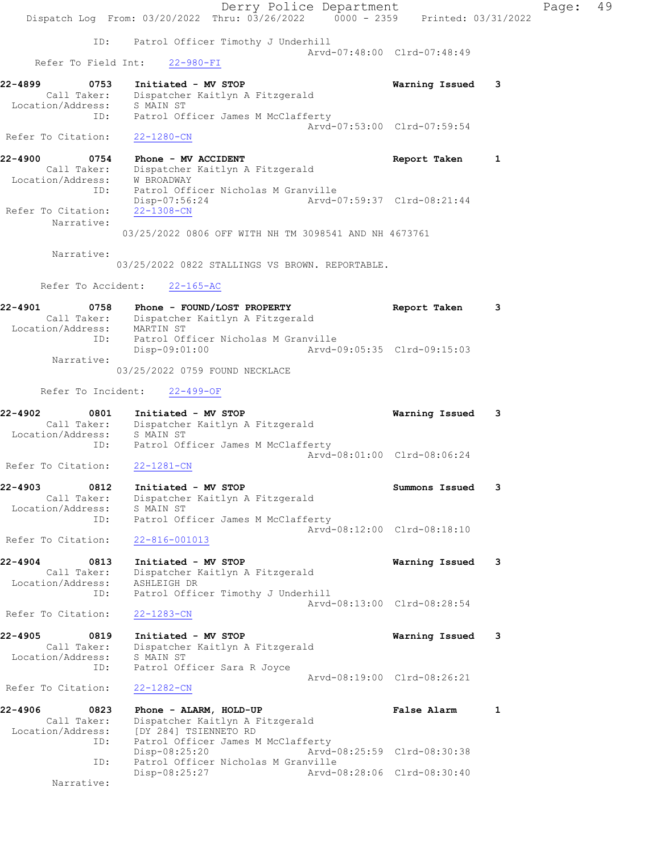Derry Police Department Fage: 49 Dispatch Log From:  $03/20/2022$  Thru:  $03/26/2022$  0000 - 2359 Printed: 03/31/2022 ID: Patrol Officer Timothy J Underhill Arvd-07:48:00 Clrd-07:48:49 Refer To Field Int: 22-980-FI 22-4899 0753 Initiated - MV STOP Warning Issued 3 Call Taker: Dispatcher Kaitlyn A Fitzgerald Location/Address: S MAIN ST ID: Patrol Officer James M McClafferty Arvd-07:53:00 Clrd-07:59:54 Refer To Citation: 22-1280-CN 22-4900 0754 Phone - MV ACCIDENT Report Taken 1 Call Taker: Dispatcher Kaitlyn A Fitzgerald Location/Address: W BROADWAY ID: Patrol Officer Nicholas M Granville<br>Disp-07:56:24 Arvd-07:59:37 Clrd-08:21:44 Disp-07:56:24 Arvd-07:59:37 Clrd-08:21:44 Refer To Citation: 22-1308-CN Narrative: 03/25/2022 0806 OFF WITH NH TM 3098541 AND NH 4673761 Narrative: 03/25/2022 0822 STALLINGS VS BROWN. REPORTABLE. Refer To Accident: 22-165-AC 22-4901 0758 Phone - FOUND/LOST PROPERTY Report Taken 3 Call Taker: Dispatcher Kaitlyn A Fitzgerald Location/Address: MARTIN ST ID: Patrol Officer Nicholas M Granville Disp-09:01:00 Arvd-09:05:35 Clrd-09:15:03 Narrative: 03/25/2022 0759 FOUND NECKLACE Refer To Incident: 22-499-OF 22-4902 0801 Initiated - MV STOP Warning Issued 3 Call Taker: Dispatcher Kaitlyn A Fitzgerald Location/Address: S MAIN ST ID: Patrol Officer James M McClafferty Arvd-08:01:00 Clrd-08:06:24 Refer To Citation: 22-1281-CN 22-4903 0812 Initiated - MV STOP Summons Issued 3 Call Taker: Dispatcher Kaitlyn A Fitzgerald Location/Address: S MAIN ST ID: Patrol Officer James M McClafferty Arvd-08:12:00 Clrd-08:18:10 Refer To Citation: 22-816-001013 22-4904 0813 Initiated - MV STOP Warning Issued 3 Call Taker: Dispatcher Kaitlyn A Fitzgerald Location/Address: ASHLEIGH DR ID: Patrol Officer Timothy J Underhill Arvd-08:13:00 Clrd-08:28:54 Refer To Citation: 22-1283-CN 22-4905 0819 Initiated - MV STOP Warning Issued 3 Call Taker: Dispatcher Kaitlyn A Fitzgerald Location/Address: S MAIN ST ID: Patrol Officer Sara R Joyce Arvd-08:19:00 Clrd-08:26:21 Refer To Citation: 22-1282-CN 22-4906 0823 Phone - ALARM, HOLD-UP False Alarm 1 Call Taker: Dispatcher Kaitlyn A Fitzgerald Location/Address: [DY 284] TSIENNETO RD ID: Patrol Officer James M McClafferty Disp-08:25:20 Arvd-08:25:59 Clrd-08:30:38 ID: Patrol Officer Nicholas M Granville Disp-08:25:27 Arvd-08:28:06 Clrd-08:30:40 Narrative: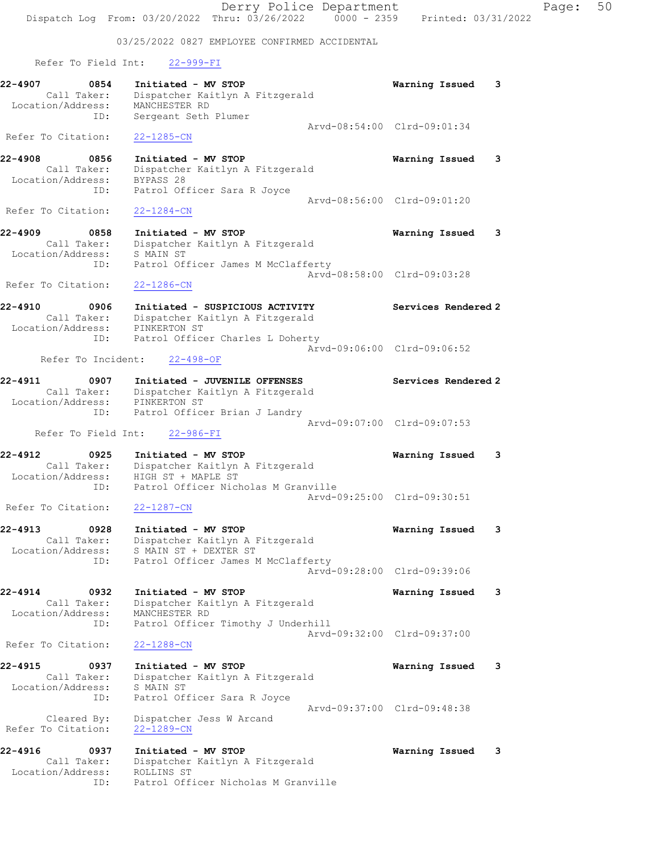Derry Police Department Fage: 50 Dispatch Log From: 03/20/2022 Thru: 03/26/2022 0000 - 2359 Printed: 03/31/2022 03/25/2022 0827 EMPLOYEE CONFIRMED ACCIDENTAL Refer To Field Int: 22-999-FI 22-4907 0854 Initiated - MV STOP Warning Issued 3 Call Taker: Dispatcher Kaitlyn A Fitzgerald Location/Address: MANCHESTER RD ID: Sergeant Seth Plumer Arvd-08:54:00 Clrd-09:01:34 Refer To Citation: 22-1285-CN 22-4908 0856 Initiated - MV STOP Warning Issued 3 Call Taker: Dispatcher Kaitlyn A Fitzgerald Location/Address: BYPASS 28 ID: Patrol Officer Sara R Joyce Arvd-08:56:00 Clrd-09:01:20 Refer To Citation: 22-1284-CN 22-4909 0858 Initiated - MV STOP Warning Issued 3 Call Taker: Dispatcher Kaitlyn A Fitzgerald Location/Address: S MAIN ST ID: Patrol Officer James M McClafferty Arvd-08:58:00 Clrd-09:03:28 Refer To Citation: 22-1286-CN 22-4910 0906 Initiated - SUSPICIOUS ACTIVITY Services Rendered 2 Call Taker: Dispatcher Kaitlyn A Fitzgerald Location/Address: PINKERTON ST ID: Patrol Officer Charles L Doherty Arvd-09:06:00 Clrd-09:06:52 Refer To Incident: 22-498-OF 22-4911 0907 Initiated - JUVENILE OFFENSES Services Rendered 2 Call Taker: Dispatcher Kaitlyn A Fitzgerald Location/Address: PINKERTON ST ID: Patrol Officer Brian J Landry Arvd-09:07:00 Clrd-09:07:53 Refer To Field Int: 22-986-FI 22-4912 0925 Initiated - MV STOP Warning Issued 3 Call Taker: Dispatcher Kaitlyn A Fitzgerald Location/Address: HIGH ST + MAPLE ST ID: Patrol Officer Nicholas M Granville Arvd-09:25:00 Clrd-09:30:51 Refer To Citation: 22-1287-CN 22-4913 0928 Initiated - MV STOP Warning Issued 3 Call Taker: Dispatcher Kaitlyn A Fitzgerald Location/Address: S MAIN ST + DEXTER ST ID: Patrol Officer James M McClafferty Arvd-09:28:00 Clrd-09:39:06 22-4914 0932 Initiated - MV STOP Warning Issued 3 Call Taker: Dispatcher Kaitlyn A Fitzgerald Location/Address: MANCHESTER RD ID: Patrol Officer Timothy J Underhill Arvd-09:32:00 Clrd-09:37:00 Refer To Citation: 22-1288-CN 22-4915 0937 Initiated - MV STOP Warning Issued 3 Call Taker: Dispatcher Kaitlyn A Fitzgerald Location/Address: S MAIN ST ID: Patrol Officer Sara R Joyce Arvd-09:37:00 Clrd-09:48:38 Cleared By: Dispatcher Jess W Arcand Refer To Citation: 22-1289-CN 22-4916 0937 Initiated - MV STOP Warning Issued 3 Call Taker: Dispatcher Kaitlyn A Fitzgerald Location/Address: ROLLINS ST ID: Patrol Officer Nicholas M Granville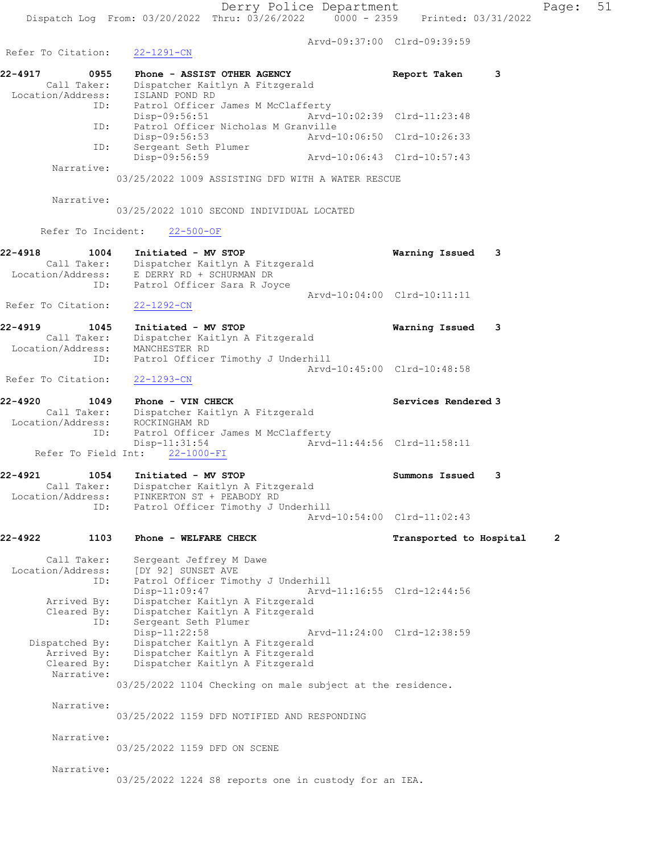Arvd-09:37:00 Clrd-09:39:59

Refer To Citation: 22-1291-CN 22-4917 0955 Phone - ASSIST OTHER AGENCY Report Taken 3 Call Taker: Dispatcher Kaitlyn A Fitzgerald Location/Address: ISLAND POND RD ID: Patrol Officer James M McClafferty<br>Disp-09:56:51 hrvd-10:02:39 Clrd-11:23:48 Disp-09:56:51 ID: Patrol Officer Nicholas M Granville<br>Disp-09:56:53 Arvd-Disp-09:56:53 Arvd-10:06:50 Clrd-10:26:33<br>ID: Sergeant Seth Plumer Sergeant Seth Plumer<br>Disp-09:56:59 Disp-09:56:59 Arvd-10:06:43 Clrd-10:57:43 Narrative: 03/25/2022 1009 ASSISTING DFD WITH A WATER RESCUE Narrative: 03/25/2022 1010 SECOND INDIVIDUAL LOCATED Refer To Incident: 22-500-OF 22-4918 1004 Initiated - MV STOP Warning Issued 3 Call Taker: Dispatcher Kaitlyn A Fitzgerald Location/Address: E DERRY RD + SCHURMAN DR ID: Patrol Officer Sara R Joyce Arvd-10:04:00 Clrd-10:11:11 Refer To Citation: 22-1292-CN 22-4919 1045 Initiated - MV STOP Warning Issued 3 Call Taker: Dispatcher Kaitlyn A Fitzgerald Location/Address: MANCHESTER RD ID: Patrol Officer Timothy J Underhill Arvd-10:45:00 Clrd-10:48:58 Refer To Citation: 22-1293-CN 22-4920 1049 Phone - VIN CHECK **Services Rendered** 3 Call Taker: Dispatcher Kaitlyn A Fitzgerald Location/Address: ROCKINGHAM RD ID: Patrol Officer James M McClafferty Disp-11:31:54 Arvd-11:44:56 Clrd-11:58:11 Refer To Field Int:  $22-1000-FI$ 22-4921 1054 Initiated - MV STOP Summons Issued 3 Call Taker: Dispatcher Kaitlyn A Fitzgerald Location/Address: PINKERTON ST + PEABODY RD ID: Patrol Officer Timothy J Underhill Arvd-10:54:00 Clrd-11:02:43 22-4922 1103 Phone - WELFARE CHECK 12 Transported to Hospital 2 Call Taker: Sergeant Jeffrey M Dawe Location/Address: [DY 92] SUNSET AVE ID: Patrol Officer Timothy J Underhill Disp-11:09:47 Arvd-11:16:55 Clrd-12:44:56 Arrived By: Dispatcher Kaitlyn A Fitzgerald Cleared By: Dispatcher Kaitlyn A Fitzgerald ID: Sergeant Seth Plumer Disp-11:22:58 Arvd-11:24:00 Clrd-12:38:59 Dispatched By: Dispatcher Kaitlyn A Fitzgerald Arrived By: Dispatcher Kaitlyn A Fitzgerald Cleared By: Dispatcher Kaitlyn A Fitzgerald Narrative: 03/25/2022 1104 Checking on male subject at the residence. Narrative: 03/25/2022 1159 DFD NOTIFIED AND RESPONDING Narrative: 03/25/2022 1159 DFD ON SCENE Narrative: 03/25/2022 1224 S8 reports one in custody for an IEA.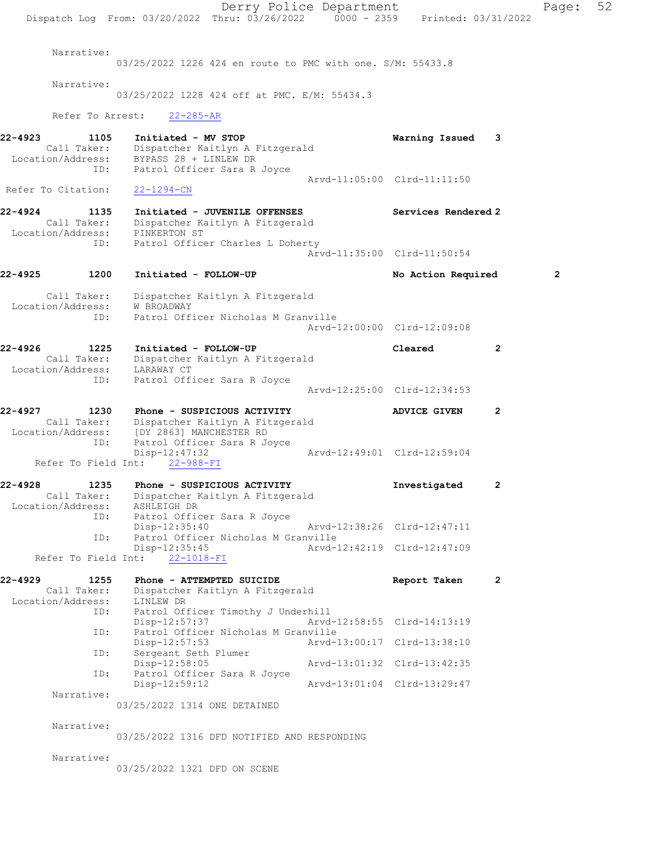Derry Police Department Page: 52 Dispatch Log From:  $03/20/2022$  Thru:  $03/26/2022$  0000 - 2359 Printed: 03/31/2022 Narrative: 03/25/2022 1226 424 en route to PMC with one. S/M: 55433.8 Narrative: 03/25/2022 1228 424 off at PMC. E/M: 55434.3 Refer To Arrest: 22-285-AR 22-4923 1105 Initiated - MV STOP Warning Issued 3 Call Taker: Dispatcher Kaitlyn A Fitzgerald Location/Address: BYPASS 28 + LINLEW DR ID: Patrol Officer Sara R Joyce Arvd-11:05:00 Clrd-11:11:50 Refer To Citation: 22-1294-CN 22-4924 1135 Initiated - JUVENILE OFFENSES Services Rendered 2 Call Taker: Dispatcher Kaitlyn A Fitzgerald Location/Address: PINKERTON ST ID: Patrol Officer Charles L Doherty Arvd-11:35:00 Clrd-11:50:54 22-4925 1200 Initiated - FOLLOW-UP No Action Required 2 Call Taker: Dispatcher Kaitlyn A Fitzgerald Location/Address: W BROADWAY ID: Patrol Officer Nicholas M Granville Arvd-12:00:00 Clrd-12:09:08 22-4926 1225 Initiated - FOLLOW-UP Cleared 2 Call Taker: Dispatcher Kaitlyn A Fitzgerald Location/Address: LARAWAY CT ID: Patrol Officer Sara R Joyce Arvd-12:25:00 Clrd-12:34:53 22-4927 1230 Phone - SUSPICIOUS ACTIVITY ADVICE GIVEN 2 Call Taker: Dispatcher Kaitlyn A Fitzgerald Location/Address: [DY 2863] MANCHESTER RD ID: Patrol Officer Sara R Joyce Disp-12:47:32 Arvd-12:49:01 Clrd-12:59:04 Refer To Field Int: 22-988-FI 22-4928 1235 Phone - SUSPICIOUS ACTIVITY **1**nvestigated 2 Call Taker: Dispatcher Kaitlyn A Fitzgerald Location/Address: ASHLEIGH DR ID: Patrol Officer Sara R Joyce Disp-12:35:40 Arvd-12:38:26 Clrd-12:47:11 ID: Patrol Officer Nicholas M Granville<br>Disp-12:35:45 Arvd-2 Disp-12:35:45 Arvd-12:42:19 Clrd-12:47:09 Refer To Field Int: 22-1018-FI 22-4929 1255 Phone - ATTEMPTED SUICIDE Report Taken 2 Call Taker: Dispatcher Kaitlyn A Fitzgerald Location/Address: LINLEW DR ID: Patrol Officer Timothy J Underhill<br>Disp-12:57:37 Arvd-Arvd-12:58:55 Clrd-14:13:19 ID: Patrol Officer Nicholas M Granville Disp-12:57:53 Arvd-13:00:17 Clrd-13:38:10 ID: Sergeant Seth Plumer Disp-12:58:05 Arvd-13:01:32 Clrd-13:42:35 ID: Patrol Officer Sara R Joyce Disp-12:59:12 Arvd-13:01:04 Clrd-13:29:47 Narrative: 03/25/2022 1314 ONE DETAINED Narrative: 03/25/2022 1316 DFD NOTIFIED AND RESPONDING Narrative: 03/25/2022 1321 DFD ON SCENE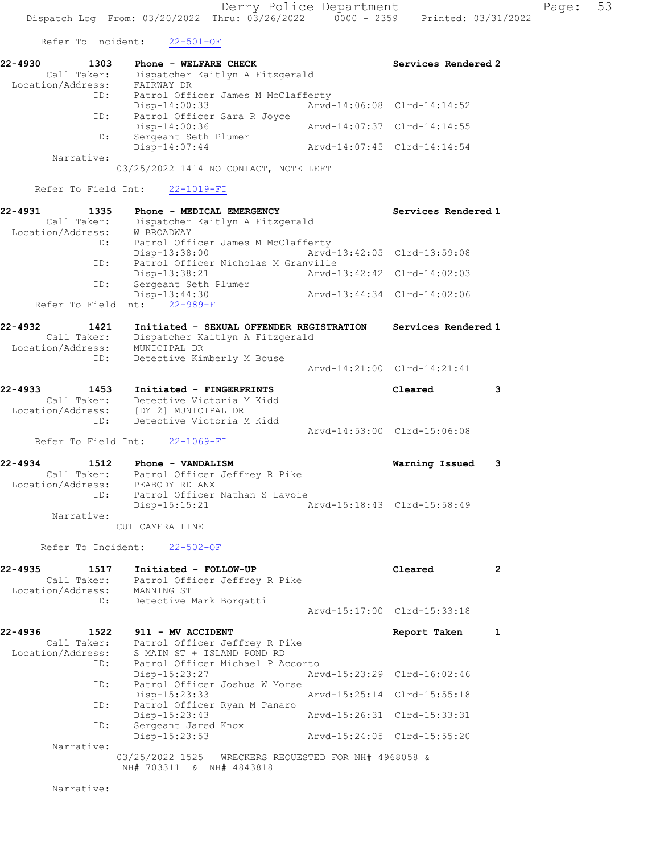Refer To Incident: 22-501-OF

| 22-4930           | 1303        | Phone - WELFARE CHECK              |                             | Services Rendered 2 |
|-------------------|-------------|------------------------------------|-----------------------------|---------------------|
|                   | Call Taker: | Dispatcher Kaitlyn A Fitzgerald    |                             |                     |
| Location/Address: |             | FAIRWAY DR                         |                             |                     |
|                   | ID:         | Patrol Officer James M McClafferty |                             |                     |
|                   |             | Disp-14:00:33                      | Arvd-14:06:08 Clrd-14:14:52 |                     |
|                   | ID:         | Patrol Officer Sara R Joyce        |                             |                     |
|                   |             | $Disp-14:00:36$                    | Arvd-14:07:37 Clrd-14:14:55 |                     |
|                   | ID:         | Sergeant Seth Plumer               |                             |                     |
|                   |             | $Disp-14:07:44$                    | Arvd-14:07:45 Clrd-14:14:54 |                     |
|                   | Narrative:  |                                    |                             |                     |

03/25/2022 1414 NO CONTACT, NOTE LEFT

Refer To Field Int: 22-1019-FI

| $22 - 4931$       | 1335        | Phone - MEDICAL EMERGENCY           |                             | Services Rendered 1         |
|-------------------|-------------|-------------------------------------|-----------------------------|-----------------------------|
|                   | Call Taker: | Dispatcher Kaitlyn A Fitzgerald     |                             |                             |
| Location/Address: |             | W BROADWAY                          |                             |                             |
|                   | ID:         | Patrol Officer James M McClafferty  |                             |                             |
|                   |             | Disp-13:38:00                       | Arvd-13:42:05 Clrd-13:59:08 |                             |
|                   | ID:         | Patrol Officer Nicholas M Granville |                             |                             |
|                   |             | Disp-13:38:21                       | Arvd-13:42:42 Clrd-14:02:03 |                             |
|                   | ID:         | Sergeant Seth Plumer                |                             |                             |
|                   |             | Disp-13:44:30                       |                             | Arvd-13:44:34 Clrd-14:02:06 |
|                   |             | Refer To Field Int: 22-989-FI       |                             |                             |

| 22-4932<br>1421   |                                 | Initiated - SEXUAL OFFENDER REGISTRATION | Services Rendered 1         |
|-------------------|---------------------------------|------------------------------------------|-----------------------------|
| Call Taker:       | Dispatcher Kaitlyn A Fitzgerald |                                          |                             |
| Location/Address: | MUNICIPAL DR                    |                                          |                             |
| ID:               | Detective Kimberly M Bouse      |                                          |                             |
|                   |                                 |                                          | Arvd-14:21:00 Clrd-14:21:41 |

| 22-4933 | 1453              | Initiated - FINGERPRINTS  | Cleared                     |  |
|---------|-------------------|---------------------------|-----------------------------|--|
|         | Call Taker:       | Detective Victoria M Kidd |                             |  |
|         | Location/Address: | (DY 21 MUNICIPAL DR       |                             |  |
|         | TD:               | Detective Victoria M Kidd |                             |  |
|         |                   |                           | Aryd-14:53:00 Clrd-15:06:08 |  |

Refer To Field Int: 22-1069-FI

| 22-4934           | 1512        | Phone - VANDALISM              |                             | Warning Issued 3 |  |
|-------------------|-------------|--------------------------------|-----------------------------|------------------|--|
|                   | Call Taker: | Patrol Officer Jeffrey R Pike  |                             |                  |  |
| Location/Address: |             | PEABODY RD ANX                 |                             |                  |  |
|                   | ID:         | Patrol Officer Nathan S Lavoie |                             |                  |  |
|                   |             | Disp-15:15:21                  | Arvd-15:18:43 Clrd-15:58:49 |                  |  |
|                   | Narrative:  |                                |                             |                  |  |

CUT CAMERA LINE

Refer To Incident: 22-502-OF

| 22-4935<br>Location/Address: | 1517<br>Call Taker:<br>ID: | Initiated - FOLLOW-UP<br>Patrol Officer Jeffrey R Pike<br>MANNING ST<br>Detective Mark Borgatti | Cleared<br>Arvd-15:17:00 Clrd-15:33:18 |  |
|------------------------------|----------------------------|-------------------------------------------------------------------------------------------------|----------------------------------------|--|
| $22 - 4936$                  | 1522                       | 911 - MV ACCIDENT                                                                               | Report Taken                           |  |

| Call Taker:       | Patrol Officer Jeffrey R Pike |                                  |                                      |  |
|-------------------|-------------------------------|----------------------------------|--------------------------------------|--|
| Location/Address: | S MAIN ST + ISLAND POND RD    |                                  |                                      |  |
| ID:               |                               | Patrol Officer Michael P Accorto |                                      |  |
|                   | $Disp-15:23:27$               |                                  | Arvd-15:23:29 Clrd-16:02:46          |  |
| ID:               | Patrol Officer Joshua W Morse |                                  |                                      |  |
|                   | $Disp-15:23:33$               |                                  | Arvd-15:25:14 Clrd-15:55:18          |  |
| ID:               | Patrol Officer Ryan M Panaro  |                                  |                                      |  |
|                   | Disp-15:23:43                 |                                  | Arvd-15:26:31 Clrd-15:33:31          |  |
| ID:               | Sergeant Jared Knox           |                                  |                                      |  |
|                   | Disp-15:23:53                 |                                  | Arvd-15:24:05 Clrd-15:55:20          |  |
| Narrative:        |                               |                                  |                                      |  |
|                   | 03/25/2022 1525               |                                  | WRECKERS REQUESTED FOR NH# 4968058 & |  |
|                   |                               |                                  |                                      |  |

NH# 703311 & NH# 4843818

Narrative: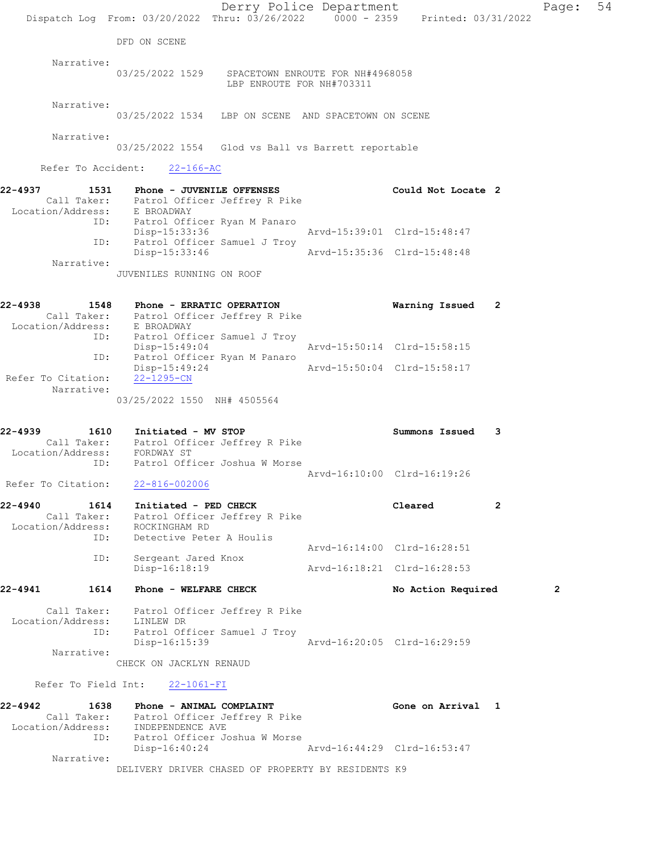|                    |                          |                                                             | Dispatch Log From: 03/20/2022 Thru: 03/26/2022 0000 - 2359 Printed: 03/31/2022 | Derry Police Department |                             |                | Page:          | 54 |
|--------------------|--------------------------|-------------------------------------------------------------|--------------------------------------------------------------------------------|-------------------------|-----------------------------|----------------|----------------|----|
|                    |                          | DFD ON SCENE                                                |                                                                                |                         |                             |                |                |    |
|                    | Narrative:               |                                                             |                                                                                |                         |                             |                |                |    |
|                    |                          |                                                             | 03/25/2022 1529 SPACETOWN ENROUTE FOR NH#4968058<br>LBP ENROUTE FOR NH#703311  |                         |                             |                |                |    |
|                    | Narrative:               |                                                             | 03/25/2022 1534 LBP ON SCENE AND SPACETOWN ON SCENE                            |                         |                             |                |                |    |
|                    | Narrative:               |                                                             | 03/25/2022 1554 Glod vs Ball vs Barrett reportable                             |                         |                             |                |                |    |
|                    | Refer To Accident:       | $22 - 166 - AC$                                             |                                                                                |                         |                             |                |                |    |
| 22-4937            |                          | 1531 Phone - JUVENILE OFFENSES                              |                                                                                |                         | Could Not Locate 2          |                |                |    |
|                    |                          |                                                             | Call Taker: Patrol Officer Jeffrey R Pike<br>Location/Address: E BROADWAY      |                         |                             |                |                |    |
|                    |                          | Disp-15:33:36                                               | ID: Patrol Officer Ryan M Panaro                                               |                         | Arvd-15:39:01 Clrd-15:48:47 |                |                |    |
|                    | ID:                      | Disp-15:33:46                                               | Patrol Officer Samuel J Troy                                                   |                         | Arvd-15:35:36 Clrd-15:48:48 |                |                |    |
|                    | Narrative:               |                                                             |                                                                                |                         |                             |                |                |    |
|                    |                          | JUVENILES RUNNING ON ROOF                                   |                                                                                |                         |                             |                |                |    |
| 22-4938            |                          | 1548 Phone - ERRATIC OPERATION                              |                                                                                |                         | Warning Issued              | -2             |                |    |
|                    |                          | Location/Address: E BROADWAY                                | Call Taker: Patrol Officer Jeffrey R Pike                                      |                         |                             |                |                |    |
|                    |                          | Disp-15:49:04                                               | ID: Patrol Officer Samuel J Troy                                               |                         | Arvd-15:50:14 Clrd-15:58:15 |                |                |    |
|                    | ID:                      | Disp-15:49:24                                               | Patrol Officer Ryan M Panaro                                                   |                         | Arvd-15:50:04 Clrd-15:58:17 |                |                |    |
| Refer To Citation: | Narrative:               | 22-1295-CN                                                  |                                                                                |                         |                             |                |                |    |
|                    |                          | 03/25/2022 1550 NH# 4505564                                 |                                                                                |                         |                             |                |                |    |
| 22-4939            |                          | 1610 Initiated - MV STOP                                    |                                                                                |                         | Summons Issued              | 3              |                |    |
|                    |                          | Location/Address: FORDWAY ST                                | Call Taker: Patrol Officer Jeffrey R Pike                                      |                         |                             |                |                |    |
|                    | ID:                      |                                                             | Patrol Officer Joshua W Morse                                                  |                         | Arvd-16:10:00 Clrd-16:19:26 |                |                |    |
|                    | Refer To Citation:       | 22-816-002006                                               |                                                                                |                         |                             |                |                |    |
| 22-4940            | 1614                     | Initiated - PED CHECK                                       | Call Taker: Patrol Officer Jeffrey R Pike                                      |                         | Cleared                     | $\overline{2}$ |                |    |
|                    | ID:                      | Location/Address: ROCKINGHAM RD<br>Detective Peter A Houlis |                                                                                |                         |                             |                |                |    |
|                    |                          |                                                             |                                                                                |                         | Arvd-16:14:00 Clrd-16:28:51 |                |                |    |
|                    | ID:                      | Sergeant Jared Knox<br>Disp-16:18:19                        |                                                                                |                         | Arvd-16:18:21 Clrd-16:28:53 |                |                |    |
| 22-4941            | 1614                     | Phone - WELFARE CHECK                                       |                                                                                |                         | No Action Required          |                | $\overline{2}$ |    |
|                    | Location/Address:        | LINLEW DR                                                   | Call Taker: Patrol Officer Jeffrey R Pike                                      |                         |                             |                |                |    |
|                    | ID:                      |                                                             | Patrol Officer Samuel J Troy                                                   |                         |                             |                |                |    |
|                    | Narrative:               | Disp-16:15:39                                               |                                                                                |                         | Arvd-16:20:05 Clrd-16:29:59 |                |                |    |
|                    |                          | CHECK ON JACKLYN RENAUD                                     |                                                                                |                         |                             |                |                |    |
|                    | Refer To Field Int:      | $22 - 1061 - FI$                                            |                                                                                |                         |                             |                |                |    |
| 22-4942            | 1638                     |                                                             | Phone - ANIMAL COMPLAINT<br>Call Taker: Patrol Officer Jeffrey R Pike          |                         | Gone on Arrival 1           |                |                |    |
|                    | Location/Address:<br>ID: | INDEPENDENCE AVE                                            | Patrol Officer Joshua W Morse                                                  |                         |                             |                |                |    |
|                    | Narrative:               | $Disp-16:40:24$                                             |                                                                                |                         | Arvd-16:44:29 Clrd-16:53:47 |                |                |    |
|                    |                          |                                                             | DELIVERY DRIVER CHASED OF PROPERTY BY RESIDENTS K9                             |                         |                             |                |                |    |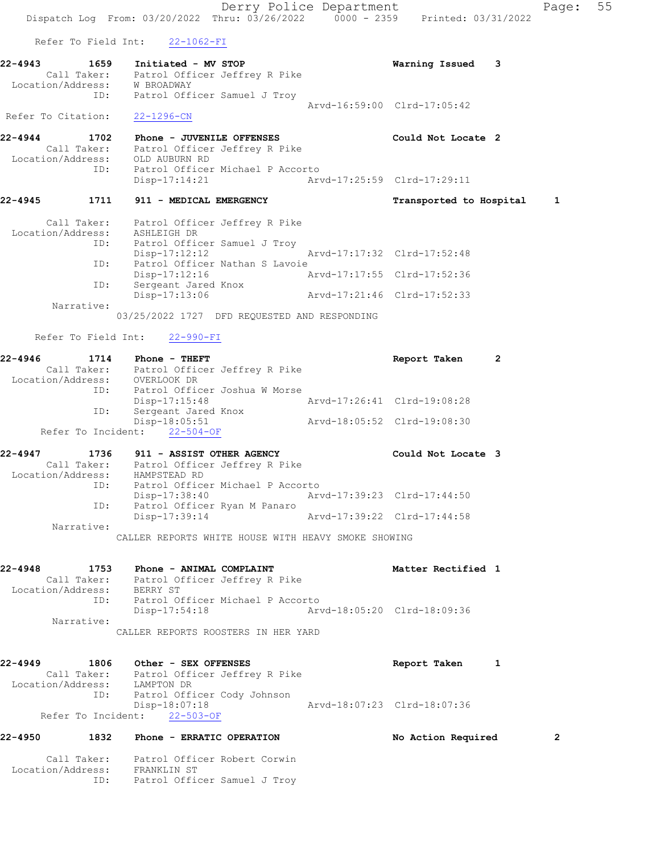Derry Police Department Form Page: 55 Dispatch Log From: 03/20/2022 Thru: 03/26/2022 0000 - 2359 Printed: 03/31/2022 Refer To Field Int: 22-1062-FI 22-4943 1659 Initiated - MV STOP Warning Issued 3 Call Taker: Patrol Officer Jeffrey R Pike Location/Address: W BROADWAY ID: Patrol Officer Samuel J Troy Arvd-16:59:00 Clrd-17:05:42 Refer To Citation: 22-1296-CN 22-4944 1702 Phone - JUVENILE OFFENSES Could Not Locate 2 Call Taker: Patrol Officer Jeffrey R Pike Location/Address: OLD AUBURN RD ID: Patrol Officer Michael P Accorto Disp-17:14:21 Arvd-17:25:59 Clrd-17:29:11 22-4945 1711 911 - MEDICAL EMERGENCY Transported to Hospital 1 Call Taker: Patrol Officer Jeffrey R Pike Location/Address: ASHLEIGH DR ID: Patrol Officer Samuel J Troy Disp-17:12:12 Arvd-17:17:32 Clrd-17:52:48 ID: Patrol Officer Nathan S Lavoie Disp-17:12:16 Arvd-17:17:55 Clrd-17:52:36 ID: Sergeant Jared Knox Disp-17:13:06 Arvd-17:21:46 Clrd-17:52:33 Narrative: 03/25/2022 1727 DFD REQUESTED AND RESPONDING Refer To Field Int: 22-990-FI 22-4946 1714 Phone - THEFT<br>Call Taker: Patrol Officer Jeffrey R Pike Report Taken 2 Call Taker: Patrol Officer Jeffrey R Pike Location/Address: OVERLOOK DR ID: Patrol Officer Joshua W Morse Disp-17:15:48 Arvd-17:26:41 Clrd-19:08:28 ID: Sergeant Jared Knox Disp-18:05:51 Arvd-18:05:52 Clrd-19:08:30 Refer To Incident: 22-504-OF 22-4947 1736 911 - ASSIST OTHER AGENCY Could Not Locate 3 Call Taker: Patrol Officer Jeffrey R Pike Location/Address: HAMPSTEAD RD ID: Patrol Officer Michael P Accorto Disp-17:38:40 Arvd-17:39:23 Clrd-17:44:50 ID: Patrol Officer Ryan M Panaro Disp-17:39:14 Arvd-17:39:22 Clrd-17:44:58 Narrative: CALLER REPORTS WHITE HOUSE WITH HEAVY SMOKE SHOWING 22-4948 1753 Phone - ANIMAL COMPLAINT Nettless and Matter Rectified 1 Call Taker: Patrol Officer Jeffrey R Pike Location/Address: BERRY ST ID: Patrol Officer Michael P Accorto Disp-17:54:18 Arvd-18:05:20 Clrd-18:09:36 Narrative: CALLER REPORTS ROOSTERS IN HER YARD 22-4949 1806 Other - SEX OFFENSES Report Taken 1 Call Taker: Patrol Officer Jeffrey R Pike Location/Address: LAMPTON DR ID: Patrol Officer Cody Johnson Disp-18:07:18 Arvd-18:07:23 Clrd-18:07:36 Refer To Incident: 22-503-OF 22-4950 1832 Phone - ERRATIC OPERATION No Action Required 2 Call Taker: Patrol Officer Robert Corwin Location/Address: FRANKLIN ST ID: Patrol Officer Samuel J Troy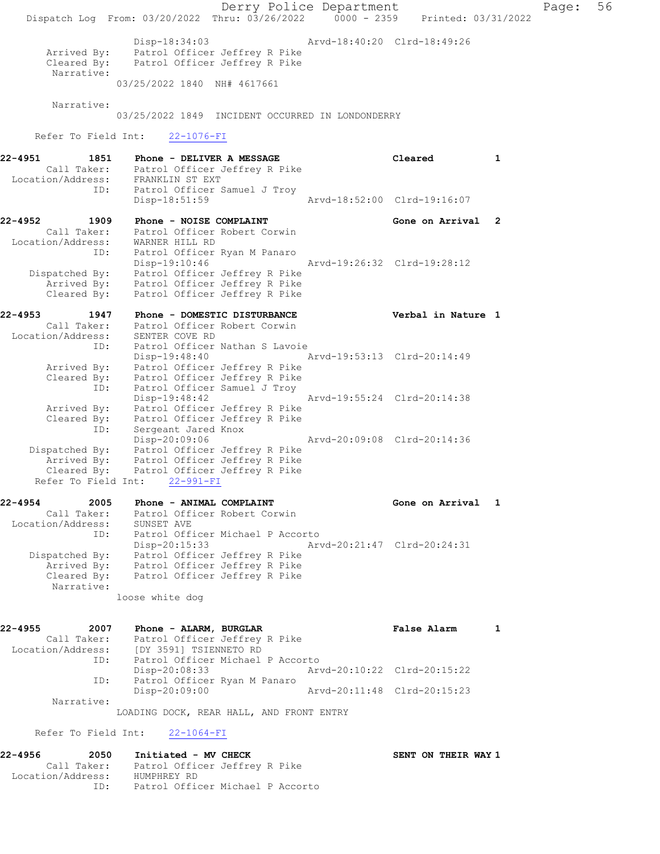Derry Police Department Fage: 56 Dispatch Log From: 03/20/2022 Thru: 03/26/2022 0000 - 2359 Printed: 03/31/2022 Disp-18:34:03 Arvd-18:40:20 Clrd-18:49:26 Arrived By: Patrol Officer Jeffrey R Pike Cleared By: Patrol Officer Jeffrey R Pike Narrative: 03/25/2022 1840 NH# 4617661 Narrative: 03/25/2022 1849 INCIDENT OCCURRED IN LONDONDERRY Refer To Field Int: 22-1076-FI 22-4951 1851 Phone - DELIVER A MESSAGE Cleared 1 Call Taker: Patrol Officer Jeffrey R Pike Location/Address: FRANKLIN ST EXT ID: Patrol Officer Samuel J Troy Disp-18:51:59 Arvd-18:52:00 Clrd-19:16:07 22-4952 1909 Phone - NOISE COMPLAINT Gone on Arrival 2 Call Taker: Patrol Officer Robert Corwin Location/Address: WARNER HILL RD ID: Patrol Officer Ryan M Panaro Disp-19:10:46 Arvd-19:26:32 Clrd-19:28:12 Dispatched By: Patrol Officer Jeffrey R Pike Arrived By: Patrol Officer Jeffrey R Pike Cleared By: Patrol Officer Jeffrey R Pike 22-4953 1947 Phone - DOMESTIC DISTURBANCE Verbal in Nature 1 Call Taker: Patrol Officer Robert Corwin Location/Address: SENTER COVE RD ID: Patrol Officer Nathan S Lavoie Disp-19:48:40 Arvd-19:53:13 Clrd-20:14:49 Arrived By: Patrol Officer Jeffrey R Pike Cleared By: Patrol Officer Jeffrey R Pike ID: Patrol Officer Samuel J Troy Disp-19:48:42 Arvd-19:55:24 Clrd-20:14:38 Arrived By: Patrol Officer Jeffrey R Pike Cleared By: Patrol Officer Jeffrey R Pike ID: Sergeant Jared Knox Disp-20:09:06 Arvd-20:09:08 Clrd-20:14:36 Dispatched By: Patrol Officer Jeffrey R Pike Arrived By: Patrol Officer Jeffrey R Pike Cleared By: Patrol Officer Jeffrey R Pike Refer To Field Int: 22-991-FI 22-4954 2005 Phone - ANIMAL COMPLAINT Gone on Arrival 1 Call Taker: Patrol Officer Robert Corwin Location/Address: SUNSET AVE ID: Patrol Officer Michael P Accorto Disp-20:15:33 Arvd-20:21:47 Clrd-20:24:31 Dispatched By: Patrol Officer Jeffrey R Pike Arrived By: Patrol Officer Jeffrey R Pike Cleared By: Patrol Officer Jeffrey R Pike Narrative: loose white dog 22-4955 2007 Phone - ALARM, BURGLAR 1 1 False Alarm 1 Call Taker: Patrol Officer Jeffrey R Pike Location/Address: [DY 3591] TSIENNETO RD ID: Patrol Officer Michael P Accorto Disp-20:08:33 Arvd-20:10:22 Clrd-20:15:22 ID: Patrol Officer Ryan M Panaro Arvd-20:11:48 Clrd-20:15:23 Narrative: LOADING DOCK, REAR HALL, AND FRONT ENTRY Refer To Field Int: 22-1064-FI

22-4956 2050 Initiated - MV CHECK SENT ON THEIR WAY 1 Call Taker: Patrol Officer Jeffrey R Pike Location/Address: HUMPHREY RD ID: Patrol Officer Michael P Accorto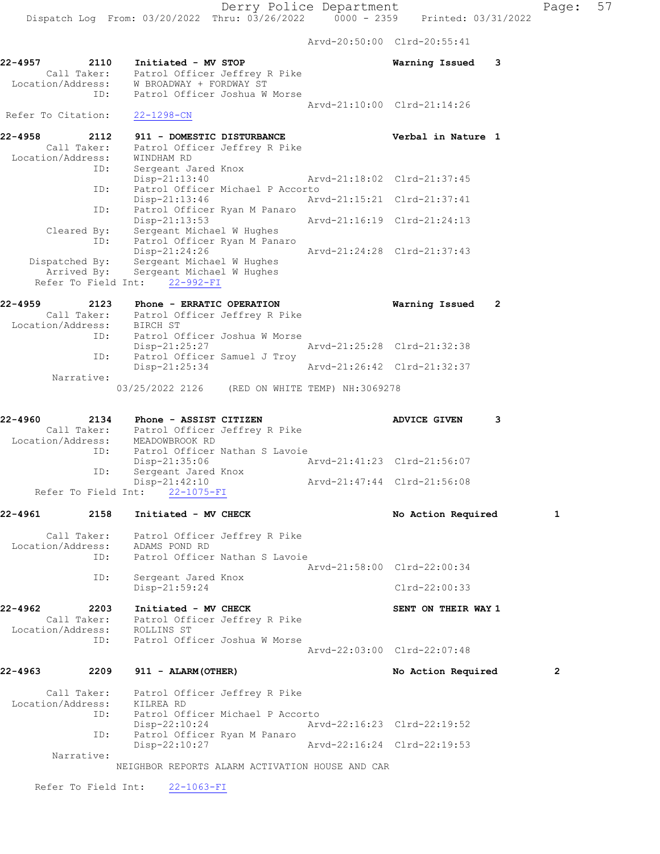Arvd-20:50:00 Clrd-20:55:41

|                              |                                                      |                                                                                 | ALVQ-20:50:00 CILQ-20:55:41 |                             |                |
|------------------------------|------------------------------------------------------|---------------------------------------------------------------------------------|-----------------------------|-----------------------------|----------------|
| 22-4957<br>Location/Address: | 2110<br>Call Taker:                                  | Initiated - MV STOP<br>Patrol Officer Jeffrey R Pike<br>W BROADWAY + FORDWAY ST |                             | Warning Issued              | 3              |
|                              | ID:                                                  | Patrol Officer Joshua W Morse                                                   |                             |                             |                |
| Refer To Citation:           |                                                      | $22 - 1298 - CN$                                                                |                             | Arvd-21:10:00 Clrd-21:14:26 |                |
| 22-4958                      | 2112                                                 | 911 - DOMESTIC DISTURBANCE                                                      |                             | Verbal in Nature 1          |                |
| Location/Address:            | Call Taker:                                          | Patrol Officer Jeffrey R Pike<br>WINDHAM RD                                     |                             |                             |                |
|                              | ID:                                                  | Sergeant Jared Knox<br>$Disp-21:13:40$                                          | Arvd-21:18:02 Clrd-21:37:45 |                             |                |
|                              | ID:                                                  | Patrol Officer Michael P Accorto<br>$Disp-21:13:46$                             | Arvd-21:15:21 Clrd-21:37:41 |                             |                |
|                              | ID:                                                  | Patrol Officer Ryan M Panaro                                                    |                             |                             |                |
|                              | Cleared By:<br>ID:                                   | Disp-21:13:53<br>Sergeant Michael W Hughes<br>Patrol Officer Ryan M Panaro      |                             | Arvd-21:16:19 Clrd-21:24:13 |                |
|                              |                                                      | Disp-21:24:26                                                                   | Arvd-21:24:28 Clrd-21:37:43 |                             |                |
|                              | Dispatched By:<br>Arrived By:<br>Refer To Field Int: | Sergeant Michael W Hughes<br>Sergeant Michael W Hughes<br>22-992-FI             |                             |                             |                |
| 22-4959                      | 2123                                                 | Phone - ERRATIC OPERATION                                                       |                             | Warning Issued              | $\overline{2}$ |
| Location/Address:            | Call Taker:                                          | Patrol Officer Jeffrey R Pike<br>BIRCH ST                                       |                             |                             |                |
|                              | ID:                                                  | Patrol Officer Joshua W Morse<br>$Disp-21:25:27$                                | Arvd-21:25:28 Clrd-21:32:38 |                             |                |
|                              | ID:                                                  | Patrol Officer Samuel J Troy                                                    |                             |                             |                |
|                              | Narrative:                                           | Disp-21:25:34                                                                   |                             | Arvd-21:26:42 Clrd-21:32:37 |                |
|                              |                                                      | 03/25/2022 2126 (RED ON WHITE TEMP) NH:3069278                                  |                             |                             |                |
| 22-4960                      | 2134                                                 | Phone - ASSIST CITIZEN                                                          |                             | <b>ADVICE GIVEN</b>         | 3              |
| Location/Address:            | Call Taker:<br>On/Address:                           | Patrol Officer Jeffrey R Pike<br>MEADOWBROOK RD                                 |                             |                             |                |
|                              | ID:                                                  | Patrol Officer Nathan S Lavoie                                                  |                             |                             |                |
|                              | ID:                                                  | $Disp-21:35:06$<br>Sergeant Jared Knox                                          | Arvd-21:41:23 Clrd-21:56:07 |                             |                |
|                              | Refer To Field Int:                                  | $Disp-21:42:10$<br>$22 - 1075 - FI$                                             |                             | Arvd-21:47:44 Clrd-21:56:08 |                |
| 22-4961                      | 2158                                                 | Initiated - MV CHECK                                                            |                             | No Action Required          | 1              |
|                              | Call Taker:                                          | Patrol Officer Jeffrey R Pike                                                   |                             |                             |                |
| Location/Address:            |                                                      | ADAMS POND RD                                                                   |                             |                             |                |
|                              | ID:                                                  | Patrol Officer Nathan S Lavoie                                                  | Arvd-21:58:00 Clrd-22:00:34 |                             |                |
|                              | ID:                                                  | Sergeant Jared Knox<br>Disp-21:59:24                                            |                             | $Clrd-22:00:33$             |                |
| 22-4962                      | 2203                                                 | Initiated - MV CHECK                                                            |                             | SENT ON THEIR WAY 1         |                |
|                              |                                                      | Call Taker: Patrol Officer Jeffrey R Pike                                       |                             |                             |                |
| Location/Address:            | ID:                                                  | ROLLINS ST<br>Patrol Officer Joshua W Morse                                     |                             |                             |                |
|                              |                                                      |                                                                                 |                             | Arvd-22:03:00 Clrd-22:07:48 |                |
| 22-4963                      | 2209                                                 | 911 - ALARM (OTHER)                                                             |                             | No Action Required          | 2              |
| Location/Address: KILREA RD  |                                                      | Call Taker: Patrol Officer Jeffrey R Pike                                       |                             |                             |                |
|                              | ID:                                                  | Patrol Officer Michael P Accorto<br>Disp-22:10:24                               |                             | Arvd-22:16:23 Clrd-22:19:52 |                |
|                              | ID:                                                  | Patrol Officer Ryan M Panaro<br>Disp-22:10:27                                   |                             | Arvd-22:16:24 Clrd-22:19:53 |                |
|                              | Narrative:                                           | NEIGHBOR REPORTS ALARM ACTIVATION HOUSE AND CAR                                 |                             |                             |                |
|                              |                                                      | Refer To Field Int: 22-1063-FI                                                  |                             |                             |                |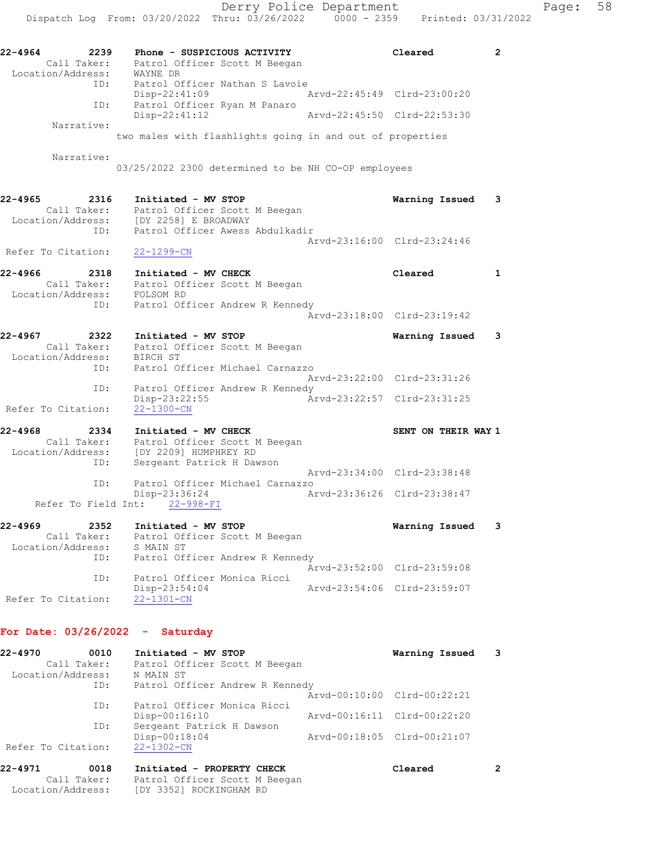22-4964 2239 Phone - SUSPICIOUS ACTIVITY Cleared 2 Call Taker: Patrol Officer Scott M Beegan Location/Address: WAYNE DR ID: Patrol Officer Nathan S Lavoie Disp-22:41:09 Arvd-22:45:49 Clrd-23:00:20 ID: Patrol Officer Ryan M Panaro<br>Disp-22:41:12 Arvd-22:45:50 Clrd-22:53:30 Disp-22:41:12 Narrative: two males with flashlights going in and out of properties Narrative: 03/25/2022 2300 determined to be NH CO-OP employees 22-4965 2316 Initiated - MV STOP Warning Issued 3 Call Taker: Patrol Officer Scott M Beegan Location/Address: [DY 2258] E BROADWAY ID: Patrol Officer Awess Abdulkadir Arvd-23:16:00 Clrd-23:24:46 Refer To Citation: 22-1299-CN 22-4966 2318 Initiated - MV CHECK 22-4966 Cleared 1 Call Taker: Patrol Officer Scott M Beegan Location/Address: FOLSOM RD ID: Patrol Officer Andrew R Kennedy Arvd-23:18:00 Clrd-23:19:42 22-4967 2322 Initiated - MV STOP Warning Issued 3 Call Taker: Patrol Officer Scott M Beegan Location/Address: BIRCH ST ID: Patrol Officer Michael Carnazzo Arvd-23:22:00 Clrd-23:31:26 ID: Patrol Officer Andrew R Kennedy Disp-23:22:55 Arvd-23:22:57 Clrd-23:31:25 Refer To Citation: 22-1300-CN 22-4968 2334 Initiated - MV CHECK NAME SENT ON THEIR WAY 1 Call Taker: Patrol Officer Scott M Beegan Location/Address: [DY 2209] HUMPHREY RD ID: Sergeant Patrick H Dawson Arvd-23:34:00 Clrd-23:38:48 ID: Patrol Officer Michael Carnazzo Disp-23:36:24 Arvd-23:36:26 Clrd-23:38:47 Refer To Field Int: 22-998-FI 22-4969 2352 Initiated - MV STOP Warning Issued 3 Call Taker: Patrol Officer Scott M Beegan Location/Address: S MAIN ST ID: Patrol Officer Andrew R Kennedy Arvd-23:52:00 Clrd-23:59:08 ID: Patrol Officer Monica Ricci Disp-23:54:04 Arvd-23:54:06 Clrd-23:59:07 Refer To Citation: 22-1301-CN For Date: 03/26/2022 - Saturday 22-4970 0010 Initiated - MV STOP Warning Issued 3 Call Taker: Patrol Officer Scott M Beegan Location/Address: N MAIN ST

 ID: Patrol Officer Andrew R Kennedy Arvd-00:10:00 Clrd-00:22:21 ID: Patrol Officer Monica Ricci Disp-00:16:10 Arvd-00:16:11 Clrd-00:22:20 ID: Sergeant Patrick H Dawson Disp-00:18:04 Arvd-00:18:05 Clrd-00:21:07 Refer To Citation: 22-1302-CN

| 22-4971                          | 0018 | Initiated - PROPERTY CHECK                               | Cleared |  |
|----------------------------------|------|----------------------------------------------------------|---------|--|
| Call Taker:<br>Location/Address: |      | Patrol Officer Scott M Beegan<br>[DY 3352] ROCKINGHAM RD |         |  |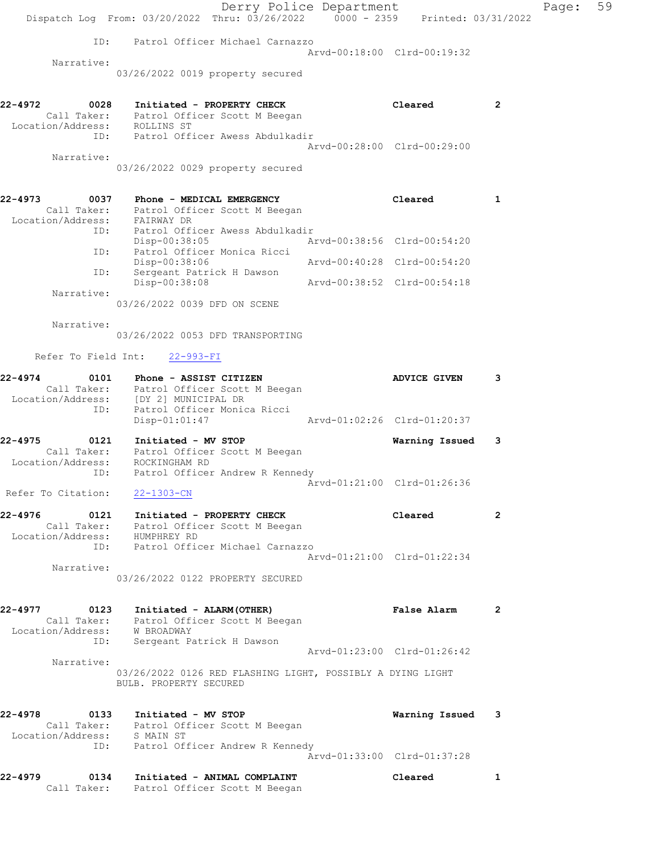|                                                    | Derry Police Department<br>Dispatch Log From: 03/20/2022 Thru: 03/26/2022 0000 - 2359 Printed: 03/31/2022                                        |                             |                             |                | Page: | 59 |
|----------------------------------------------------|--------------------------------------------------------------------------------------------------------------------------------------------------|-----------------------------|-----------------------------|----------------|-------|----|
|                                                    | ID: Patrol Officer Michael Carnazzo                                                                                                              |                             |                             |                |       |    |
|                                                    |                                                                                                                                                  |                             | Arvd-00:18:00 Clrd-00:19:32 |                |       |    |
| Narrative:                                         | 03/26/2022 0019 property secured                                                                                                                 |                             |                             |                |       |    |
| 22-4972<br>Location/Address: ROLLINS ST            | 0028 Initiated - PROPERTY CHECK<br>Call Taker: Patrol Officer Scott M Beegan                                                                     |                             | Cleared                     | $\overline{2}$ |       |    |
|                                                    | ID: Patrol Officer Awess Abdulkadir                                                                                                              | Arvd-00:28:00 Clrd-00:29:00 |                             |                |       |    |
| Narrative:                                         | 03/26/2022 0029 property secured                                                                                                                 |                             |                             |                |       |    |
| 22-4973<br>Location/Address: FAIRWAY DR            | 0037 Phone - MEDICAL EMERGENCY<br>Call Taker: Patrol Officer Scott M Beegan                                                                      |                             | Cleared                     | $\mathbf{1}$   |       |    |
|                                                    | ID: Patrol Officer Awess Abdulkadir<br>Disp-00:38:05                                                                                             | Arvd-00:38:56 Clrd-00:54:20 |                             |                |       |    |
| ID:                                                | ID: Patrol Officer Monica Ricci<br>Disp-00:38:06<br>Sergeant Patrick H Dawson                                                                    | Arvd-00:40:28 Clrd-00:54:20 |                             |                |       |    |
| Narrative:                                         | Disp-00:38:08                                                                                                                                    | Arvd-00:38:52 Clrd-00:54:18 |                             |                |       |    |
|                                                    | 03/26/2022 0039 DFD ON SCENE                                                                                                                     |                             |                             |                |       |    |
| Narrative:                                         | 03/26/2022 0053 DFD TRANSPORTING                                                                                                                 |                             |                             |                |       |    |
|                                                    | Refer To Field Int: 22-993-FI                                                                                                                    |                             |                             |                |       |    |
| 22-4974<br>ID:                                     | 0101 Phone - ASSIST CITIZEN<br>Call Taker: Patrol Officer Scott M Beegan<br>Location/Address: [DY 2] MUNICIPAL DR<br>Patrol Officer Monica Ricci |                             | <b>ADVICE GIVEN</b>         | 3              |       |    |
|                                                    | $Disp-01:01:47$                                                                                                                                  |                             | Arvd-01:02:26 Clrd-01:20:37 |                |       |    |
| 22-4975<br>0121<br>Location/Address: ROCKINGHAM RD | Initiated - MV STOP<br>Call Taker: Patrol Officer Scott M Beegan<br>ID: Patrol Officer Andrew R Kennedy                                          |                             | Warning Issued              | 3              |       |    |
| Refer To Citation: 22-1303-CN                      |                                                                                                                                                  |                             | Arvd-01:21:00 Clrd-01:26:36 |                |       |    |
| 22-4976<br>Location/Address: HUMPHREY RD           | 0121 Initiated - PROPERTY CHECK<br>Call Taker: Patrol Officer Scott M Beegan                                                                     |                             | Cleared                     | $\overline{2}$ |       |    |
| Narrative:                                         | ID: Patrol Officer Michael Carnazzo                                                                                                              |                             | Arvd-01:21:00 Clrd-01:22:34 |                |       |    |
|                                                    | 03/26/2022 0122 PROPERTY SECURED                                                                                                                 |                             |                             |                |       |    |
| Location/Address: W BROADWAY                       | 22-4977 0123 Initiated - ALARM (OTHER)<br>Call Taker: Patrol Officer Scott M Beegan<br>ID: Sergeant Patrick H Dawson                             |                             | False Alarm 2               |                |       |    |
| Narrative:                                         |                                                                                                                                                  |                             | Arvd-01:23:00 Clrd-01:26:42 |                |       |    |
|                                                    | 03/26/2022 0126 RED FLASHING LIGHT, POSSIBLY A DYING LIGHT<br>BULB. PROPERTY SECURED                                                             |                             |                             |                |       |    |
| 22-4978<br>Location/Address: S MAIN ST             | 0133 Initiated - MV STOP<br>Call Taker: Patrol Officer Scott M Beegan                                                                            |                             | Warning Issued              | 3              |       |    |
| ID:                                                | Patrol Officer Andrew R Kennedy                                                                                                                  |                             | Arvd-01:33:00 Clrd-01:37:28 |                |       |    |
| 22-4979<br>0134                                    | Initiated - ANIMAL COMPLAINT<br>Call Taker: Patrol Officer Scott M Beegan                                                                        |                             | Cleared                     | 1              |       |    |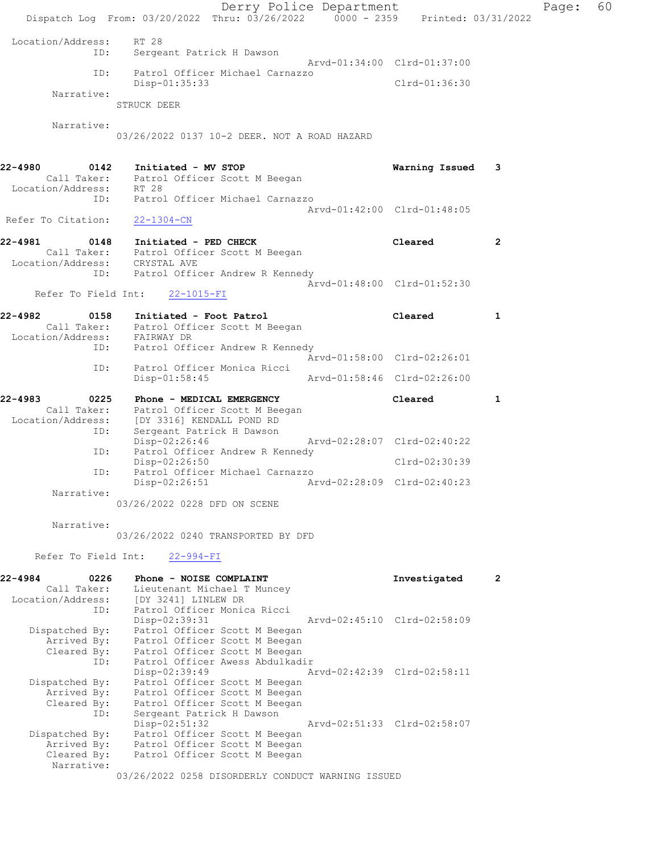Derry Police Department Fage: 60 Dispatch Log From: 03/20/2022 Thru: 03/26/2022 0000 - 2359 Printed: 03/31/2022 Location/Address: RT 28 ID: Sergeant Patrick H Dawson Arvd-01:34:00 Clrd-01:37:00 ID: Patrol Officer Michael Carnazzo Disp-01:35:33 Clrd-01:36:30 Narrative: STRUCK DEER Narrative: 03/26/2022 0137 10-2 DEER. NOT A ROAD HAZARD 22-4980 0142 Initiated - MV STOP Warning Issued 3 Call Taker: Patrol Officer Scott M Beegan Location/Address: RT 28 ID: Patrol Officer Michael Carnazzo Arvd-01:42:00 Clrd-01:48:05 Refer To Citation: 22-1304-CN 22-4981 0148 Initiated - PED CHECK Cleared 2 Call Taker: Patrol Officer Scott M Beegan Location/Address: CRYSTAL AVE ID: Patrol Officer Andrew R Kennedy Arvd-01:48:00 Clrd-01:52:30 Refer To Field Int: 22-1015-FI 22-4982 0158 Initiated - Foot Patrol Cleared 1 Call Taker: Patrol Officer Scott M Beegan Location/Address: FAIRWAY DR ID: Patrol Officer Andrew R Kennedy Arvd-01:58:00 Clrd-02:26:01 ID: Patrol Officer Monica Ricci Disp-01:58:45 Arvd-01:58:46 Clrd-02:26:00 22-4983 0225 Phone - MEDICAL EMERGENCY Cleared 1 Call Taker: Patrol Officer Scott M Beegan Location/Address: [DY 3316] KENDALL POND RD ID: Sergeant Patrick H Dawson Disp-02:26:46 Arvd-02:28:07 Clrd-02:40:22 ID: Patrol Officer Andrew R Kennedy Disp-02:26:50 Clrd-02:30:39<br>ID: Patrol Officer Michael Carnazzo Patrol Officer Michael Carnazzo Disp-02:26:51 Arvd-02:28:09 Clrd-02:40:23 Narrative: 03/26/2022 0228 DFD ON SCENE Narrative: 03/26/2022 0240 TRANSPORTED BY DFD Refer To Field Int: 22-994-FI 22-4984 0226 Phone - NOISE COMPLAINT **122-4984** Investigated 2 Call Taker: Lieutenant Michael T Muncey Location/Address: [DY 3241] LINLEW DR ID: Patrol Officer Monica Ricci Disp-02:39:31 Arvd-02:45:10 Clrd-02:58:09 Dispatched By: Patrol Officer Scott M Beegan Arrived By: Patrol Officer Scott M Beegan Cleared By: Patrol Officer Scott M Beegan ID: Patrol Officer Awess Abdulkadir Disp-02:39:49 Arvd-02:42:39 Clrd-02:58:11 Dispatched By: Patrol Officer Scott M Beegan Arrived By: Patrol Officer Scott M Beegan Cleared By: Patrol Officer Scott M Beegan ID: Sergeant Patrick H Dawson Disp-02:51:32 Arvd-02:51:33 Clrd-02:58:07 Dispatched By: Patrol Officer Scott M Beegan Arrived By: Patrol Officer Scott M Beegan Cleared By: Patrol Officer Scott M Beegan Narrative: 03/26/2022 0258 DISORDERLY CONDUCT WARNING ISSUED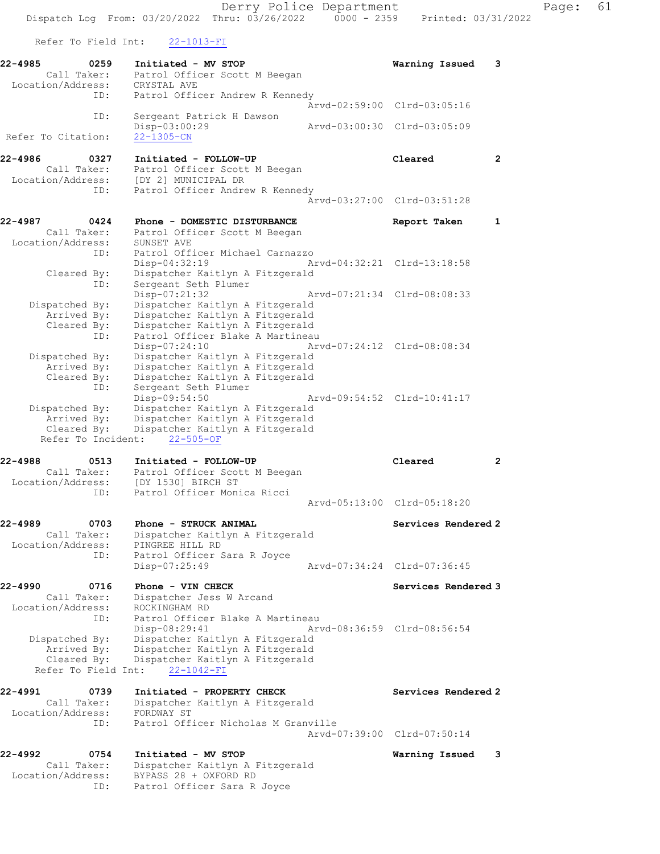Dispatch Log From: 03/20/2022 Thru: 03/26/2022 0000 - 2359 Printed: 03/31/2022 Refer To Field Int: 22-1013-FI 22-4985 0259 Initiated - MV STOP Warning Issued 3 Call Taker: Patrol Officer Scott M Beegan Location/Address: CRYSTAL AVE ID: Patrol Officer Andrew R Kennedy Arvd-02:59:00 Clrd-03:05:16 ID: Sergeant Patrick H Dawson Disp-03:00:29 Arvd-03:00:30 Clrd-03:05:09 Refer To Citation: 22-1305-CN 22-4986 0327 Initiated - FOLLOW-UP Cleared 2 Call Taker: Patrol Officer Scott M Beegan Location/Address: [DY 2] MUNICIPAL DR ID: Patrol Officer Andrew R Kennedy Arvd-03:27:00 Clrd-03:51:28 22-4987 0424 Phone - DOMESTIC DISTURBANCE Report Taken 1 Call Taker: Patrol Officer Scott M Beegan Location/Address: SUNSET AVE ID: Patrol Officer Michael Carnazzo Disp-04:32:19 Arvd-04:32:21 Clrd-13:18:58 Cleared By: Dispatcher Kaitlyn A Fitzgerald ID: Sergeant Seth Plumer Disp-07:21:32 Arvd-07:21:34 Clrd-08:08:33 Dispatched By: Dispatcher Kaitlyn A Fitzgerald Arrived By: Dispatcher Kaitlyn A Fitzgerald Cleared By: Dispatcher Kaitlyn A Fitzgerald ID: Patrol Officer Blake A Martineau Disp-07:24:10 Arvd-07:24:12 Clrd-08:08:34 Dispatched By: Dispatcher Kaitlyn A Fitzgerald Arrived By: Dispatcher Kaitlyn A Fitzgerald Cleared By: Dispatcher Kaitlyn A Fitzgerald ID: Sergeant Seth Plumer Disp-09:54:50 Arvd-09:54:52 Clrd-10:41:17 Dispatched By: Dispatcher Kaitlyn A Fitzgerald Arrived By: Dispatcher Kaitlyn A Fitzgerald Cleared By: Dispatcher Kaitlyn A Fitzgerald Refer To Incident: 22-505-OF 22-4988 0513 Initiated - FOLLOW-UP Cleared 2 Call Taker: Patrol Officer Scott M Beegan Location/Address: [DY 1530] BIRCH ST ID: Patrol Officer Monica Ricci Arvd-05:13:00 Clrd-05:18:20 22-4989 0703 Phone - STRUCK ANIMAL Services Rendered 2 Call Taker: Dispatcher Kaitlyn A Fitzgerald Location/Address: PINGREE HILL RD ID: Patrol Officer Sara R Joyce Disp-07:25:49 Arvd-07:34:24 Clrd-07:36:45 22-4990 0716 Phone - VIN CHECK Services Rendered 3 Call Taker: Dispatcher Jess W Arcand Location/Address: ROCKINGHAM RD ID: Patrol Officer Blake A Martineau Disp-08:29:41 Arvd-08:36:59 Clrd-08:56:54 Dispatched By: Dispatcher Kaitlyn A Fitzgerald Arrived By: Dispatcher Kaitlyn A Fitzgerald Cleared By: Dispatcher Kaitlyn A Fitzgerald Refer To Field Int: 22-1042-FI 22-4991 0739 Initiated - PROPERTY CHECK Services Rendered 2 Call Taker: Dispatcher Kaitlyn A Fitzgerald Location/Address: FORDWAY ST ID: Patrol Officer Nicholas M Granville Arvd-07:39:00 Clrd-07:50:14 22-4992 0754 Initiated - MV STOP Warning Issued 3 Call Taker: Dispatcher Kaitlyn A Fitzgerald Location/Address: BYPASS 28 + OXFORD RD

ID: Patrol Officer Sara R Joyce

Derry Police Department Fage: 61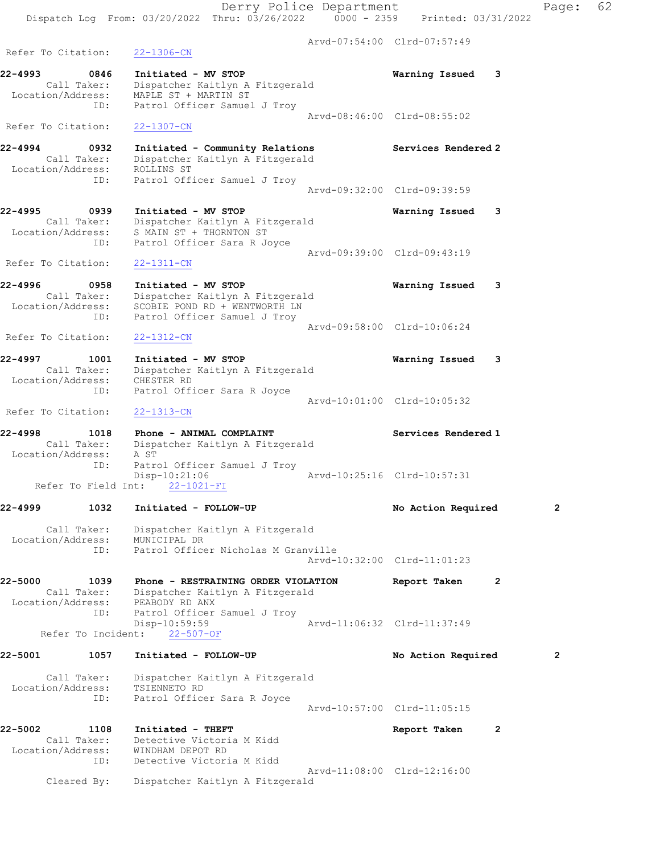Arvd-08:46:00 Clrd-08:55:02

Location/Address: MAPLE ST + MARTIN ST

Refer To Citation: 22-1307-CN

Location/Address: ROLLINS ST

ID: Patrol Officer Samuel J Troy

Call Taker: Dispatcher Kaitlyn A Fitzgerald

 ID: Patrol Officer Samuel J Troy Arvd-09:32:00 Clrd-09:39:59 22-4995 0939 Initiated - MV STOP Warning Issued 3 Call Taker: Dispatcher Kaitlyn A Fitzgerald Location/Address: S MAIN ST + THORNTON ST ID: Patrol Officer Sara R Joyce Arvd-09:39:00 Clrd-09:43:19 Refer To Citation: 22-1311-CN 22-4996 0958 Initiated - MV STOP Warning Issued 3 Call Taker: Dispatcher Kaitlyn A Fitzgerald Location/Address: SCOBIE POND RD + WENTWORTH LN ID: Patrol Officer Samuel J Troy Arvd-09:58:00 Clrd-10:06:24 Refer To Citation: 22-1312-CN 22-4997 1001 Initiated - MV STOP Warning Issued 3 Call Taker: Dispatcher Kaitlyn A Fitzgerald Location/Address: CHESTER RD ID: Patrol Officer Sara R Joyce Arvd-10:01:00 Clrd-10:05:32 Refer To Citation: 22-1313-CN 22-4998 1018 Phone - ANIMAL COMPLAINT Services Rendered 1 Call Taker: Dispatcher Kaitlyn A Fitzgerald Location/Address: A ST ID: Patrol Officer Samuel J Troy Disp-10:21:06 Arvd-10:25:16 Clrd-10:57:31 Refer To Field Int: 22-1021-FI 22-4999 1032 Initiated - FOLLOW-UP No Action Required 2 Call Taker: Dispatcher Kaitlyn A Fitzgerald Location/Address: MUNICIPAL DR ID: Patrol Officer Nicholas M Granville Arvd-10:32:00 Clrd-11:01:23

22-4994 0932 Initiated - Community Relations Services Rendered 2

22-5000 1039 Phone - RESTRAINING ORDER VIOLATION Report Taken 2 Call Taker: Dispatcher Kaitlyn A Fitzgerald Location/Address: PEABODY RD ANX ID: Patrol Officer Samuel J Troy Disp-10:59:59 Arvd-11:06:32 Clrd-11:37:49 Refer To Incident: 22-507-OF

## 22-5001 1057 Initiated - FOLLOW-UP No Action Required 2 Call Taker: Dispatcher Kaitlyn A Fitzgerald Location/Address: TSIENNETO RD ID: Patrol Officer Sara R Joyce Arvd-10:57:00 Clrd-11:05:15 22-5002 1108 Initiated - THEFT Report Taken 2

 Call Taker: Detective Victoria M Kidd Location/Address: WINDHAM DEPOT RD ID: Detective Victoria M Kidd Arvd-11:08:00 Clrd-12:16:00 Cleared By: Dispatcher Kaitlyn A Fitzgerald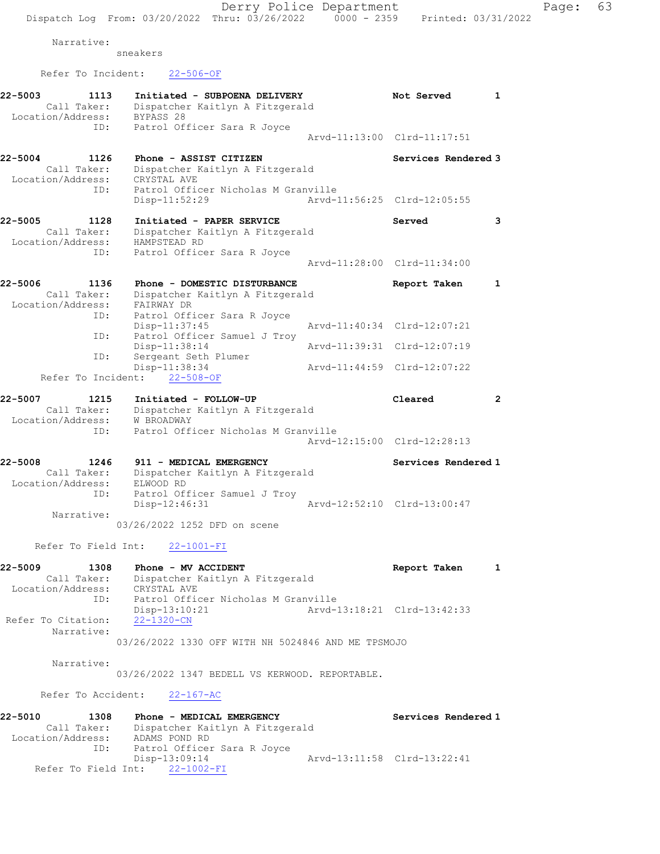Narrative: sneakers

Refer To Incident: 22-506-OF

| 22-5003<br>1113<br>Initiated - SUBPOENA DELIVERY<br>Call Taker:<br>Dispatcher Kaitlyn A Fitzgerald<br>BYPASS 28<br>Location/Address: |                                                    |  | Not Served                  | 1              |
|--------------------------------------------------------------------------------------------------------------------------------------|----------------------------------------------------|--|-----------------------------|----------------|
| ID:                                                                                                                                  | Patrol Officer Sara R Joyce                        |  |                             |                |
|                                                                                                                                      |                                                    |  | Arvd-11:13:00 Clrd-11:17:51 |                |
| 22-5004<br>1126                                                                                                                      | Phone - ASSIST CITIZEN                             |  | Services Rendered 3         |                |
| Call Taker:                                                                                                                          | Dispatcher Kaitlyn A Fitzgerald                    |  |                             |                |
| Location/Address:<br>ID:                                                                                                             | CRYSTAL AVE<br>Patrol Officer Nicholas M Granville |  |                             |                |
|                                                                                                                                      | Disp-11:52:29                                      |  | Arvd-11:56:25 Clrd-12:05:55 |                |
| $22 - 5005$<br>1128                                                                                                                  | Initiated - PAPER SERVICE                          |  | Served                      | 3              |
| Call Taker:                                                                                                                          | Dispatcher Kaitlyn A Fitzgerald                    |  |                             |                |
| Location/Address:<br>ID:                                                                                                             | HAMPSTEAD RD<br>Patrol Officer Sara R Joyce        |  |                             |                |
|                                                                                                                                      |                                                    |  | Arvd-11:28:00 Clrd-11:34:00 |                |
| 22-5006<br>1136                                                                                                                      | Phone - DOMESTIC DISTURBANCE                       |  | Report Taken                | 1              |
| Call Taker:                                                                                                                          | Dispatcher Kaitlyn A Fitzgerald                    |  |                             |                |
| Location/Address:<br>ID:                                                                                                             | FAIRWAY DR<br>Patrol Officer Sara R Joyce          |  |                             |                |
|                                                                                                                                      | $Disp-11:37:45$                                    |  | Arvd-11:40:34 Clrd-12:07:21 |                |
| ID:                                                                                                                                  | Patrol Officer Samuel J Troy                       |  |                             |                |
| ID:                                                                                                                                  | Disp-11:38:14<br>Sergeant Seth Plumer              |  | Arvd-11:39:31 Clrd-12:07:19 |                |
|                                                                                                                                      | Disp-11:38:34<br>Refer To Incident: 22-508-OF      |  | Arvd-11:44:59 Clrd-12:07:22 |                |
|                                                                                                                                      |                                                    |  |                             |                |
| $22 - 5007$<br>1215                                                                                                                  | Initiated - FOLLOW-UP                              |  | Cleared                     | $\overline{2}$ |
| Call Taker:<br>Location/Address:                                                                                                     | Dispatcher Kaitlyn A Fitzgerald<br>W BROADWAY      |  |                             |                |
| ID:                                                                                                                                  | Patrol Officer Nicholas M Granville                |  | Arvd-12:15:00 Clrd-12:28:13 |                |
| $22 - 5008$<br>1246                                                                                                                  | 911 - MEDICAL EMERGENCY                            |  | Services Rendered 1         |                |
| Call Taker:                                                                                                                          | Dispatcher Kaitlyn A Fitzgerald                    |  |                             |                |
| Location/Address:                                                                                                                    | ELWOOD RD                                          |  |                             |                |
| ID:                                                                                                                                  | Patrol Officer Samuel J Troy<br>Disp-12:46:31      |  | Arvd-12:52:10 Clrd-13:00:47 |                |
| Narrative:                                                                                                                           |                                                    |  |                             |                |
|                                                                                                                                      | 03/26/2022 1252 DFD on scene                       |  |                             |                |
| Refer To Field Int:                                                                                                                  | $22 - 1001 - FI$                                   |  |                             |                |
| 22-5009                                                                                                                              | 1308 Phone - MV ACCIDENT                           |  | Report Taken                |                |
| Call Taker:<br>Location/Address:                                                                                                     | Dispatcher Kaitlyn A Fitzgerald<br>CRYSTAL AVE     |  |                             |                |
| ID:                                                                                                                                  | Patrol Officer Nicholas M Granville                |  |                             |                |
|                                                                                                                                      | Disp-13:10:21                                      |  | Arvd-13:18:21 Clrd-13:42:33 |                |
| Refer To Citation:                                                                                                                   | 22-1320-CN                                         |  |                             |                |
| Narrative:                                                                                                                           | 03/26/2022 1330 OFF WITH NH 5024846 AND ME TPSMOJO |  |                             |                |
|                                                                                                                                      |                                                    |  |                             |                |
| Narrative:                                                                                                                           |                                                    |  |                             |                |
|                                                                                                                                      | 03/26/2022 1347 BEDELL VS KERWOOD. REPORTABLE.     |  |                             |                |
|                                                                                                                                      | Refer To Accident: 22-167-AC                       |  |                             |                |
| $22 - 5010$<br>1308                                                                                                                  | Phone - MEDICAL EMERGENCY                          |  | Services Rendered 1         |                |
|                                                                                                                                      | Call Taker: Dispatcher Kaitlyn A Fitzgerald        |  |                             |                |
| Location/Address: ADAMS POND RD<br>ID: Patrol Office:<br>ID:                                                                         | Patrol Officer Sara R Joyce                        |  |                             |                |
|                                                                                                                                      | Disp-13:09:14                                      |  | Arvd-13:11:58 Clrd-13:22:41 |                |
|                                                                                                                                      | Refer To Field Int: 22-1002-FI                     |  |                             |                |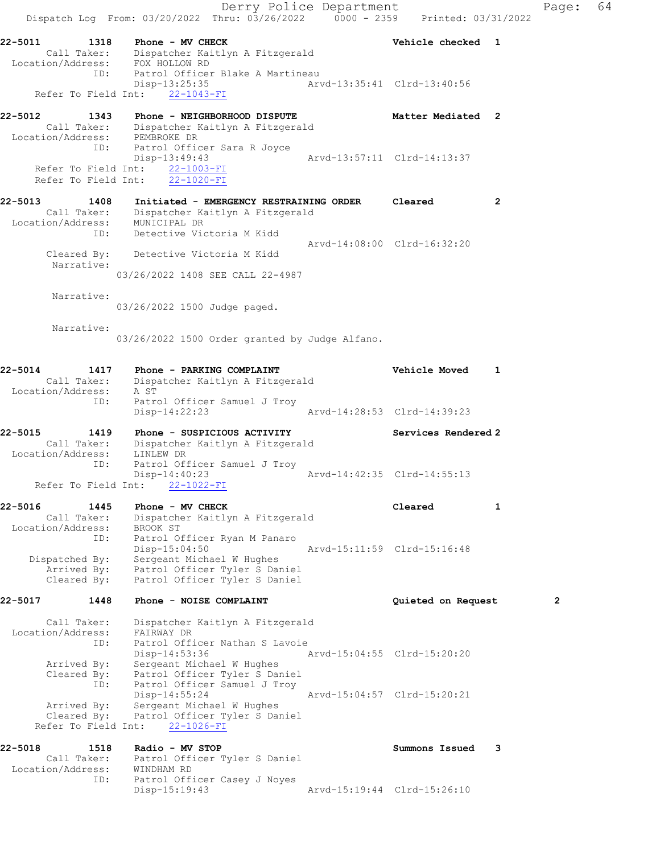Derry Police Department Controller Page: 64 Dispatch Log From: 03/20/2022 Thru: 03/26/2022 0000 - 2359 Printed: 03/31/2022 22-5011 1318 Phone - MV CHECK 1 22-5011 Vehicle checked 1 Call Taker: Dispatcher Kaitlyn A Fitzgerald Location/Address: FOX HOLLOW RD ID: Patrol Officer Blake A Martineau Disp-13:25:35 Arvd-13:35:41 Clrd-13:40:56 Disp-13:25:35<br>Refer To Field Int:  $\frac{22-1043-FI}{22-1043-FI}$ 22-5012 1343 Phone - NEIGHBORHOOD DISPUTE Natter Mediated 2 Call Taker: Dispatcher Kaitlyn A Fitzgerald Location/Address: PEMBROKE DR ID: Patrol Officer Sara R Joyce Disp-13:49:43 Arvd-13:57:11 Clrd-14:13:37 Refer To Field Int: 22-1003-FI Refer To Field Int: 22-1020-FI 22-5013 1408 Initiated - EMERGENCY RESTRAINING ORDER Cleared 2 Call Taker: Dispatcher Kaitlyn A Fitzgerald Location/Address: MUNICIPAL DR ID: Detective Victoria M Kidd Arvd-14:08:00 Clrd-16:32:20 Cleared By: Detective Victoria M Kidd Narrative: 03/26/2022 1408 SEE CALL 22-4987 Narrative: 03/26/2022 1500 Judge paged. Narrative: 03/26/2022 1500 Order granted by Judge Alfano. 22-5014 1417 Phone - PARKING COMPLAINT Vehicle Moved 1 Call Taker: Dispatcher Kaitlyn A Fitzgerald Location/Address: A ST ID: Patrol Officer Samuel J Troy Disp-14:22:23 Arvd-14:28:53 Clrd-14:39:23 22-5015 1419 Phone - SUSPICIOUS ACTIVITY Services Rendered 2 Call Taker: Dispatcher Kaitlyn A Fitzgerald Location/Address: LINLEW DR ID: Patrol Officer Samuel J Troy Disp-14:40:23 Arvd-14:42:35 Clrd-14:55:13 Refer To Field Int: 22-1022-FI 22-5016 1445 Phone - MV CHECK 1 22-5016 1 Call Taker: Dispatcher Kaitlyn A Fitzgerald Location/Address: BROOK ST ID: Patrol Officer Ryan M Panaro Disp-15:04:50 Arvd-15:11:59 Clrd-15:16:48 Dispatched By: Sergeant Michael W Hughes Arrived By: Patrol Officer Tyler S Daniel Cleared By: Patrol Officer Tyler S Daniel 22-5017 1448 Phone - NOISE COMPLAINT **12-5017** Quieted on Request Call Taker: Dispatcher Kaitlyn A Fitzgerald Location/Address: FAIRWAY DR ID: Patrol Officer Nathan S Lavoie Disp-14:53:36 Arvd-15:04:55 Clrd-15:20:20 Arrived By: Sergeant Michael W Hughes Cleared By: Patrol Officer Tyler S Daniel ID: Patrol Officer Samuel J Troy Disp-14:55:24 Arvd-15:04:57 Clrd-15:20:21 Arrived By: Sergeant Michael W Hughes Cleared By: Patrol Officer Tyler S Daniel Refer To Field Int: 22-1026-FI 22-5018 1518 Radio - MV STOP Summons Issued 3 Call Taker: Patrol Officer Tyler S Daniel Location/Address: WINDHAM RD ID: Patrol Officer Casey J Noyes Disp-15:19:43 Arvd-15:19:44 Clrd-15:26:10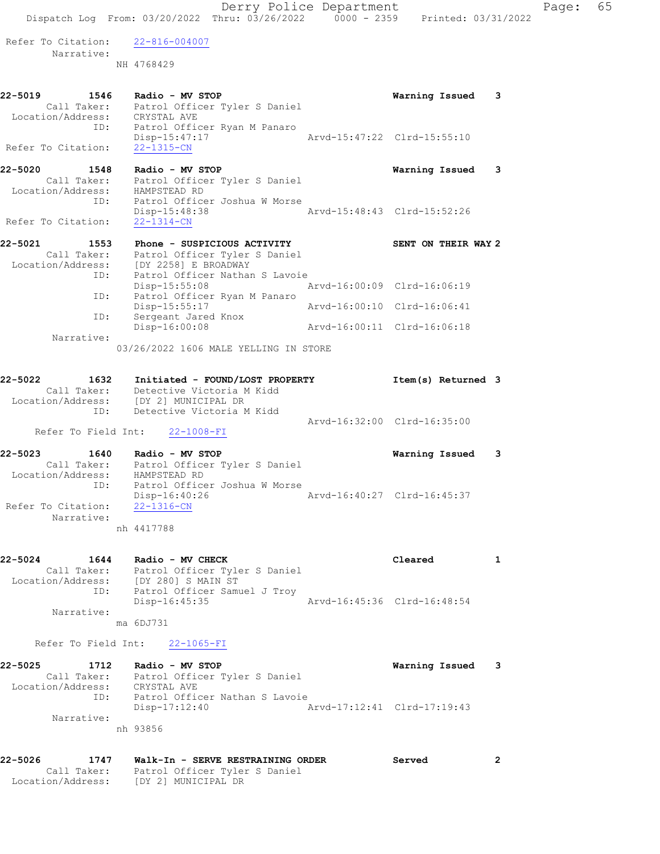Refer To Citation: 22-816-004007 Narrative: NH 4768429 22-5019 1546 Radio - MV STOP Warning Issued 3

 Call Taker: Patrol Officer Tyler S Daniel Location/Address: CRYSTAL AVE ID: Patrol Officer Ryan M Panaro Disp-15:47:17 Arvd-15:47:22 Clrd-15:55:10 Refer To Citation: 22-1315-CN 22-5020 1548 Radio - MV STOP Warning Issued 3 Call Taker: Patrol Officer Tyler S Daniel Location/Address: HAMPSTEAD RD ID: Patrol Officer Joshua W Morse Disp-15:48:38 Arvd-15:48:43 Clrd-15:52:26 Refer To Citation: 22-1314-CN 22-5021 1553 Phone - SUSPICIOUS ACTIVITY SENT ON THEIR WAY 2 Call Taker: Patrol Officer Tyler S Daniel Location/Address: [DY 2258] E BROADWAY ID: Patrol Officer Nathan S Lavoie Disp-15:55:08 Arvd-16:00:09 Clrd-16:06:19 ID: Patrol Officer Ryan M Panaro Disp-15:55:17 Arvd-16:00:10 Clrd-16:06:41 ID: Sergeant Jared Knox Disp-16:00:08 Arvd-16:00:11 Clrd-16:06:18 Narrative: 03/26/2022 1606 MALE YELLING IN STORE 22-5022 1632 Initiated - FOUND/LOST PROPERTY 11 Item(s) Returned 3 Call Taker: Detective Victoria M Kidd Location/Address: [DY 2] MUNICIPAL DR ID: Detective Victoria M Kidd Arvd-16:32:00 Clrd-16:35:00 Refer To Field Int: 22-1008-FI 22-5023 1640 Radio - MV STOP Warning Issued 3 Call Taker: Patrol Officer Tyler S Daniel Location/Address: HAMPSTEAD RD ID: Patrol Officer Joshua W Morse Disp-16:40:26 Arvd-16:40:27 Clrd-16:45:37 Refer To Citation: 22-1316-CN Narrative: nh 4417788 22-5024 1644 Radio - MV CHECK 1 22-5024 1644 1 Call Taker: Patrol Officer Tyler S Daniel Location/Address: [DY 280] S MAIN ST ID: Patrol Officer Samuel J Troy Disp-16:45:35 Arvd-16:45:36 Clrd-16:48:54 Narrative: ma 6DJ731 Refer To Field Int: 22-1065-FI 22-5025 1712 Radio - MV STOP Warning Issued 3 Call Taker: Patrol Officer Tyler S Daniel Location/Address: CRYSTAL AVE

 ID: Patrol Officer Nathan S Lavoie Disp-17:12:40 Arvd-17:12:41 Clrd-17:19:43 Narrative: nh 93856

22-5026 1747 Walk-In - SERVE RESTRAINING ORDER Served 2 Call Taker: Patrol Officer Tyler S Daniel Location/Address: [DY 2] MUNICIPAL DR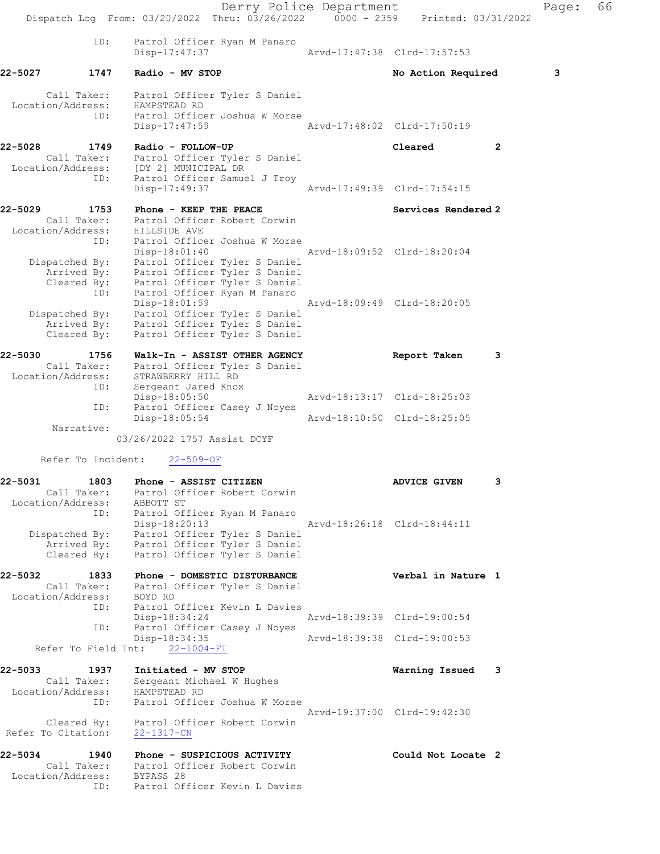Derry Police Department The Rage: 66 Dispatch Log From: 03/20/2022 Thru: 03/26/2022 0000 - 2359 Printed: 03/31/2022 ID: Patrol Officer Ryan M Panaro Arvd-17:47:38 Clrd-17:57:53 22-5027 1747 Radio - MV STOP No Store Required 3 Call Taker: Patrol Officer Tyler S Daniel Location/Address: HAMPSTEAD RD ID: Patrol Officer Joshua W Morse Disp-17:47:59 Arvd-17:48:02 Clrd-17:50:19 22-5028 1749 Radio - FOLLOW-UP Cleared 2 Call Taker: Patrol Officer Tyler S Daniel Location/Address: [DY 2] MUNICIPAL DR ID: Patrol Officer Samuel J Troy Disp-17:49:37 Arvd-17:49:39 Clrd-17:54:15 22-5029 1753 Phone - KEEP THE PEACE Services Rendered 2 Call Taker: Patrol Officer Robert Corwin Location/Address: HILLSIDE AVE ID: Patrol Officer Joshua W Morse Disp-18:01:40 Arvd-18:09:52 Clrd-18:20:04 Dispatched By: Patrol Officer Tyler S Daniel Arrived By: Patrol Officer Tyler S Daniel Cleared By: Patrol Officer Tyler S Daniel ID: Patrol Officer Ryan M Panaro Disp-18:01:59 Arvd-18:09:49 Clrd-18:20:05 Dispatched By: Patrol Officer Tyler S Daniel Arrived By: Patrol Officer Tyler S Daniel Cleared By: Patrol Officer Tyler S Daniel 22-5030 1756 Walk-In - ASSIST OTHER AGENCY Report Taken 3 Call Taker: Patrol Officer Tyler S Daniel Location/Address: STRAWBERRY HILL RD ID: Sergeant Jared Knox Disp-18:05:50 Arvd-18:13:17 Clrd-18:25:03 ID: Patrol Officer Casey J Noyes Disp-18:05:54 Arvd-18:10:50 Clrd-18:25:05 Narrative: 03/26/2022 1757 Assist DCYF Refer To Incident: 22-509-OF 22-5031 1803 Phone - ASSIST CITIZEN 1999 ADVICE GIVEN 3 Call Taker: Patrol Officer Robert Corwin Location/Address: ABBOTT ST ID: Patrol Officer Ryan M Panaro Disp-18:20:13 Arvd-18:26:18 Clrd-18:44:11 Dispatched By: Patrol Officer Tyler S Daniel Arrived By: Patrol Officer Tyler S Daniel Cleared By: Patrol Officer Tyler S Daniel 22-5032 1833 Phone - DOMESTIC DISTURBANCE Verbal in Nature 1 Call Taker: Patrol Officer Tyler S Daniel Location/Address: BOYD RD ID: Patrol Officer Kevin L Davies Disp-18:34:24 Arvd-18:39:39 Clrd-19:00:54 ID: Patrol Officer Casey J Noyes<br>Disp-18:34:35 Disp-18:34:35 Arvd-18:39:38 Clrd-19:00:53 Refer To Field Int: 22-1004-FI 22-5033 1937 Initiated - MV STOP Warning Issued 3 Call Taker: Sergeant Michael W Hughes Location/Address: HAMPSTEAD RD ID: Patrol Officer Joshua W Morse Arvd-19:37:00 Clrd-19:42:30 Cleared By: Patrol Officer Robert Corwin Refer To Citation: 22-1317-CN 22-5034 1940 Phone - SUSPICIOUS ACTIVITY Could Not Locate 2 Call Taker: Patrol Officer Robert Corwin Location/Address: BYPASS 28 ID: Patrol Officer Kevin L Davies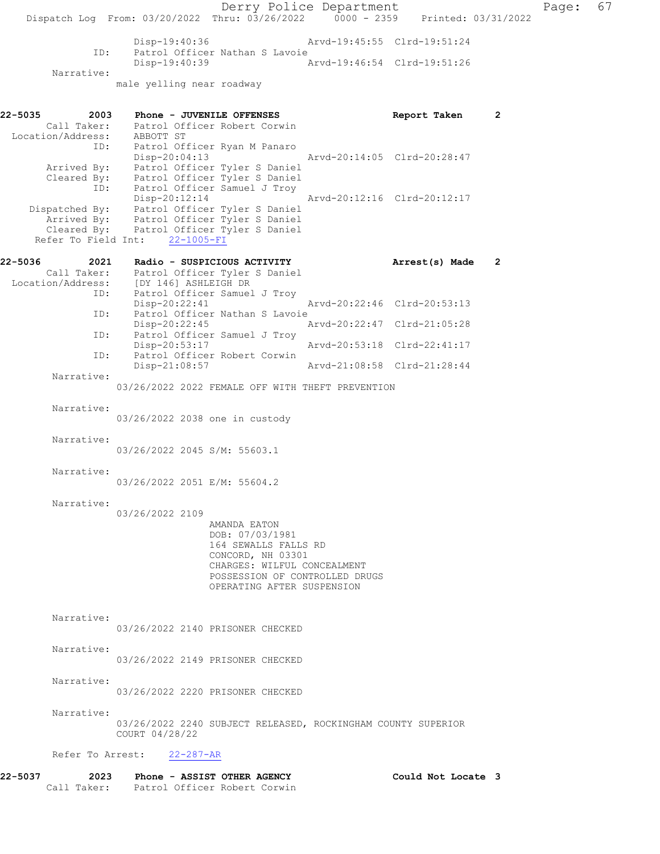Derry Police Department Page: 67 Dispatch Log From: 03/20/2022 Thru: 03/26/2022 0000 - 2359 Printed: 03/31/2022 Disp-19:40:36 Arvd-19:45:55 Clrd-19:51:24<br>ID: Patrol Officer Nathan S Lavoie ID: Patrol Officer Nathan S Lavoie Disp-19:40:39 Arvd-19:46:54 Clrd-19:51:26 Narrative: male yelling near roadway 22-5035 2003 Phone - JUVENILE OFFENSES Report Taken 2 Call Taker: Patrol Officer Robert Corwin Location/Address: ABBOTT ST ID: Patrol Officer Ryan M Panaro Disp-20:04:13 Arvd-20:14:05 Clrd-20:28:47 Arrived By: Patrol Officer Tyler S Daniel Cleared By: Patrol Officer Tyler S Daniel ID: Patrol Officer Samuel J Troy Disp-20:12:14 Arvd-20:12:16 Clrd-20:12:17 Dispatched By: Patrol Officer Tyler S Daniel Arrived By: Patrol Officer Tyler S Daniel Cleared By: Patrol Officer Tyler S Daniel Refer To Field Int: 22-1005-FI 22-5036 2021 Radio - SUSPICIOUS ACTIVITY Arrest(s) Made 2 Call Taker: Patrol Officer Tyler S Daniel Location/Address: [DY 146] ASHLEIGH DR ID: Patrol Officer Samuel J Troy<br>Disp-20:22:41 Disp-20:22:41 Arvd-20:22:46 Clrd-20:53:13 ID: Patrol Officer Nathan S Lavoie<br>Disp-20:22:45 Disp-20:22:45 Arvd-20:22:47 Clrd-21:05:28 ID: Patrol Officer Samuel J Troy<br>Disp-20:53:17 Disp-20:53:17 Arvd-20:53:18 Clrd-22:41:17 ID: Patrol Officer Robert Corwin<br>Disp-21:08:57 Arvd-21:08:58 Clrd-21:28:44 Narrative: 03/26/2022 2022 FEMALE OFF WITH THEFT PREVENTION Narrative: 03/26/2022 2038 one in custody Narrative: 03/26/2022 2045 S/M: 55603.1 Narrative: 03/26/2022 2051 E/M: 55604.2 Narrative: 03/26/2022 2109 AMANDA EATON DOB: 07/03/1981 164 SEWALLS FALLS RD CONCORD, NH 03301 CHARGES: WILFUL CONCEALMENT POSSESSION OF CONTROLLED DRUGS OPERATING AFTER SUSPENSION Narrative: 03/26/2022 2140 PRISONER CHECKED Narrative: 03/26/2022 2149 PRISONER CHECKED Narrative: 03/26/2022 2220 PRISONER CHECKED Narrative: 03/26/2022 2240 SUBJECT RELEASED, ROCKINGHAM COUNTY SUPERIOR COURT 04/28/22 Refer To Arrest: 22-287-AR 22-5037 2023 Phone - ASSIST OTHER AGENCY Could Not Locate 3

Call Taker: Patrol Officer Robert Corwin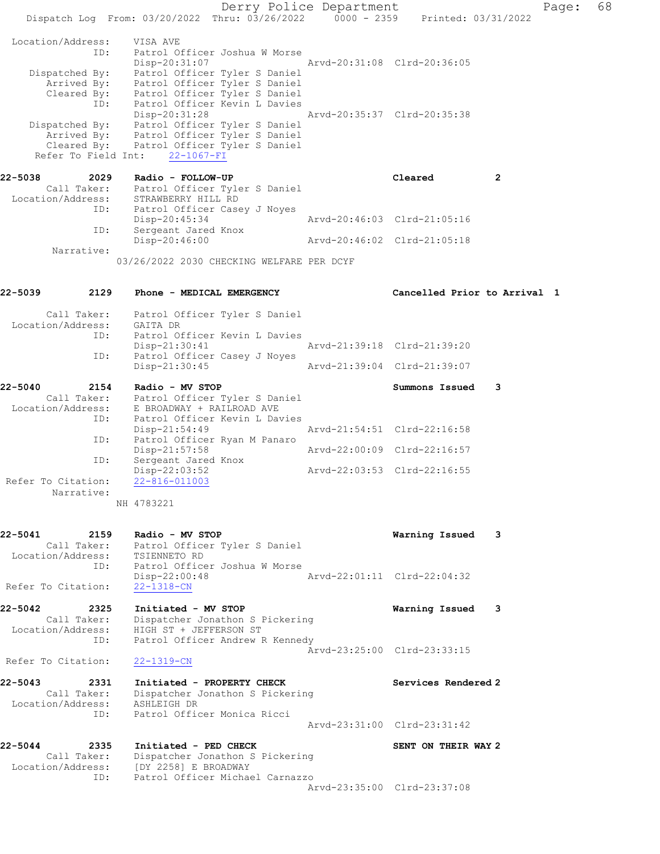Derry Police Department Fage: 68 Dispatch Log From:  $03/20/2022$  Thru:  $03/26/2022$  0000 - 2359 Printed: 03/31/2022 Location/Address: VISA AVE ID: Patrol Officer Joshua W Morse Disp-20:31:07 Arvd-20:31:08 Clrd-20:36:05 Dispatched By: Patrol Officer Tyler S Daniel Arrived By: Patrol Officer Tyler S Daniel Cleared By: Patrol Officer Tyler S Daniel ID: Patrol Officer Kevin L Davies Disp-20:31:28 Arvd-20:35:37 Clrd-20:35:38 Dispatched By: Patrol Officer Tyler S Daniel Arrived By: Patrol Officer Tyler S Daniel Cleared By: Patrol Officer Tyler S Daniel Refer To Field Int: 22-1067-FI 22-5038 2029 Radio - FOLLOW-UP Cleared 2 Call Taker: Patrol Officer Tyler S Daniel Location/Address: STRAWBERRY HILL RD ID: Patrol Officer Casey J Noyes Disp-20:45:34 Arvd-20:46:03 Clrd-21:05:16 ID: Sergeant Jared Knox Disp-20:46:00 Arvd-20:46:02 Clrd-21:05:18 Narrative: 03/26/2022 2030 CHECKING WELFARE PER DCYF 22-5039 2129 Phone - MEDICAL EMERGENCY Cancelled Prior to Arrival 1 Call Taker: Patrol Officer Tyler S Daniel Location/Address: GAITA DR ID: Patrol Officer Kevin L Davies Disp-21:30:41 Arvd-21:39:18 Clrd-21:39:20 ID: Patrol Officer Casey J Noyes Disp-21:30:45 Arvd-21:39:04 Clrd-21:39:07 22-5040 2154 Radio - MV STOP Summons Issued 3 Call Taker: Patrol Officer Tyler S Daniel Location/Address: E BROADWAY + RAILROAD AVE ID: Patrol Officer Kevin L Davies Disp-21:54:49 Arvd-21:54:51 Clrd-22:16:58 ID: Patrol Officer Ryan M Panaro Disp-21:57:58 Arvd-22:00:09 Clrd-22:16:57 ID: Sergeant Jared Knox Disp-22:03:52 Arvd-22:03:53 Clrd-22:16:55 Refer To Citation:  $22-\frac{816-011003}{ }$  Narrative: NH 4783221 22-5041 2159 Radio - MV STOP Warning Issued 3 Call Taker: Patrol Officer Tyler S Daniel Location/Address: TSIENNETO RD ID: Patrol Officer Joshua W Morse Disp-22:00:48 Arvd-22:01:11 Clrd-22:04:32 Refer To Citation: 22-1318-CN 22-5042 2325 Initiated - MV STOP Warning Issued 3 Call Taker: Dispatcher Jonathon S Pickering Location/Address: HIGH ST + JEFFERSON ST ID: Patrol Officer Andrew R Kennedy Arvd-23:25:00 Clrd-23:33:15 Refer To Citation: 22-1319-CN 22-5043 2331 Initiated - PROPERTY CHECK Services Rendered 2 Call Taker: Dispatcher Jonathon S Pickering Location/Address: ASHLEIGH DR ID: Patrol Officer Monica Ricci Arvd-23:31:00 Clrd-23:31:42 22-5044 2335 Initiated - PED CHECK SENT ON THEIR WAY 2 Call Taker: Dispatcher Jonathon S Pickering Location/Address: [DY 2258] E BROADWAY ID: Patrol Officer Michael Carnazzo Arvd-23:35:00 Clrd-23:37:08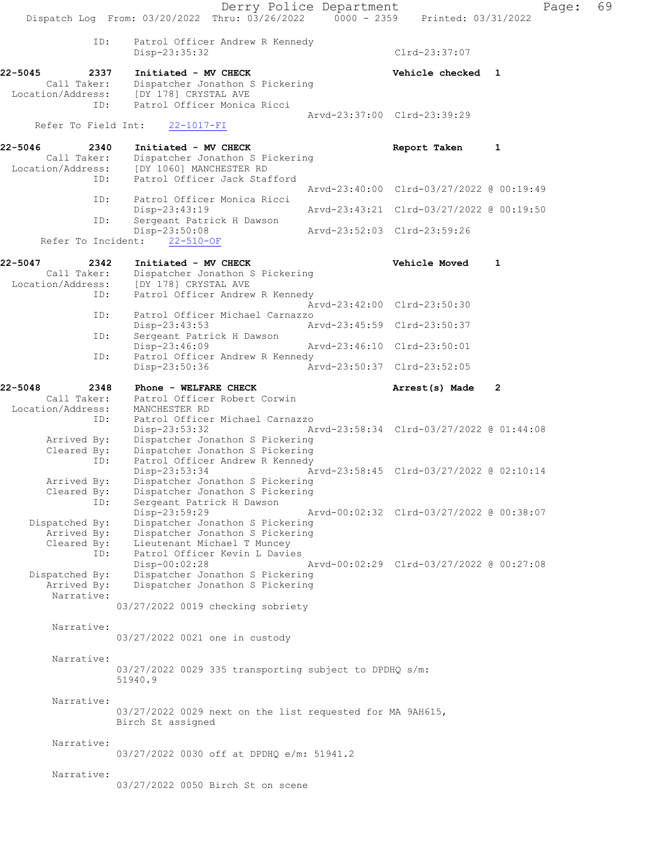Derry Police Department Page: 69 Dispatch Log From: 03/20/2022 Thru: 03/26/2022 0000 - 2359 Printed: 03/31/2022 ID: Patrol Officer Andrew R Kennedy Disp-23:35:32 Clrd-23:37:07 22-5045 2337 Initiated - MV CHECK Vehicle checked 1 Call Taker: Dispatcher Jonathon S Pickering<br>Location/Address: [DY 178] CRYSTAL AVE ess: [DY 178] CRYSTAL AVE<br>ID: Patrol Officer Monica Patrol Officer Monica Ricci Arvd-23:37:00 Clrd-23:39:29<br>
22-1017-FI Refer To Field Int: 22-5046 2340 Initiated - MV CHECK 22-5046 2340 2340 Report Taken 1<br>Call Taker: Dispatcher Jonathon S Pickering Call Taker: Dispatcher Jonathon S Pickering<br>Location/Address: [DY 1060] MANCHESTER RD Location/Address: [DY 1060] MANCHESTER RD ID: Patrol Officer Jack Stafford Arvd-23:40:00 Clrd-03/27/2022 @ 00:19:49 ID: Patrol Officer Monica Ricci Disp-23:43:19 Arvd-23:43:21 Clrd-03/27/2022 @ 00:19:50 ID: Sergeant Patrick H Dawson<br>Disp-23:50:08 Disp-23:50:08 Arvd-23:52:03 Clrd-23:59:26 Refer To Incident: 22-510-OF 22-5047 2342 Initiated - MV CHECK 22-5047 2342 Initiated - MV CHECK Vehicle Moved 1 Call Taker: Dispatcher Jonathon S Pickering<br>Location/Address: [DY 178] CRYSTAL AVE ess: [DY 178] CRYSTAL AVE<br>ID: Patrol Officer Andrew Patrol Officer Andrew R Kennedy Arvd-23:42:00 Clrd-23:50:30<br>TD: Patrol Officer Michael Carnazzo Patrol Officer Michael Carnazzo<br>Disp-23:43:53 A Disp-23:43:53 **Arvd-23:45:59 Clrd-23:50:37**<br>ID: Sergeant Patrick H Dawson Sergeant Patrick H Dawson Disp-23:46:09 Arvd-23:46:10 Clrd-23:50:01<br>ID: Patrol Officer Andrew R Kennedy Patrol Officer Andrew R Kennedy<br>Disp-23:50:36 Ar Disp-23:50:36 Arvd-23:50:37 Clrd-23:52:05 22-5048 2348 Phone - WELFARE CHECK 22-5048 Arrest(s) Made 2<br>Call Taker: Patrol Officer Robert Corwin Call Taker: Patrol Officer Robert Corwin Location/Address: MANCHESTER RD ID: Patrol Officer Michael Carnazzo<br>Disp-23:53:32 A Disp-23:53:32 Arvd-23:58:34 Clrd-03/27/2022 @ 01:44:08 Arrived By: Dispatcher Jonathon S Pickering Cleared By: Dispatcher Jonathon S Pickering<br>TD: Patrol Officer Andrew R Kennedy Patrol Officer Andrew R Kennedy<br>Disp-23:53:34 A  $\bar{A}rvd-23:58:45$  Clrd-03/27/2022 @ 02:10:14 Arrived By: Dispatcher Jonathon S Pickering Cleared By: Dispatcher Jonathon S Pickering ID: Sergeant Patrick H Dawson<br>Disp-23:59:29 Disp-23:59:29 Arvd-00:02:32 Clrd-03/27/2022 @ 00:38:07 Dispatched By: Dispatcher Jonathon S Pickering Arrived By: Dispatcher Jonathon S Pickering Cleared By: Lieutenant Michael T Muncey ID: Patrol Officer Kevin L Davies Disp-00:02:28 Arvd-00:02:29 Clrd-03/27/2022 @ 00:27:08<br>Dispatched By: Dispatcher Jonathon S Pickering patched By: Dispatcher Jonathon S Pickering<br>Arrived By: Dispatcher Jonathon S Pickering Dispatcher Jonathon S Pickering Narrative: 03/27/2022 0019 checking sobriety Narrative: 03/27/2022 0021 one in custody Narrative: 03/27/2022 0029 335 transporting subject to DPDHQ s/m: 51940.9 Narrative: 03/27/2022 0029 next on the list requested for MA 9AH615, Birch St assigned Narrative: 03/27/2022 0030 off at DPDHQ e/m: 51941.2 Narrative: 03/27/2022 0050 Birch St on scene